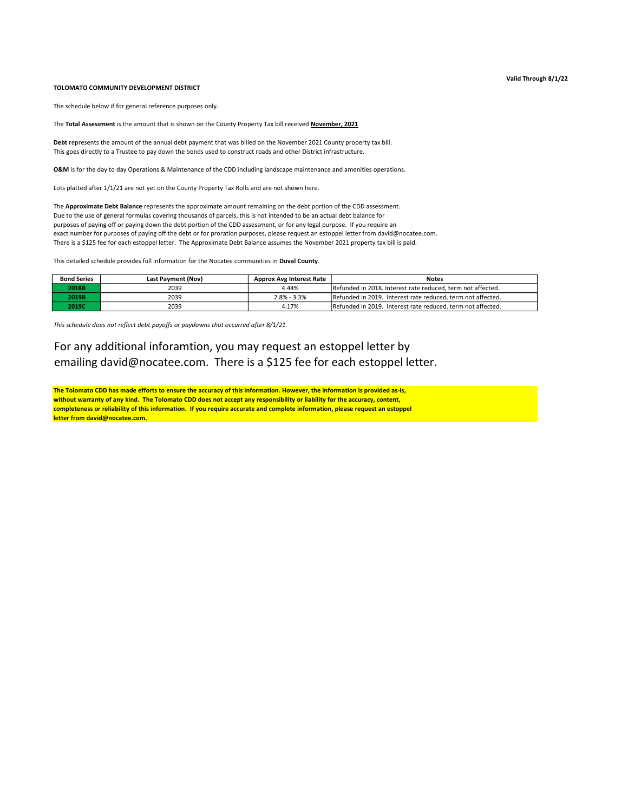## TOLOMATO COMMUNITY DEVELOPMENT DISTRICT

The schedule below if for general reference purposes only.

The Total Assessment is the amount that is shown on the County Property Tax bill received November, 2021

Debt represents the amount of the annual debt payment that was billed on the November 2021 County property tax bill. This goes directly to a Trustee to pay down the bonds used to construct roads and other District infrastructure.

O&M is for the day to day Operations & Maintenance of the CDD including landscape maintenance and amenities operations.

Lots platted after 1/1/21 are not yet on the County Property Tax Rolls and are not shown here.

The Approximate Debt Balance represents the approximate amount remaining on the debt portion of the CDD assessment. Due to the use of general formulas covering thousands of parcels, this is not intended to be an actual debt balance for purposes of paying off or paying down the debt portion of the CDD assessment, or for any legal purpose. If you require an exact number for purposes of paying off the debt or for proration purposes, please request an estoppel letter from david@nocatee.com. There is a \$125 fee for each estoppel letter. The Approximate Debt Balance assumes the November 2021 property tax bill is paid.

This detailed schedule provides full information for the Nocatee communities in Duval County.

| <b>Bond Series</b> | Last Payment (Nov) | <b>Approx Avg Interest Rate</b> | <b>Notes</b>                                                |
|--------------------|--------------------|---------------------------------|-------------------------------------------------------------|
| 2018B              | 2039               | 4.44%                           | Refunded in 2018. Interest rate reduced, term not affected. |
| 2019B              | 2039               | $2.8\% - 3.3\%$                 | Refunded in 2019. Interest rate reduced, term not affected. |
| 2019C              | 2039               | 4.17%                           | Refunded in 2019. Interest rate reduced, term not affected. |

This schedule does not reflect debt payoffs or paydowns that occurred after 8/1/21.

For any additional inforamtion, you may request an estoppel letter by emailing david@nocatee.com. There is a \$125 fee for each estoppel letter.

The Tolomato CDD has made efforts to ensure the accuracy of this information. However, the information is provided as-is, without warranty of any kind. The Tolomato CDD does not accept any responsibility or liability for the accuracy, content, completeness or reliability of this information. If you require accurate and complete information, please request an estoppel letter from david@nocatee.com.

## Valid Through 8/1/22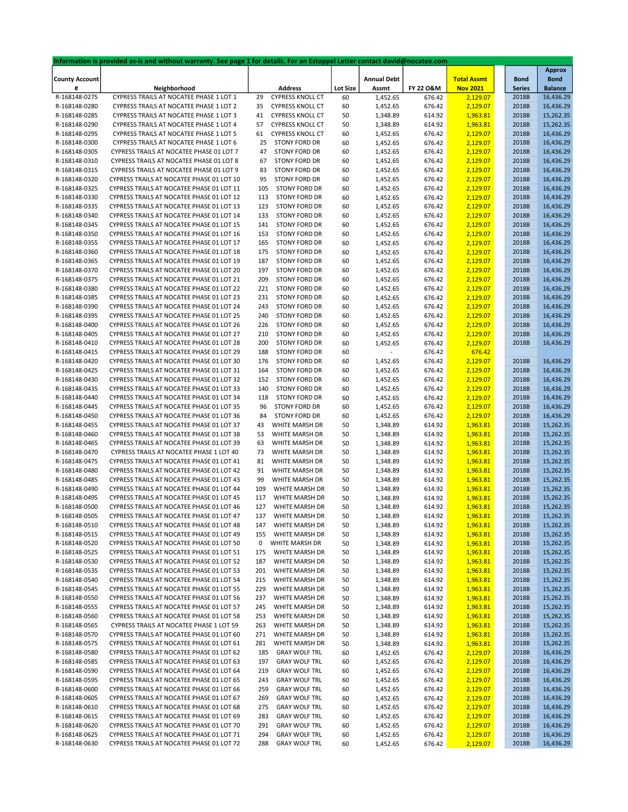|                       | Information is provided as-is and without warranty. See page 1 for details. For an Estoppel Letter contact david@nocatee.com |     |                         |                 |                    |           |                    |               |                |
|-----------------------|------------------------------------------------------------------------------------------------------------------------------|-----|-------------------------|-----------------|--------------------|-----------|--------------------|---------------|----------------|
|                       |                                                                                                                              |     |                         |                 |                    |           |                    |               | <b>Approx</b>  |
| <b>County Account</b> |                                                                                                                              |     |                         |                 | <b>Annual Debt</b> |           | <b>Total Assmt</b> | <b>Bond</b>   | <b>Bond</b>    |
| #                     | Neighborhood                                                                                                                 |     | <b>Address</b>          | <b>Lot Size</b> | Assmt              | FY 22 O&M | <b>Nov 2021</b>    | <b>Series</b> | <b>Balance</b> |
| R-168148-0275         | CYPRESS TRAILS AT NOCATEE PHASE 1 LOT 1                                                                                      | 29  | <b>CYPRESS KNOLL CT</b> | 60              | 1,452.65           | 676.42    | 2,129.07           | 2018B         | 16,436.29      |
| R-168148-0280         | CYPRESS TRAILS AT NOCATEE PHASE 1 LOT 2                                                                                      | 35  | <b>CYPRESS KNOLL CT</b> | 60              | 1,452.65           | 676.42    | 2,129.07           | 2018B         | 16,436.29      |
| R-168148-0285         | CYPRESS TRAILS AT NOCATEE PHASE 1 LOT 3                                                                                      | 41  | <b>CYPRESS KNOLL CT</b> | 50              | 1,348.89           | 614.92    | 1,963.81           | 2018B         | 15,262.35      |
| R-168148-0290         | CYPRESS TRAILS AT NOCATEE PHASE 1 LOT 4                                                                                      | 57  | <b>CYPRESS KNOLL CT</b> | 50              | 1,348.89           | 614.92    | 1,963.81           | 2018B         | 15,262.35      |
| R-168148-0295         | CYPRESS TRAILS AT NOCATEE PHASE 1 LOT 5                                                                                      | 61  | <b>CYPRESS KNOLL CT</b> | 60              | 1,452.65           | 676.42    | 2,129.07           | 2018B         | 16,436.29      |
| R-168148-0300         | CYPRESS TRAILS AT NOCATEE PHASE 1 LOT 6                                                                                      | 25  | <b>STONY FORD DR</b>    | 60              | 1,452.65           | 676.42    | 2,129.07           | 2018B         | 16,436.29      |
|                       | CYPRESS TRAILS AT NOCATEE PHASE 01 LOT 7                                                                                     | 47  | STONY FORD DR           |                 |                    | 676.42    |                    | 2018B         | 16,436.29      |
| R-168148-0305         |                                                                                                                              |     |                         | 60              | 1,452.65           |           | 2,129.07           |               |                |
| R-168148-0310         | CYPRESS TRAILS AT NOCATEE PHASE 01 LOT 8                                                                                     | 67  | STONY FORD DR           | 60              | 1,452.65           | 676.42    | 2,129.07           | 2018B         | 16,436.29      |
| R-168148-0315         | CYPRESS TRAILS AT NOCATEE PHASE 01 LOT 9                                                                                     | 83  | STONY FORD DR           | 60              | 1,452.65           | 676.42    | 2,129.07           | 2018B         | 16,436.29      |
| R-168148-0320         | CYPRESS TRAILS AT NOCATEE PHASE 01 LOT 10                                                                                    | 95  | STONY FORD DR           | 60              | 1,452.65           | 676.42    | 2,129.07           | 2018B         | 16,436.29      |
| R-168148-0325         | CYPRESS TRAILS AT NOCATEE PHASE 01 LOT 11                                                                                    | 105 | STONY FORD DR           | 60              | 1,452.65           | 676.42    | 2,129.07           | 2018B         | 16,436.29      |
| R-168148-0330         | CYPRESS TRAILS AT NOCATEE PHASE 01 LOT 12                                                                                    | 113 | STONY FORD DR           | 60              | 1,452.65           | 676.42    | 2,129.07           | 2018B         | 16,436.29      |
| R-168148-0335         | CYPRESS TRAILS AT NOCATEE PHASE 01 LOT 13                                                                                    | 123 | STONY FORD DR           | 60              | 1,452.65           | 676.42    | 2,129.07           | 2018B         | 16,436.29      |
| R-168148-0340         | CYPRESS TRAILS AT NOCATEE PHASE 01 LOT 14                                                                                    | 133 | STONY FORD DR           | 60              | 1,452.65           | 676.42    | 2,129.07           | 2018B         | 16,436.29      |
| R-168148-0345         | CYPRESS TRAILS AT NOCATEE PHASE 01 LOT 15                                                                                    | 141 | STONY FORD DR           |                 |                    |           |                    | 2018B         | 16,436.29      |
|                       |                                                                                                                              |     |                         | 60              | 1,452.65           | 676.42    | 2,129.07           |               |                |
| R-168148-0350         | CYPRESS TRAILS AT NOCATEE PHASE 01 LOT 16                                                                                    | 153 | STONY FORD DR           | 60              | 1,452.65           | 676.42    | 2,129.07           | 2018B         | 16,436.29      |
| R-168148-0355         | CYPRESS TRAILS AT NOCATEE PHASE 01 LOT 17                                                                                    | 165 | STONY FORD DR           | 60              | 1,452.65           | 676.42    | 2,129.07           | 2018B         | 16,436.29      |
| R-168148-0360         | CYPRESS TRAILS AT NOCATEE PHASE 01 LOT 18                                                                                    | 175 | STONY FORD DR           | 60              | 1,452.65           | 676.42    | 2,129.07           | 2018B         | 16,436.29      |
| R-168148-0365         | CYPRESS TRAILS AT NOCATEE PHASE 01 LOT 19                                                                                    | 187 | STONY FORD DR           | 60              | 1,452.65           | 676.42    | 2,129.07           | 2018B         | 16,436.29      |
| R-168148-0370         | CYPRESS TRAILS AT NOCATEE PHASE 01 LOT 20                                                                                    | 197 | STONY FORD DR           | 60              | 1,452.65           | 676.42    | 2,129.07           | 2018B         | 16,436.29      |
| R-168148-0375         | CYPRESS TRAILS AT NOCATEE PHASE 01 LOT 21                                                                                    | 209 | STONY FORD DR           | 60              | 1,452.65           | 676.42    | 2,129.07           | 2018B         | 16,436.29      |
| R-168148-0380         | CYPRESS TRAILS AT NOCATEE PHASE 01 LOT 22                                                                                    | 221 | STONY FORD DR           | 60              | 1,452.65           | 676.42    | 2,129.07           | 2018B         | 16,436.29      |
|                       |                                                                                                                              |     | STONY FORD DR           |                 |                    |           |                    |               |                |
| R-168148-0385         | CYPRESS TRAILS AT NOCATEE PHASE 01 LOT 23                                                                                    | 231 |                         | 60              | 1,452.65           | 676.42    | 2,129.07           | 2018B         | 16,436.29      |
| R-168148-0390         | CYPRESS TRAILS AT NOCATEE PHASE 01 LOT 24                                                                                    | 243 | STONY FORD DR           | 60              | 1,452.65           | 676.42    | 2,129.07           | 2018B         | 16,436.29      |
| R-168148-0395         | CYPRESS TRAILS AT NOCATEE PHASE 01 LOT 25                                                                                    | 240 | STONY FORD DR           | 60              | 1,452.65           | 676.42    | 2,129.07           | 2018B         | 16,436.29      |
| R-168148-0400         | CYPRESS TRAILS AT NOCATEE PHASE 01 LOT 26                                                                                    | 226 | STONY FORD DR           | 60              | 1,452.65           | 676.42    | 2,129.07           | 2018B         | 16,436.29      |
| R-168148-0405         | CYPRESS TRAILS AT NOCATEE PHASE 01 LOT 27                                                                                    | 210 | STONY FORD DR           | 60              | 1,452.65           | 676.42    | 2,129.07           | 2018B         | 16,436.29      |
| R-168148-0410         | CYPRESS TRAILS AT NOCATEE PHASE 01 LOT 28                                                                                    | 200 | STONY FORD DR           | 60              | 1,452.65           | 676.42    | 2,129.07           | 2018B         | 16,436.29      |
| R-168148-0415         | CYPRESS TRAILS AT NOCATEE PHASE 01 LOT 29                                                                                    | 188 | STONY FORD DR           | 60              |                    | 676.42    | 676.42             |               |                |
| R-168148-0420         | CYPRESS TRAILS AT NOCATEE PHASE 01 LOT 30                                                                                    | 176 | STONY FORD DR           | 60              | 1,452.65           | 676.42    | 2,129.07           | 2018B         | 16,436.29      |
| R-168148-0425         | CYPRESS TRAILS AT NOCATEE PHASE 01 LOT 31                                                                                    | 164 | STONY FORD DR           |                 |                    |           |                    | 2018B         | 16,436.29      |
|                       |                                                                                                                              |     |                         | 60              | 1,452.65           | 676.42    | 2,129.07           |               |                |
| R-168148-0430         | CYPRESS TRAILS AT NOCATEE PHASE 01 LOT 32                                                                                    | 152 | STONY FORD DR           | 60              | 1,452.65           | 676.42    | 2,129.07           | 2018B         | 16,436.29      |
| R-168148-0435         | CYPRESS TRAILS AT NOCATEE PHASE 01 LOT 33                                                                                    | 140 | STONY FORD DR           | 60              | 1,452.65           | 676.42    | 2,129.07           | 2018B         | 16,436.29      |
| R-168148-0440         | CYPRESS TRAILS AT NOCATEE PHASE 01 LOT 34                                                                                    | 118 | STONY FORD DR           | 60              | 1,452.65           | 676.42    | 2,129.07           | 2018B         | 16,436.29      |
| R-168148-0445         | CYPRESS TRAILS AT NOCATEE PHASE 01 LOT 35                                                                                    | 96  | STONY FORD DR           | 60              | 1,452.65           | 676.42    | 2,129.07           | 2018B         | 16,436.29      |
| R-168148-0450         | CYPRESS TRAILS AT NOCATEE PHASE 01 LOT 36                                                                                    | 84  | STONY FORD DR           | 60              | 1,452.65           | 676.42    | 2,129.07           | 2018B         | 16,436.29      |
| R-168148-0455         | CYPRESS TRAILS AT NOCATEE PHASE 01 LOT 37                                                                                    | 43  | WHITE MARSH DR          | 50              | 1,348.89           | 614.92    | 1,963.81           | 2018B         | 15,262.35      |
| R-168148-0460         | CYPRESS TRAILS AT NOCATEE PHASE 01 LOT 38                                                                                    | 53  | WHITE MARSH DR          | 50              | 1,348.89           | 614.92    | 1,963.81           | 2018B         | 15,262.35      |
| R-168148-0465         | CYPRESS TRAILS AT NOCATEE PHASE 01 LOT 39                                                                                    | 63  | WHITE MARSH DR          | 50              | 1,348.89           | 614.92    | 1,963.81           | 2018B         | 15,262.35      |
|                       | CYPRESS TRAILS AT NOCATEE PHASE 1 LOT 40                                                                                     | 73  | WHITE MARSH DR          |                 |                    |           |                    | 2018B         |                |
| R-168148-0470         |                                                                                                                              |     |                         | 50              | 1,348.89           | 614.92    | 1,963.81           |               | 15,262.35      |
| R-168148-0475         | CYPRESS TRAILS AT NOCATEE PHASE 01 LOT 41                                                                                    | 81  | WHITE MARSH DR          | 50              | 1,348.89           | 614.92    | 1,963.81           | 2018B         | 15,262.35      |
| R-168148-0480         | CYPRESS TRAILS AT NOCATEE PHASE 01 LOT 42                                                                                    | 91  | WHITE MARSH DR          | 50              | 1,348.89           | 614.92    | 1,963.81           | 2018B         | 15,262.35      |
| R-168148-0485         | CYPRESS TRAILS AT NOCATEE PHASE 01 LOT 43                                                                                    | 99  | WHITE MARSH DR          | 50              | 1,348.89           | 614.92    | 1,963.81           | 2018B         | 15,262.35      |
| R-168148-0490         | CYPRESS TRAILS AT NOCATEE PHASE 01 LOT 44                                                                                    | 109 | WHITE MARSH DR          | 50              | 1,348.89           | 614.92    | 1,963.81           | 2018B         | 15,262.35      |
| R-168148-0495         | CYPRESS TRAILS AT NOCATEE PHASE 01 LOT 45                                                                                    | 117 | WHITE MARSH DR          | 50              | 1,348.89           | 614.92    | 1,963.81           | 2018B         | 15,262.35      |
| R-168148-0500         | CYPRESS TRAILS AT NOCATEE PHASE 01 LOT 46                                                                                    | 127 | WHITE MARSH DR          | 50              | 1,348.89           | 614.92    | 1,963.81           | 2018B         | 15,262.35      |
| R-168148-0505         | CYPRESS TRAILS AT NOCATEE PHASE 01 LOT 47                                                                                    | 137 | WHITE MARSH DR          | 50              | 1,348.89           | 614.92    | 1,963.81           | 2018B         | 15,262.35      |
| R-168148-0510         | CYPRESS TRAILS AT NOCATEE PHASE 01 LOT 48                                                                                    | 147 | WHITE MARSH DR          | 50              | 1,348.89           | 614.92    | 1,963.81           | 2018B         | 15,262.35      |
|                       |                                                                                                                              |     |                         |                 |                    |           |                    |               |                |
| R-168148-0515         | CYPRESS TRAILS AT NOCATEE PHASE 01 LOT 49                                                                                    | 155 | WHITE MARSH DR          | 50              | 1,348.89           | 614.92    | 1,963.81           | 2018B         | 15,262.35      |
| R-168148-0520         | CYPRESS TRAILS AT NOCATEE PHASE 01 LOT 50                                                                                    | 0   | WHITE MARSH DR          | 50              | 1,348.89           | 614.92    | 1,963.81           | 2018B         | 15,262.35      |
| R-168148-0525         | CYPRESS TRAILS AT NOCATEE PHASE 01 LOT 51                                                                                    | 175 | WHITE MARSH DR          | 50              | 1,348.89           | 614.92    | 1,963.81           | 2018B         | 15,262.35      |
| R-168148-0530         | CYPRESS TRAILS AT NOCATEE PHASE 01 LOT 52                                                                                    | 187 | WHITE MARSH DR          | 50              | 1,348.89           | 614.92    | 1,963.81           | 2018B         | 15,262.35      |
| R-168148-0535         | CYPRESS TRAILS AT NOCATEE PHASE 01 LOT 53                                                                                    | 201 | WHITE MARSH DR          | 50              | 1,348.89           | 614.92    | 1,963.81           | 2018B         | 15,262.35      |
| R-168148-0540         | CYPRESS TRAILS AT NOCATEE PHASE 01 LOT 54                                                                                    | 215 | WHITE MARSH DR          | 50              | 1,348.89           | 614.92    | 1,963.81           | 2018B         | 15,262.35      |
| R-168148-0545         | CYPRESS TRAILS AT NOCATEE PHASE 01 LOT 55                                                                                    | 229 | WHITE MARSH DR          | 50              | 1,348.89           | 614.92    | 1,963.81           | 2018B         | 15,262.35      |
| R-168148-0550         | CYPRESS TRAILS AT NOCATEE PHASE 01 LOT 56                                                                                    | 237 | WHITE MARSH DR          | 50              | 1,348.89           | 614.92    | 1,963.81           | 2018B         | 15,262.35      |
| R-168148-0555         | CYPRESS TRAILS AT NOCATEE PHASE 01 LOT 57                                                                                    |     |                         |                 |                    |           |                    |               |                |
|                       |                                                                                                                              | 245 | WHITE MARSH DR          | 50              | 1,348.89           | 614.92    | 1,963.81           | 2018B         | 15,262.35      |
| R-168148-0560         | CYPRESS TRAILS AT NOCATEE PHASE 01 LOT 58                                                                                    | 253 | WHITE MARSH DR          | 50              | 1,348.89           | 614.92    | 1,963.81           | 2018B         | 15,262.35      |
| R-168148-0565         | CYPRESS TRAILS AT NOCATEE PHASE 1 LOT 59                                                                                     | 263 | WHITE MARSH DR          | 50              | 1,348.89           | 614.92    | 1,963.81           | 2018B         | 15,262.35      |
| R-168148-0570         | CYPRESS TRAILS AT NOCATEE PHASE 01 LOT 60                                                                                    | 271 | WHITE MARSH DR          | 50              | 1,348.89           | 614.92    | 1,963.81           | 2018B         | 15,262.35      |
| R-168148-0575         | CYPRESS TRAILS AT NOCATEE PHASE 01 LOT 61                                                                                    | 281 | WHITE MARSH DR          | 50              | 1,348.89           | 614.92    | 1,963.81           | 2018B         | 15,262.35      |
| R-168148-0580         | CYPRESS TRAILS AT NOCATEE PHASE 01 LOT 62                                                                                    | 185 | <b>GRAY WOLF TRL</b>    | 60              | 1,452.65           | 676.42    | 2,129.07           | 2018B         | 16,436.29      |
| R-168148-0585         | CYPRESS TRAILS AT NOCATEE PHASE 01 LOT 63                                                                                    | 197 | <b>GRAY WOLF TRL</b>    | 60              | 1,452.65           | 676.42    | 2,129.07           | 2018B         | 16,436.29      |
| R-168148-0590         | CYPRESS TRAILS AT NOCATEE PHASE 01 LOT 64                                                                                    | 219 | <b>GRAY WOLF TRL</b>    | 60              | 1,452.65           | 676.42    | 2,129.07           | 2018B         | 16,436.29      |
| R-168148-0595         | CYPRESS TRAILS AT NOCATEE PHASE 01 LOT 65                                                                                    | 243 | <b>GRAY WOLF TRL</b>    |                 |                    |           |                    | 2018B         |                |
|                       |                                                                                                                              |     |                         | 60              | 1,452.65           | 676.42    | 2,129.07           |               | 16,436.29      |
| R-168148-0600         | CYPRESS TRAILS AT NOCATEE PHASE 01 LOT 66                                                                                    | 259 | <b>GRAY WOLF TRL</b>    | 60              | 1,452.65           | 676.42    | 2,129.07           | 2018B         | 16,436.29      |
| R-168148-0605         | CYPRESS TRAILS AT NOCATEE PHASE 01 LOT 67                                                                                    | 269 | <b>GRAY WOLF TRL</b>    | 60              | 1,452.65           | 676.42    | 2,129.07           | 2018B         | 16,436.29      |
| R-168148-0610         | CYPRESS TRAILS AT NOCATEE PHASE 01 LOT 68                                                                                    | 275 | <b>GRAY WOLF TRL</b>    | 60              | 1,452.65           | 676.42    | 2,129.07           | 2018B         | 16,436.29      |
| R-168148-0615         | CYPRESS TRAILS AT NOCATEE PHASE 01 LOT 69                                                                                    | 283 | <b>GRAY WOLF TRL</b>    | 60              | 1,452.65           | 676.42    | 2,129.07           | 2018B         | 16,436.29      |
| R-168148-0620         | CYPRESS TRAILS AT NOCATEE PHASE 01 LOT 70                                                                                    | 291 | <b>GRAY WOLF TRL</b>    | 60              | 1,452.65           | 676.42    | 2,129.07           | 2018B         | 16,436.29      |
| R-168148-0625         | CYPRESS TRAILS AT NOCATEE PHASE 01 LOT 71                                                                                    | 294 | <b>GRAY WOLF TRL</b>    | 60              | 1,452.65           | 676.42    | 2,129.07           | 2018B         | 16,436.29      |
| R-168148-0630         | CYPRESS TRAILS AT NOCATEE PHASE 01 LOT 72                                                                                    | 288 | <b>GRAY WOLF TRL</b>    | 60              | 1,452.65           | 676.42    | 2,129.07           | 2018B         | 16,436.29      |
|                       |                                                                                                                              |     |                         |                 |                    |           |                    |               |                |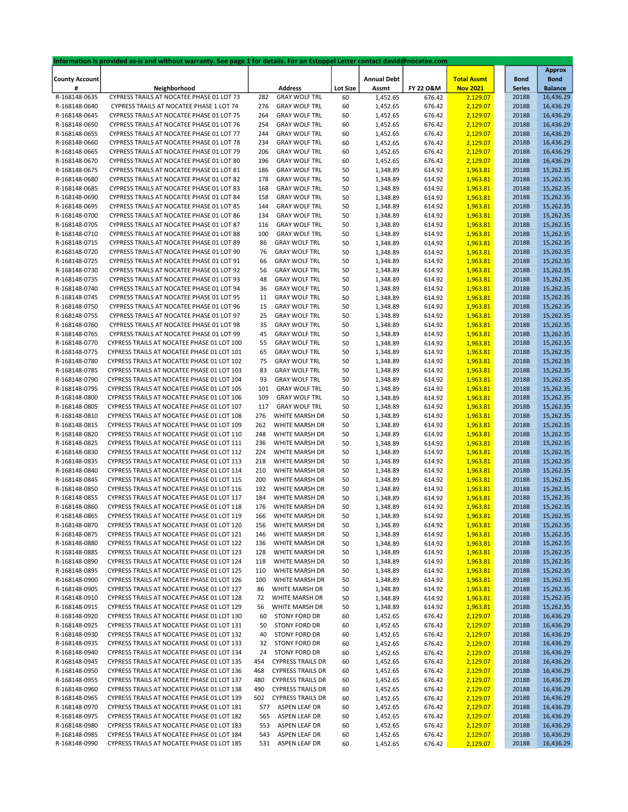|                       | Information is provided as-is and without warranty. See page 1 for details. For an Estoppel Letter contact david@nocatee.com |     |                          |                 |                    |           |                    |               |                |
|-----------------------|------------------------------------------------------------------------------------------------------------------------------|-----|--------------------------|-----------------|--------------------|-----------|--------------------|---------------|----------------|
|                       |                                                                                                                              |     |                          |                 |                    |           |                    |               | <b>Approx</b>  |
| <b>County Account</b> |                                                                                                                              |     |                          |                 | <b>Annual Debt</b> |           | <b>Total Assmt</b> | <b>Bond</b>   | <b>Bond</b>    |
| #                     | Neighborhood                                                                                                                 |     | <b>Address</b>           | <b>Lot Size</b> | Assmt              | FY 22 O&M | <b>Nov 2021</b>    | <b>Series</b> | <b>Balance</b> |
| R-168148-0635         | CYPRESS TRAILS AT NOCATEE PHASE 01 LOT 73                                                                                    | 282 | <b>GRAY WOLF TRL</b>     | 60              | 1,452.65           | 676.42    | 2,129.07           | 2018B         | 16,436.29      |
| R-168148-0640         | CYPRESS TRAILS AT NOCATEE PHASE 1 LOT 74                                                                                     | 276 | <b>GRAY WOLF TRL</b>     | 60              | 1,452.65           | 676.42    | 2,129.07           | 2018B         | 16,436.29      |
| R-168148-0645         | CYPRESS TRAILS AT NOCATEE PHASE 01 LOT 75                                                                                    | 264 | <b>GRAY WOLF TRL</b>     | 60              | 1,452.65           | 676.42    | 2,129.07           | 2018B         | 16,436.29      |
| R-168148-0650         | CYPRESS TRAILS AT NOCATEE PHASE 01 LOT 76                                                                                    | 254 | <b>GRAY WOLF TRL</b>     | 60              | 1,452.65           | 676.42    | 2,129.07           | 2018B         | 16,436.29      |
| R-168148-0655         | CYPRESS TRAILS AT NOCATEE PHASE 01 LOT 77                                                                                    | 244 | <b>GRAY WOLF TRL</b>     | 60              | 1,452.65           | 676.42    | 2,129.07           | 2018B         | 16,436.29      |
| R-168148-0660         | CYPRESS TRAILS AT NOCATEE PHASE 01 LOT 78                                                                                    | 234 | <b>GRAY WOLF TRL</b>     | 60              | 1,452.65           | 676.42    | 2,129.07           | 2018B         | 16,436.29      |
| R-168148-0665         | CYPRESS TRAILS AT NOCATEE PHASE 01 LOT 79                                                                                    | 206 | <b>GRAY WOLF TRL</b>     | 60              | 1,452.65           | 676.42    | 2,129.07           | 2018B         | 16,436.29      |
| R-168148-0670         | CYPRESS TRAILS AT NOCATEE PHASE 01 LOT 80                                                                                    | 196 | <b>GRAY WOLF TRL</b>     | 60              | 1,452.65           | 676.42    | 2,129.07           | 2018B         | 16,436.29      |
| R-168148-0675         | CYPRESS TRAILS AT NOCATEE PHASE 01 LOT 81                                                                                    | 186 | <b>GRAY WOLF TRL</b>     |                 |                    |           | 1,963.81           |               |                |
|                       |                                                                                                                              |     |                          | 50              | 1,348.89           | 614.92    |                    | 2018B         | 15,262.35      |
| R-168148-0680         | CYPRESS TRAILS AT NOCATEE PHASE 01 LOT 82                                                                                    | 178 | <b>GRAY WOLF TRL</b>     | 50              | 1,348.89           | 614.92    | 1,963.81           | 2018B         | 15,262.35      |
| R-168148-0685         | CYPRESS TRAILS AT NOCATEE PHASE 01 LOT 83                                                                                    | 168 | <b>GRAY WOLF TRL</b>     | 50              | 1,348.89           | 614.92    | 1,963.81           | 2018B         | 15,262.35      |
| R-168148-0690         | CYPRESS TRAILS AT NOCATEE PHASE 01 LOT 84                                                                                    | 158 | <b>GRAY WOLF TRL</b>     | 50              | 1,348.89           | 614.92    | 1,963.81           | 2018B         | 15,262.35      |
| R-168148-0695         | CYPRESS TRAILS AT NOCATEE PHASE 01 LOT 85                                                                                    | 144 | <b>GRAY WOLF TRL</b>     | 50              | 1,348.89           | 614.92    | 1,963.81           | 2018B         | 15,262.35      |
| R-168148-0700         | CYPRESS TRAILS AT NOCATEE PHASE 01 LOT 86                                                                                    | 134 | <b>GRAY WOLF TRL</b>     | 50              | 1,348.89           | 614.92    | 1,963.81           | 2018B         | 15,262.35      |
| R-168148-0705         | CYPRESS TRAILS AT NOCATEE PHASE 01 LOT 87                                                                                    | 116 | <b>GRAY WOLF TRL</b>     | 50              | 1,348.89           | 614.92    | 1,963.81           | 2018B         | 15,262.35      |
| R-168148-0710         | CYPRESS TRAILS AT NOCATEE PHASE 01 LOT 88                                                                                    | 100 | <b>GRAY WOLF TRL</b>     | 50              | 1,348.89           | 614.92    | 1,963.81           | 2018B         | 15,262.35      |
| R-168148-0715         | CYPRESS TRAILS AT NOCATEE PHASE 01 LOT 89                                                                                    | 86  | <b>GRAY WOLF TRL</b>     | 50              | 1,348.89           | 614.92    | 1,963.81           | 2018B         | 15,262.35      |
| R-168148-0720         | CYPRESS TRAILS AT NOCATEE PHASE 01 LOT 90                                                                                    | 76  | <b>GRAY WOLF TRL</b>     | 50              | 1,348.89           | 614.92    | 1,963.81           | 2018B         | 15,262.35      |
| R-168148-0725         | CYPRESS TRAILS AT NOCATEE PHASE 01 LOT 91                                                                                    | 66  | <b>GRAY WOLF TRL</b>     | 50              | 1,348.89           | 614.92    | 1,963.81           | 2018B         | 15,262.35      |
| R-168148-0730         | CYPRESS TRAILS AT NOCATEE PHASE 01 LOT 92                                                                                    | 56  | <b>GRAY WOLF TRL</b>     | 50              | 1,348.89           | 614.92    | 1,963.81           | 2018B         | 15,262.35      |
| R-168148-0735         | CYPRESS TRAILS AT NOCATEE PHASE 01 LOT 93                                                                                    | 48  | <b>GRAY WOLF TRL</b>     | 50              | 1,348.89           | 614.92    | 1,963.81           | 2018B         | 15,262.35      |
| R-168148-0740         | CYPRESS TRAILS AT NOCATEE PHASE 01 LOT 94                                                                                    | 36  | <b>GRAY WOLF TRL</b>     | 50              | 1,348.89           | 614.92    | 1,963.81           | 2018B         | 15,262.35      |
|                       |                                                                                                                              |     |                          |                 |                    |           |                    |               | 15,262.35      |
| R-168148-0745         | CYPRESS TRAILS AT NOCATEE PHASE 01 LOT 95                                                                                    | 11  | <b>GRAY WOLF TRL</b>     | 50              | 1,348.89           | 614.92    | 1,963.81           | 2018B         |                |
| R-168148-0750         | CYPRESS TRAILS AT NOCATEE PHASE 01 LOT 96                                                                                    | 15  | <b>GRAY WOLF TRL</b>     | 50              | 1,348.89           | 614.92    | 1,963.81           | 2018B         | 15,262.35      |
| R-168148-0755         | CYPRESS TRAILS AT NOCATEE PHASE 01 LOT 97                                                                                    | 25  | <b>GRAY WOLF TRL</b>     | 50              | 1,348.89           | 614.92    | 1,963.81           | 2018B         | 15,262.35      |
| R-168148-0760         | CYPRESS TRAILS AT NOCATEE PHASE 01 LOT 98                                                                                    | 35  | <b>GRAY WOLF TRL</b>     | 50              | 1,348.89           | 614.92    | 1,963.81           | 2018B         | 15,262.35      |
| R-168148-0765         | CYPRESS TRAILS AT NOCATEE PHASE 01 LOT 99                                                                                    | 45  | <b>GRAY WOLF TRL</b>     | 50              | 1,348.89           | 614.92    | 1,963.81           | 2018B         | 15,262.35      |
| R-168148-0770         | CYPRESS TRAILS AT NOCATEE PHASE 01 LOT 100                                                                                   | 55  | <b>GRAY WOLF TRL</b>     | 50              | 1,348.89           | 614.92    | 1,963.81           | 2018B         | 15,262.35      |
| R-168148-0775         | CYPRESS TRAILS AT NOCATEE PHASE 01 LOT 101                                                                                   | 65  | <b>GRAY WOLF TRL</b>     | 50              | 1,348.89           | 614.92    | 1,963.81           | 2018B         | 15,262.35      |
| R-168148-0780         | CYPRESS TRAILS AT NOCATEE PHASE 01 LOT 102                                                                                   | 75  | <b>GRAY WOLF TRL</b>     | 50              | 1,348.89           | 614.92    | 1,963.81           | 2018B         | 15,262.35      |
| R-168148-0785         | CYPRESS TRAILS AT NOCATEE PHASE 01 LOT 103                                                                                   | 83  | <b>GRAY WOLF TRL</b>     | 50              | 1,348.89           | 614.92    | 1,963.81           | 2018B         | 15,262.35      |
| R-168148-0790         | CYPRESS TRAILS AT NOCATEE PHASE 01 LOT 104                                                                                   | 93  | <b>GRAY WOLF TRL</b>     | 50              | 1,348.89           | 614.92    | 1,963.81           | 2018B         | 15,262.35      |
| R-168148-0795         | CYPRESS TRAILS AT NOCATEE PHASE 01 LOT 105                                                                                   | 101 | <b>GRAY WOLF TRL</b>     | 50              | 1,348.89           | 614.92    | 1,963.81           | 2018B         | 15,262.35      |
| R-168148-0800         | CYPRESS TRAILS AT NOCATEE PHASE 01 LOT 106                                                                                   | 109 | <b>GRAY WOLF TRL</b>     | 50              | 1,348.89           | 614.92    | 1,963.81           | 2018B         | 15,262.35      |
| R-168148-0805         | CYPRESS TRAILS AT NOCATEE PHASE 01 LOT 107                                                                                   | 117 | <b>GRAY WOLF TRL</b>     | 50              | 1,348.89           | 614.92    | 1,963.81           | 2018B         | 15,262.35      |
| R-168148-0810         | CYPRESS TRAILS AT NOCATEE PHASE 01 LOT 108                                                                                   | 276 | WHITE MARSH DR           | 50              | 1,348.89           | 614.92    | 1,963.81           | 2018B         | 15,262.35      |
| R-168148-0815         | CYPRESS TRAILS AT NOCATEE PHASE 01 LOT 109                                                                                   | 262 | WHITE MARSH DR           |                 | 1,348.89           | 614.92    |                    | 2018B         | 15,262.35      |
|                       |                                                                                                                              |     |                          | 50              |                    |           | 1,963.81           |               |                |
| R-168148-0820         | CYPRESS TRAILS AT NOCATEE PHASE 01 LOT 110                                                                                   | 248 | WHITE MARSH DR           | 50              | 1,348.89           | 614.92    | 1,963.81           | 2018B         | 15,262.35      |
| R-168148-0825         | CYPRESS TRAILS AT NOCATEE PHASE 01 LOT 111                                                                                   | 236 | WHITE MARSH DR           | 50              | 1,348.89           | 614.92    | 1,963.81           | 2018B         | 15,262.35      |
| R-168148-0830         | CYPRESS TRAILS AT NOCATEE PHASE 01 LOT 112                                                                                   | 224 | WHITE MARSH DR           | 50              | 1,348.89           | 614.92    | 1,963.81           | 2018B         | 15,262.35      |
| R-168148-0835         | CYPRESS TRAILS AT NOCATEE PHASE 01 LOT 113                                                                                   | 218 | WHITE MARSH DR           | 50              | 1,348.89           | 614.92    | 1,963.81           | 2018B         | 15,262.35      |
| R-168148-0840         | CYPRESS TRAILS AT NOCATEE PHASE 01 LOT 114                                                                                   | 210 | WHITE MARSH DR           | 50              | 1,348.89           | 614.92    | 1,963.81           | 2018B         | 15,262.35      |
| R-168148-0845         | CYPRESS TRAILS AT NOCATEE PHASE 01 LOT 115                                                                                   | 200 | WHITE MARSH DR           | 50              | 1,348.89           | 614.92    | 1,963.81           | 2018B         | 15,262.35      |
| R-168148-0850         | CYPRESS TRAILS AT NOCATEE PHASE 01 LOT 116                                                                                   | 192 | WHITE MARSH DR           | 50              | 1,348.89           | 614.92    | 1,963.81           | 2018B         | 15,262.35      |
| R-168148-0855         | CYPRESS TRAILS AT NOCATEE PHASE 01 LOT 117                                                                                   | 184 | WHITE MARSH DR           | 50              | 1,348.89           | 614.92    | 1,963.81           | 2018B         | 15,262.35      |
| R-168148-0860         | CYPRESS TRAILS AT NOCATEE PHASE 01 LOT 118                                                                                   | 176 | WHITE MARSH DR           | 50              | 1,348.89           | 614.92    | 1,963.81           | 2018B         | 15,262.35      |
| R-168148-0865         | CYPRESS TRAILS AT NOCATEE PHASE 01 LOT 119                                                                                   | 166 | WHITE MARSH DR           | 50              | 1,348.89           | 614.92    | 1,963.81           | 2018B         | 15,262.35      |
| R-168148-0870         | CYPRESS TRAILS AT NOCATEE PHASE 01 LOT 120                                                                                   | 156 | WHITE MARSH DR           | 50              | 1,348.89           | 614.92    | 1,963.81           | 2018B         | 15,262.35      |
| R-168148-0875         | CYPRESS TRAILS AT NOCATEE PHASE 01 LOT 121                                                                                   | 146 | WHITE MARSH DR           | 50              | 1,348.89           | 614.92    | 1,963.81           | 2018B         | 15,262.35      |
| R-168148-0880         | CYPRESS TRAILS AT NOCATEE PHASE 01 LOT 122                                                                                   | 136 | WHITE MARSH DR           | 50              | 1,348.89           | 614.92    | 1,963.81           | 2018B         | 15,262.35      |
| R-168148-0885         | CYPRESS TRAILS AT NOCATEE PHASE 01 LOT 123                                                                                   | 128 | WHITE MARSH DR           | 50              | 1,348.89           | 614.92    | 1,963.81           | 2018B         | 15,262.35      |
| R-168148-0890         | CYPRESS TRAILS AT NOCATEE PHASE 01 LOT 124                                                                                   | 118 | WHITE MARSH DR           | 50              | 1,348.89           | 614.92    | 1,963.81           | 2018B         | 15,262.35      |
| R-168148-0895         | CYPRESS TRAILS AT NOCATEE PHASE 01 LOT 125                                                                                   | 110 | WHITE MARSH DR           |                 |                    | 614.92    | 1,963.81           | 2018B         | 15,262.35      |
|                       |                                                                                                                              |     |                          | 50              | 1,348.89           |           |                    |               |                |
| R-168148-0900         | CYPRESS TRAILS AT NOCATEE PHASE 01 LOT 126                                                                                   | 100 | WHITE MARSH DR           | 50              | 1,348.89           | 614.92    | 1,963.81           | 2018B         | 15,262.35      |
| R-168148-0905         | CYPRESS TRAILS AT NOCATEE PHASE 01 LOT 127                                                                                   | 86  | WHITE MARSH DR           | 50              | 1,348.89           | 614.92    | 1,963.81           | 2018B         | 15,262.35      |
| R-168148-0910         | CYPRESS TRAILS AT NOCATEE PHASE 01 LOT 128                                                                                   | 72  | WHITE MARSH DR           | 50              | 1,348.89           | 614.92    | 1,963.81           | 2018B         | 15,262.35      |
| R-168148-0915         | CYPRESS TRAILS AT NOCATEE PHASE 01 LOT 129                                                                                   | 56  | WHITE MARSH DR           | 50              | 1,348.89           | 614.92    | 1,963.81           | 2018B         | 15,262.35      |
| R-168148-0920         | CYPRESS TRAILS AT NOCATEE PHASE 01 LOT 130                                                                                   | 60  | STONY FORD DR            | 60              | 1,452.65           | 676.42    | 2,129.07           | 2018B         | 16,436.29      |
| R-168148-0925         | CYPRESS TRAILS AT NOCATEE PHASE 01 LOT 131                                                                                   | 50  | STONY FORD DR            | 60              | 1,452.65           | 676.42    | 2,129.07           | 2018B         | 16,436.29      |
| R-168148-0930         | CYPRESS TRAILS AT NOCATEE PHASE 01 LOT 132                                                                                   | 40  | STONY FORD DR            | 60              | 1,452.65           | 676.42    | 2,129.07           | 2018B         | 16,436.29      |
| R-168148-0935         | CYPRESS TRAILS AT NOCATEE PHASE 01 LOT 133                                                                                   | 32  | STONY FORD DR            | 60              | 1,452.65           | 676.42    | 2,129.07           | 2018B         | 16,436.29      |
| R-168148-0940         | CYPRESS TRAILS AT NOCATEE PHASE 01 LOT 134                                                                                   | 24  | STONY FORD DR            | 60              | 1,452.65           | 676.42    | 2,129.07           | 2018B         | 16,436.29      |
| R-168148-0945         | CYPRESS TRAILS AT NOCATEE PHASE 01 LOT 135                                                                                   | 454 | <b>CYPRESS TRAILS DR</b> | 60              | 1,452.65           | 676.42    | 2,129.07           | 2018B         | 16,436.29      |
| R-168148-0950         | CYPRESS TRAILS AT NOCATEE PHASE 01 LOT 136                                                                                   | 468 | <b>CYPRESS TRAILS DR</b> | 60              | 1,452.65           | 676.42    | 2,129.07           | 2018B         | 16,436.29      |
| R-168148-0955         | CYPRESS TRAILS AT NOCATEE PHASE 01 LOT 137                                                                                   | 480 | <b>CYPRESS TRAILS DR</b> | 60              | 1,452.65           | 676.42    | 2,129.07           | 2018B         | 16,436.29      |
| R-168148-0960         | CYPRESS TRAILS AT NOCATEE PHASE 01 LOT 138                                                                                   | 490 | <b>CYPRESS TRAILS DR</b> | 60              | 1,452.65           | 676.42    | 2,129.07           | 2018B         | 16,436.29      |
| R-168148-0965         | CYPRESS TRAILS AT NOCATEE PHASE 01 LOT 139                                                                                   | 502 | <b>CYPRESS TRAILS DR</b> | 60              | 1,452.65           | 676.42    | 2,129.07           | 2018B         | 16,436.29      |
| R-168148-0970         | CYPRESS TRAILS AT NOCATEE PHASE 01 LOT 181                                                                                   | 577 | ASPEN LEAF DR            | 60              | 1,452.65           | 676.42    | 2,129.07           | 2018B         | 16,436.29      |
| R-168148-0975         | CYPRESS TRAILS AT NOCATEE PHASE 01 LOT 182                                                                                   | 565 | ASPEN LEAF DR            |                 | 1,452.65           |           |                    | 2018B         | 16,436.29      |
|                       |                                                                                                                              |     |                          | 60              |                    | 676.42    | 2,129.07           |               |                |
| R-168148-0980         | CYPRESS TRAILS AT NOCATEE PHASE 01 LOT 183                                                                                   | 553 | ASPEN LEAF DR            | 60              | 1,452.65           | 676.42    | 2,129.07           | 2018B         | 16,436.29      |
| R-168148-0985         | CYPRESS TRAILS AT NOCATEE PHASE 01 LOT 184                                                                                   | 543 | ASPEN LEAF DR            | 60              | 1,452.65           | 676.42    | 2,129.07           | 2018B         | 16,436.29      |
| R-168148-0990         | CYPRESS TRAILS AT NOCATEE PHASE 01 LOT 185                                                                                   | 531 | ASPEN LEAF DR            | 60              | 1,452.65           | 676.42    | 2,129.07           | 2018B         | 16,436.29      |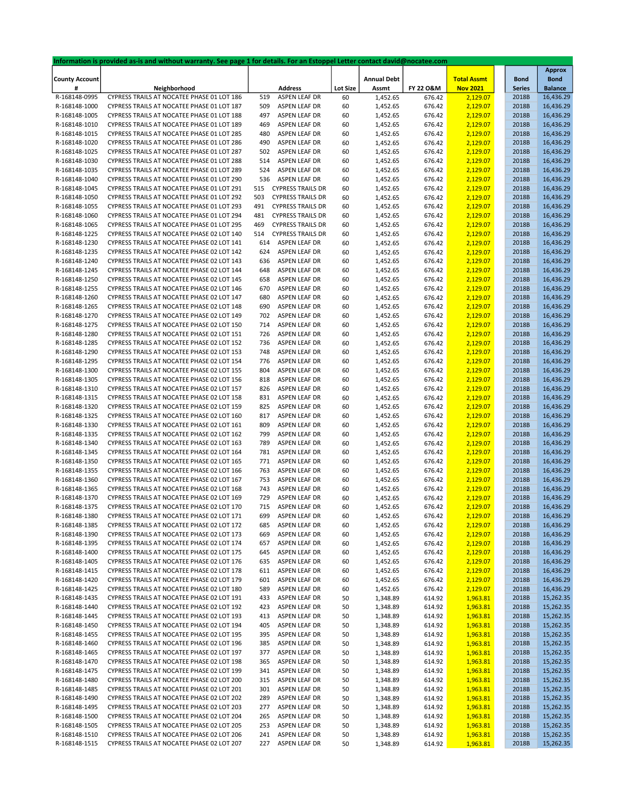|                       | Information is provided as-is and without warranty. See page 1 for details. For an Estoppel Letter contact david@nocatee.com |     |                          |                 |                    |                      |                    |               |                |
|-----------------------|------------------------------------------------------------------------------------------------------------------------------|-----|--------------------------|-----------------|--------------------|----------------------|--------------------|---------------|----------------|
|                       |                                                                                                                              |     |                          |                 |                    |                      |                    |               | <b>Approx</b>  |
| <b>County Account</b> |                                                                                                                              |     |                          |                 | <b>Annual Debt</b> |                      | <b>Total Assmt</b> | <b>Bond</b>   | <b>Bond</b>    |
| #                     | Neighborhood                                                                                                                 |     | <b>Address</b>           | <b>Lot Size</b> | Assmt              | <b>FY 22 O&amp;M</b> | <b>Nov 2021</b>    | <b>Series</b> | <b>Balance</b> |
| R-168148-0995         | CYPRESS TRAILS AT NOCATEE PHASE 01 LOT 186                                                                                   | 519 | ASPEN LEAF DR            | 60              | 1,452.65           | 676.42               | 2,129.07           | 2018B         | 16,436.29      |
| R-168148-1000         | CYPRESS TRAILS AT NOCATEE PHASE 01 LOT 187                                                                                   | 509 | ASPEN LEAF DR            | 60              | 1,452.65           | 676.42               | 2,129.07           | 2018B         | 16,436.29      |
| R-168148-1005         | CYPRESS TRAILS AT NOCATEE PHASE 01 LOT 188                                                                                   | 497 | ASPEN LEAF DR            | 60              | 1,452.65           | 676.42               | 2,129.07           | 2018B         | 16,436.29      |
| R-168148-1010         | CYPRESS TRAILS AT NOCATEE PHASE 01 LOT 189                                                                                   | 469 | ASPEN LEAF DR            | 60              | 1,452.65           | 676.42               | 2,129.07           | 2018B         | 16,436.29      |
| R-168148-1015         | CYPRESS TRAILS AT NOCATEE PHASE 01 LOT 285                                                                                   | 480 | ASPEN LEAF DR            | 60              | 1,452.65           | 676.42               | 2,129.07           | 2018B         | 16,436.29      |
| R-168148-1020         | CYPRESS TRAILS AT NOCATEE PHASE 01 LOT 286                                                                                   | 490 | ASPEN LEAF DR            | 60              | 1,452.65           | 676.42               | 2,129.07           | 2018B         | 16,436.29      |
| R-168148-1025         | CYPRESS TRAILS AT NOCATEE PHASE 01 LOT 287                                                                                   |     | ASPEN LEAF DR            |                 |                    | 676.42               |                    | 2018B         | 16,436.29      |
|                       |                                                                                                                              | 502 |                          | 60              | 1,452.65           |                      | 2,129.07           |               |                |
| R-168148-1030         | CYPRESS TRAILS AT NOCATEE PHASE 01 LOT 288                                                                                   | 514 | ASPEN LEAF DR            | 60              | 1,452.65           | 676.42               | 2,129.07           | 2018B         | 16,436.29      |
| R-168148-1035         | CYPRESS TRAILS AT NOCATEE PHASE 01 LOT 289                                                                                   | 524 | ASPEN LEAF DR            | 60              | 1,452.65           | 676.42               | 2,129.07           | 2018B         | 16,436.29      |
| R-168148-1040         | CYPRESS TRAILS AT NOCATEE PHASE 01 LOT 290                                                                                   | 536 | ASPEN LEAF DR            | 60              | 1,452.65           | 676.42               | 2,129.07           | 2018B         | 16,436.29      |
| R-168148-1045         | CYPRESS TRAILS AT NOCATEE PHASE 01 LOT 291                                                                                   | 515 | <b>CYPRESS TRAILS DR</b> | 60              | 1,452.65           | 676.42               | 2,129.07           | 2018B         | 16,436.29      |
| R-168148-1050         | CYPRESS TRAILS AT NOCATEE PHASE 01 LOT 292                                                                                   | 503 | <b>CYPRESS TRAILS DR</b> | 60              | 1,452.65           | 676.42               | 2,129.07           | 2018B         | 16,436.29      |
| R-168148-1055         | CYPRESS TRAILS AT NOCATEE PHASE 01 LOT 293                                                                                   | 491 | <b>CYPRESS TRAILS DR</b> | 60              | 1,452.65           | 676.42               | 2,129.07           | 2018B         | 16,436.29      |
| R-168148-1060         | CYPRESS TRAILS AT NOCATEE PHASE 01 LOT 294                                                                                   | 481 | <b>CYPRESS TRAILS DR</b> | 60              | 1,452.65           | 676.42               | 2,129.07           | 2018B         | 16,436.29      |
| R-168148-1065         | CYPRESS TRAILS AT NOCATEE PHASE 01 LOT 295                                                                                   | 469 | <b>CYPRESS TRAILS DR</b> | 60              | 1,452.65           | 676.42               | 2,129.07           | 2018B         | 16,436.29      |
| R-168148-1225         | CYPRESS TRAILS AT NOCATEE PHASE 02 LOT 140                                                                                   | 514 | <b>CYPRESS TRAILS DR</b> | 60              | 1,452.65           | 676.42               | 2,129.07           | 2018B         | 16,436.29      |
| R-168148-1230         | CYPRESS TRAILS AT NOCATEE PHASE 02 LOT 141                                                                                   | 614 | ASPEN LEAF DR            | 60              | 1,452.65           | 676.42               | 2,129.07           | 2018B         | 16,436.29      |
| R-168148-1235         | CYPRESS TRAILS AT NOCATEE PHASE 02 LOT 142                                                                                   | 624 | ASPEN LEAF DR            |                 |                    |                      |                    | 2018B         | 16,436.29      |
|                       |                                                                                                                              |     |                          | 60              | 1,452.65           | 676.42               | 2,129.07           |               |                |
| R-168148-1240         | CYPRESS TRAILS AT NOCATEE PHASE 02 LOT 143                                                                                   | 636 | ASPEN LEAF DR            | 60              | 1,452.65           | 676.42               | 2,129.07           | 2018B         | 16,436.29      |
| R-168148-1245         | CYPRESS TRAILS AT NOCATEE PHASE 02 LOT 144                                                                                   | 648 | ASPEN LEAF DR            | 60              | 1,452.65           | 676.42               | 2,129.07           | 2018B         | 16,436.29      |
| R-168148-1250         | CYPRESS TRAILS AT NOCATEE PHASE 02 LOT 145                                                                                   | 658 | ASPEN LEAF DR            | 60              | 1,452.65           | 676.42               | 2,129.07           | 2018B         | 16,436.29      |
| R-168148-1255         | CYPRESS TRAILS AT NOCATEE PHASE 02 LOT 146                                                                                   | 670 | ASPEN LEAF DR            | 60              | 1,452.65           | 676.42               | 2,129.07           | 2018B         | 16,436.29      |
| R-168148-1260         | CYPRESS TRAILS AT NOCATEE PHASE 02 LOT 147                                                                                   | 680 | ASPEN LEAF DR            | 60              | 1,452.65           | 676.42               | 2,129.07           | 2018B         | 16,436.29      |
| R-168148-1265         | CYPRESS TRAILS AT NOCATEE PHASE 02 LOT 148                                                                                   | 690 | ASPEN LEAF DR            | 60              | 1,452.65           | 676.42               | 2,129.07           | 2018B         | 16,436.29      |
| R-168148-1270         | CYPRESS TRAILS AT NOCATEE PHASE 02 LOT 149                                                                                   | 702 | ASPEN LEAF DR            | 60              | 1,452.65           | 676.42               | 2,129.07           | 2018B         | 16,436.29      |
| R-168148-1275         | CYPRESS TRAILS AT NOCATEE PHASE 02 LOT 150                                                                                   | 714 | ASPEN LEAF DR            | 60              | 1,452.65           | 676.42               | 2,129.07           | 2018B         | 16,436.29      |
| R-168148-1280         | CYPRESS TRAILS AT NOCATEE PHASE 02 LOT 151                                                                                   | 726 | ASPEN LEAF DR            | 60              | 1,452.65           | 676.42               | 2,129.07           | 2018B         | 16,436.29      |
| R-168148-1285         | CYPRESS TRAILS AT NOCATEE PHASE 02 LOT 152                                                                                   | 736 | ASPEN LEAF DR            | 60              | 1,452.65           | 676.42               | 2,129.07           | 2018B         | 16,436.29      |
|                       | CYPRESS TRAILS AT NOCATEE PHASE 02 LOT 153                                                                                   | 748 |                          |                 |                    |                      |                    |               |                |
| R-168148-1290         |                                                                                                                              |     | ASPEN LEAF DR            | 60              | 1,452.65           | 676.42               | 2,129.07           | 2018B         | 16,436.29      |
| R-168148-1295         | CYPRESS TRAILS AT NOCATEE PHASE 02 LOT 154                                                                                   | 776 | ASPEN LEAF DR            | 60              | 1,452.65           | 676.42               | 2,129.07           | 2018B         | 16,436.29      |
| R-168148-1300         | CYPRESS TRAILS AT NOCATEE PHASE 02 LOT 155                                                                                   | 804 | ASPEN LEAF DR            | 60              | 1,452.65           | 676.42               | 2,129.07           | 2018B         | 16,436.29      |
| R-168148-1305         | CYPRESS TRAILS AT NOCATEE PHASE 02 LOT 156                                                                                   | 818 | ASPEN LEAF DR            | 60              | 1,452.65           | 676.42               | 2,129.07           | 2018B         | 16,436.29      |
| R-168148-1310         | CYPRESS TRAILS AT NOCATEE PHASE 02 LOT 157                                                                                   | 826 | ASPEN LEAF DR            | 60              | 1,452.65           | 676.42               | 2,129.07           | 2018B         | 16,436.29      |
| R-168148-1315         | CYPRESS TRAILS AT NOCATEE PHASE 02 LOT 158                                                                                   | 831 | ASPEN LEAF DR            | 60              | 1,452.65           | 676.42               | 2,129.07           | 2018B         | 16,436.29      |
| R-168148-1320         | CYPRESS TRAILS AT NOCATEE PHASE 02 LOT 159                                                                                   | 825 | ASPEN LEAF DR            | 60              | 1,452.65           | 676.42               | 2,129.07           | 2018B         | 16,436.29      |
| R-168148-1325         | CYPRESS TRAILS AT NOCATEE PHASE 02 LOT 160                                                                                   | 817 | ASPEN LEAF DR            | 60              | 1,452.65           | 676.42               | 2,129.07           | 2018B         | 16,436.29      |
| R-168148-1330         | CYPRESS TRAILS AT NOCATEE PHASE 02 LOT 161                                                                                   | 809 | ASPEN LEAF DR            | 60              | 1,452.65           | 676.42               | 2,129.07           | 2018B         | 16,436.29      |
| R-168148-1335         | CYPRESS TRAILS AT NOCATEE PHASE 02 LOT 162                                                                                   | 799 | ASPEN LEAF DR            | 60              | 1,452.65           | 676.42               | 2,129.07           | 2018B         | 16,436.29      |
| R-168148-1340         | CYPRESS TRAILS AT NOCATEE PHASE 02 LOT 163                                                                                   | 789 | ASPEN LEAF DR            | 60              | 1,452.65           | 676.42               | 2,129.07           | 2018B         | 16,436.29      |
| R-168148-1345         | CYPRESS TRAILS AT NOCATEE PHASE 02 LOT 164                                                                                   | 781 | ASPEN LEAF DR            | 60              | 1,452.65           | 676.42               | 2,129.07           | 2018B         | 16,436.29      |
| R-168148-1350         | CYPRESS TRAILS AT NOCATEE PHASE 02 LOT 165                                                                                   | 771 | ASPEN LEAF DR            | 60              | 1,452.65           | 676.42               | 2,129.07           | 2018B         | 16,436.29      |
|                       |                                                                                                                              | 763 |                          |                 |                    |                      |                    |               |                |
| R-168148-1355         | CYPRESS TRAILS AT NOCATEE PHASE 02 LOT 166                                                                                   |     | ASPEN LEAF DR            | 60              | 1,452.65           | 676.42               | 2,129.07           | 2018B         | 16,436.29      |
| R-168148-1360         | CYPRESS TRAILS AT NOCATEE PHASE 02 LOT 167                                                                                   | 753 | ASPEN LEAF DR            | 60              | 1,452.65           | 676.42               | 2,129.07           | 2018B         | 16,436.29      |
| R-168148-1365         | CYPRESS TRAILS AT NOCATEE PHASE 02 LOT 168                                                                                   | 743 | ASPEN LEAF DR            | 60              | 1,452.65           | 676.42               | 2,129.07           | 2018B         | 16,436.29      |
| R-168148-1370         | CYPRESS TRAILS AT NOCATEE PHASE 02 LOT 169                                                                                   | 729 | ASPEN LEAF DR            | 60              | 1,452.65           | 676.42               | 2,129.07           | 2018B         | 16,436.29      |
| R-168148-1375         | CYPRESS TRAILS AT NOCATEE PHASE 02 LOT 170                                                                                   | 715 | ASPEN LEAF DR            | 60              | 1,452.65           | 676.42               | 2,129.07           | 2018B         | 16,436.29      |
| R-168148-1380         | CYPRESS TRAILS AT NOCATEE PHASE 02 LOT 171                                                                                   | 699 | ASPEN LEAF DR            | 60              | 1,452.65           | 676.42               | 2,129.07           | 2018B         | 16,436.29      |
| R-168148-1385         | CYPRESS TRAILS AT NOCATEE PHASE 02 LOT 172                                                                                   | 685 | ASPEN LEAF DR            | 60              | 1,452.65           | 676.42               | 2,129.07           | 2018B         | 16,436.29      |
| R-168148-1390         | CYPRESS TRAILS AT NOCATEE PHASE 02 LOT 173                                                                                   | 669 | ASPEN LEAF DR            | 60              | 1,452.65           | 676.42               | 2,129.07           | 2018B         | 16,436.29      |
| R-168148-1395         | CYPRESS TRAILS AT NOCATEE PHASE 02 LOT 174                                                                                   | 657 | ASPEN LEAF DR            | 60              | 1,452.65           | 676.42               | 2,129.07           | 2018B         | 16,436.29      |
| R-168148-1400         | CYPRESS TRAILS AT NOCATEE PHASE 02 LOT 175                                                                                   | 645 | ASPEN LEAF DR            | 60              | 1,452.65           | 676.42               | 2,129.07           | 2018B         | 16,436.29      |
| R-168148-1405         | CYPRESS TRAILS AT NOCATEE PHASE 02 LOT 176                                                                                   | 635 | ASPEN LEAF DR            | 60              | 1,452.65           | 676.42               | 2,129.07           | 2018B         | 16,436.29      |
| R-168148-1415         | CYPRESS TRAILS AT NOCATEE PHASE 02 LOT 178                                                                                   | 611 | ASPEN LEAF DR            | 60              | 1,452.65           | 676.42               | 2,129.07           | 2018B         | 16,436.29      |
| R-168148-1420         | CYPRESS TRAILS AT NOCATEE PHASE 02 LOT 179                                                                                   | 601 | ASPEN LEAF DR            | 60              | 1,452.65           | 676.42               | 2,129.07           | 2018B         | 16,436.29      |
|                       |                                                                                                                              |     |                          |                 |                    |                      |                    |               |                |
| R-168148-1425         | CYPRESS TRAILS AT NOCATEE PHASE 02 LOT 180                                                                                   | 589 | ASPEN LEAF DR            | 60              | 1,452.65           | 676.42               | 2,129.07           | 2018B         | 16,436.29      |
| R-168148-1435         | CYPRESS TRAILS AT NOCATEE PHASE 02 LOT 191                                                                                   | 433 | ASPEN LEAF DR            | 50              | 1,348.89           | 614.92               | 1,963.81           | 2018B         | 15,262.35      |
| R-168148-1440         | CYPRESS TRAILS AT NOCATEE PHASE 02 LOT 192                                                                                   | 423 | ASPEN LEAF DR            | 50              | 1,348.89           | 614.92               | 1,963.81           | 2018B         | 15,262.35      |
| R-168148-1445         | CYPRESS TRAILS AT NOCATEE PHASE 02 LOT 193                                                                                   | 413 | ASPEN LEAF DR            | 50              | 1,348.89           | 614.92               | 1,963.81           | 2018B         | 15,262.35      |
| R-168148-1450         | CYPRESS TRAILS AT NOCATEE PHASE 02 LOT 194                                                                                   | 405 | ASPEN LEAF DR            | 50              | 1,348.89           | 614.92               | 1,963.81           | 2018B         | 15,262.35      |
| R-168148-1455         | CYPRESS TRAILS AT NOCATEE PHASE 02 LOT 195                                                                                   | 395 | ASPEN LEAF DR            | 50              | 1,348.89           | 614.92               | 1,963.81           | 2018B         | 15,262.35      |
| R-168148-1460         | CYPRESS TRAILS AT NOCATEE PHASE 02 LOT 196                                                                                   | 385 | ASPEN LEAF DR            | 50              | 1,348.89           | 614.92               | 1,963.81           | 2018B         | 15,262.35      |
| R-168148-1465         | CYPRESS TRAILS AT NOCATEE PHASE 02 LOT 197                                                                                   | 377 | ASPEN LEAF DR            | 50              | 1,348.89           | 614.92               | 1,963.81           | 2018B         | 15,262.35      |
| R-168148-1470         | CYPRESS TRAILS AT NOCATEE PHASE 02 LOT 198                                                                                   | 365 | ASPEN LEAF DR            | 50              | 1,348.89           | 614.92               | 1,963.81           | 2018B         | 15,262.35      |
| R-168148-1475         | CYPRESS TRAILS AT NOCATEE PHASE 02 LOT 199                                                                                   | 341 | ASPEN LEAF DR            | 50              | 1,348.89           | 614.92               | 1,963.81           | 2018B         | 15,262.35      |
| R-168148-1480         | CYPRESS TRAILS AT NOCATEE PHASE 02 LOT 200                                                                                   | 315 | ASPEN LEAF DR            | 50              | 1,348.89           | 614.92               | 1,963.81           | 2018B         | 15,262.35      |
| R-168148-1485         | CYPRESS TRAILS AT NOCATEE PHASE 02 LOT 201                                                                                   | 301 | ASPEN LEAF DR            | 50              | 1,348.89           | 614.92               | 1,963.81           | 2018B         | 15,262.35      |
|                       |                                                                                                                              |     |                          |                 |                    |                      |                    |               |                |
| R-168148-1490         | CYPRESS TRAILS AT NOCATEE PHASE 02 LOT 202                                                                                   | 289 | ASPEN LEAF DR            | 50              | 1,348.89           | 614.92               | 1,963.81           | 2018B         | 15,262.35      |
| R-168148-1495         | CYPRESS TRAILS AT NOCATEE PHASE 02 LOT 203                                                                                   | 277 | ASPEN LEAF DR            | 50              | 1,348.89           | 614.92               | 1,963.81           | 2018B         | 15,262.35      |
| R-168148-1500         | CYPRESS TRAILS AT NOCATEE PHASE 02 LOT 204                                                                                   | 265 | ASPEN LEAF DR            | 50              | 1,348.89           | 614.92               | 1,963.81           | 2018B         | 15,262.35      |
| R-168148-1505         | CYPRESS TRAILS AT NOCATEE PHASE 02 LOT 205                                                                                   | 253 | ASPEN LEAF DR            | 50              | 1,348.89           | 614.92               | 1,963.81           | 2018B         | 15,262.35      |
| R-168148-1510         | CYPRESS TRAILS AT NOCATEE PHASE 02 LOT 206                                                                                   | 241 | ASPEN LEAF DR            | 50              | 1,348.89           | 614.92               | 1,963.81           | 2018B         | 15,262.35      |
| R-168148-1515         | CYPRESS TRAILS AT NOCATEE PHASE 02 LOT 207                                                                                   | 227 | ASPEN LEAF DR            | 50              | 1,348.89           | 614.92               | 1,963.81           | 2018B         | 15,262.35      |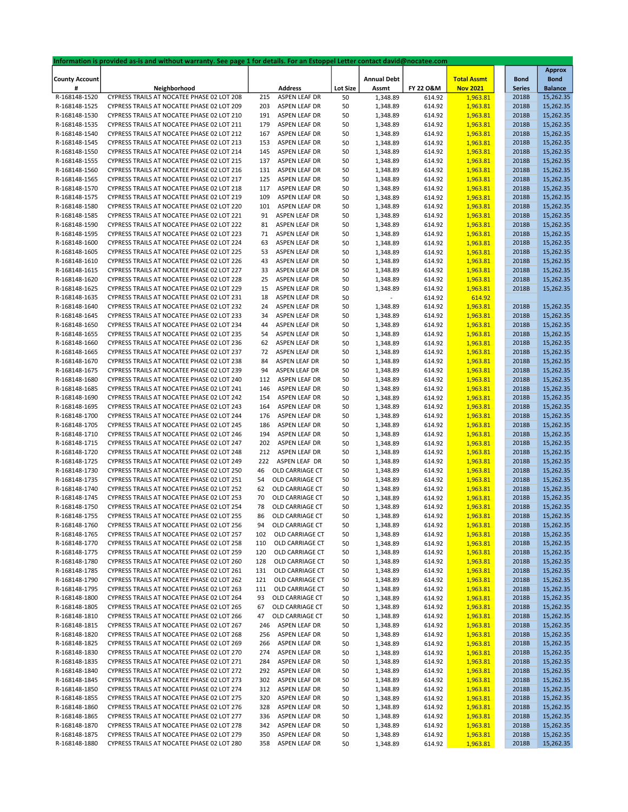|                       | Information is provided as-is and without warranty. See page 1 for details. For an Estoppel Letter contact david@nocatee.com |     |                      |                 |                    |           |                    |               |                |
|-----------------------|------------------------------------------------------------------------------------------------------------------------------|-----|----------------------|-----------------|--------------------|-----------|--------------------|---------------|----------------|
|                       |                                                                                                                              |     |                      |                 |                    |           |                    |               | <b>Approx</b>  |
| <b>County Account</b> |                                                                                                                              |     |                      |                 | <b>Annual Debt</b> |           | <b>Total Assmt</b> | <b>Bond</b>   | <b>Bond</b>    |
| #                     | Neighborhood                                                                                                                 |     | <b>Address</b>       | <b>Lot Size</b> | Assmt              | FY 22 O&M | <b>Nov 2021</b>    | <b>Series</b> | <b>Balance</b> |
| R-168148-1520         | CYPRESS TRAILS AT NOCATEE PHASE 02 LOT 208                                                                                   | 215 | ASPEN LEAF DR        | 50              | 1,348.89           | 614.92    | 1,963.81           | 2018B         | 15,262.35      |
|                       |                                                                                                                              | 203 | ASPEN LEAF DR        |                 |                    |           |                    |               |                |
| R-168148-1525         | CYPRESS TRAILS AT NOCATEE PHASE 02 LOT 209                                                                                   |     |                      | 50              | 1,348.89           | 614.92    | 1,963.81           | 2018B         | 15,262.35      |
| R-168148-1530         | CYPRESS TRAILS AT NOCATEE PHASE 02 LOT 210                                                                                   | 191 | ASPEN LEAF DR        | 50              | 1,348.89           | 614.92    | 1,963.81           | 2018B         | 15,262.35      |
| R-168148-1535         | CYPRESS TRAILS AT NOCATEE PHASE 02 LOT 211                                                                                   | 179 | <b>ASPEN LEAF DR</b> | 50              | 1,348.89           | 614.92    | 1,963.81           | 2018B         | 15,262.35      |
| R-168148-1540         | CYPRESS TRAILS AT NOCATEE PHASE 02 LOT 212                                                                                   | 167 | ASPEN LEAF DR        | 50              | 1,348.89           | 614.92    | 1,963.81           | 2018B         | 15,262.35      |
| R-168148-1545         | CYPRESS TRAILS AT NOCATEE PHASE 02 LOT 213                                                                                   | 153 | ASPEN LEAF DR        | 50              | 1,348.89           | 614.92    | 1,963.81           | 2018B         | 15,262.35      |
| R-168148-1550         | CYPRESS TRAILS AT NOCATEE PHASE 02 LOT 214                                                                                   | 145 | ASPEN LEAF DR        | 50              | 1,348.89           | 614.92    | 1,963.81           | 2018B         | 15,262.35      |
| R-168148-1555         | CYPRESS TRAILS AT NOCATEE PHASE 02 LOT 215                                                                                   | 137 | ASPEN LEAF DR        | 50              | 1,348.89           | 614.92    | 1,963.81           | 2018B         | 15,262.35      |
| R-168148-1560         | CYPRESS TRAILS AT NOCATEE PHASE 02 LOT 216                                                                                   | 131 | ASPEN LEAF DR        |                 |                    | 614.92    | 1,963.81           | 2018B         | 15,262.35      |
|                       |                                                                                                                              |     |                      | 50              | 1,348.89           |           |                    |               |                |
| R-168148-1565         | CYPRESS TRAILS AT NOCATEE PHASE 02 LOT 217                                                                                   | 125 | ASPEN LEAF DR        | 50              | 1,348.89           | 614.92    | 1,963.81           | 2018B         | 15,262.35      |
| R-168148-1570         | CYPRESS TRAILS AT NOCATEE PHASE 02 LOT 218                                                                                   | 117 | ASPEN LEAF DR        | 50              | 1,348.89           | 614.92    | 1,963.81           | 2018B         | 15,262.35      |
| R-168148-1575         | CYPRESS TRAILS AT NOCATEE PHASE 02 LOT 219                                                                                   | 109 | ASPEN LEAF DR        | 50              | 1,348.89           | 614.92    | 1,963.81           | 2018B         | 15,262.35      |
| R-168148-1580         | CYPRESS TRAILS AT NOCATEE PHASE 02 LOT 220                                                                                   | 101 | ASPEN LEAF DR        | 50              | 1,348.89           | 614.92    | 1,963.81           | 2018B         | 15,262.35      |
| R-168148-1585         | CYPRESS TRAILS AT NOCATEE PHASE 02 LOT 221                                                                                   | 91  | ASPEN LEAF DR        | 50              | 1,348.89           | 614.92    | 1,963.81           | 2018B         | 15,262.35      |
| R-168148-1590         | CYPRESS TRAILS AT NOCATEE PHASE 02 LOT 222                                                                                   | 81  | ASPEN LEAF DR        | 50              | 1,348.89           | 614.92    | 1,963.81           | 2018B         | 15,262.35      |
| R-168148-1595         | CYPRESS TRAILS AT NOCATEE PHASE 02 LOT 223                                                                                   | 71  | ASPEN LEAF DR        | 50              | 1,348.89           | 614.92    | 1,963.81           | 2018B         | 15,262.35      |
|                       |                                                                                                                              |     |                      |                 |                    |           |                    |               |                |
| R-168148-1600         | CYPRESS TRAILS AT NOCATEE PHASE 02 LOT 224                                                                                   | 63  | ASPEN LEAF DR        | 50              | 1,348.89           | 614.92    | 1,963.81           | 2018B         | 15,262.35      |
| R-168148-1605         | CYPRESS TRAILS AT NOCATEE PHASE 02 LOT 225                                                                                   | 53  | ASPEN LEAF DR        | 50              | 1,348.89           | 614.92    | 1,963.81           | 2018B         | 15,262.35      |
| R-168148-1610         | CYPRESS TRAILS AT NOCATEE PHASE 02 LOT 226                                                                                   | 43  | ASPEN LEAF DR        | 50              | 1,348.89           | 614.92    | 1,963.81           | 2018B         | 15,262.35      |
| R-168148-1615         | CYPRESS TRAILS AT NOCATEE PHASE 02 LOT 227                                                                                   | 33  | ASPEN LEAF DR        | 50              | 1,348.89           | 614.92    | 1,963.81           | 2018B         | 15,262.35      |
| R-168148-1620         | CYPRESS TRAILS AT NOCATEE PHASE 02 LOT 228                                                                                   | 25  | ASPEN LEAF DR        | 50              | 1,348.89           | 614.92    | 1,963.81           | 2018B         | 15,262.35      |
| R-168148-1625         | CYPRESS TRAILS AT NOCATEE PHASE 02 LOT 229                                                                                   | 15  | ASPEN LEAF DR        | 50              | 1,348.89           | 614.92    | 1,963.81           | 2018B         | 15,262.35      |
| R-168148-1635         | CYPRESS TRAILS AT NOCATEE PHASE 02 LOT 231                                                                                   | 18  | ASPEN LEAF DR        | 50              |                    | 614.92    | 614.92             |               |                |
| R-168148-1640         | CYPRESS TRAILS AT NOCATEE PHASE 02 LOT 232                                                                                   | 24  | ASPEN LEAF DR        | 50              | 1,348.89           | 614.92    | 1,963.81           | 2018B         | 15,262.35      |
|                       |                                                                                                                              |     |                      |                 |                    |           |                    |               |                |
| R-168148-1645         | CYPRESS TRAILS AT NOCATEE PHASE 02 LOT 233                                                                                   | 34  | ASPEN LEAF DR        | 50              | 1,348.89           | 614.92    | 1,963.81           | 2018B         | 15,262.35      |
| R-168148-1650         | CYPRESS TRAILS AT NOCATEE PHASE 02 LOT 234                                                                                   | 44  | ASPEN LEAF DR        | 50              | 1,348.89           | 614.92    | 1,963.81           | 2018B         | 15,262.35      |
| R-168148-1655         | CYPRESS TRAILS AT NOCATEE PHASE 02 LOT 235                                                                                   | 54  | ASPEN LEAF DR        | 50              | 1,348.89           | 614.92    | 1,963.81           | 2018B         | 15,262.35      |
| R-168148-1660         | CYPRESS TRAILS AT NOCATEE PHASE 02 LOT 236                                                                                   | 62  | ASPEN LEAF DR        | 50              | 1,348.89           | 614.92    | 1,963.81           | 2018B         | 15,262.35      |
| R-168148-1665         | CYPRESS TRAILS AT NOCATEE PHASE 02 LOT 237                                                                                   | 72  | ASPEN LEAF DR        | 50              | 1,348.89           | 614.92    | 1,963.81           | 2018B         | 15,262.35      |
| R-168148-1670         | CYPRESS TRAILS AT NOCATEE PHASE 02 LOT 238                                                                                   | 84  | ASPEN LEAF DR        | 50              | 1,348.89           | 614.92    | 1,963.81           | 2018B         | 15,262.35      |
| R-168148-1675         | CYPRESS TRAILS AT NOCATEE PHASE 02 LOT 239                                                                                   | 94  | ASPEN LEAF DR        | 50              | 1,348.89           | 614.92    | 1,963.81           | 2018B         | 15,262.35      |
| R-168148-1680         | CYPRESS TRAILS AT NOCATEE PHASE 02 LOT 240                                                                                   | 112 | ASPEN LEAF DR        | 50              | 1,348.89           | 614.92    | 1,963.81           | 2018B         | 15,262.35      |
|                       | CYPRESS TRAILS AT NOCATEE PHASE 02 LOT 241                                                                                   | 146 | ASPEN LEAF DR        |                 |                    | 614.92    | 1,963.81           | 2018B         | 15,262.35      |
| R-168148-1685         |                                                                                                                              |     |                      | 50              | 1,348.89           |           |                    |               |                |
| R-168148-1690         | CYPRESS TRAILS AT NOCATEE PHASE 02 LOT 242                                                                                   | 154 | ASPEN LEAF DR        | 50              | 1,348.89           | 614.92    | 1,963.81           | 2018B         | 15,262.35      |
| R-168148-1695         | CYPRESS TRAILS AT NOCATEE PHASE 02 LOT 243                                                                                   | 164 | ASPEN LEAF DR        | 50              | 1,348.89           | 614.92    | 1,963.81           | 2018B         | 15,262.35      |
| R-168148-1700         | CYPRESS TRAILS AT NOCATEE PHASE 02 LOT 244                                                                                   | 176 | ASPEN LEAF DR        | 50              | 1,348.89           | 614.92    | 1,963.81           | 2018B         | 15,262.35      |
| R-168148-1705         | CYPRESS TRAILS AT NOCATEE PHASE 02 LOT 245                                                                                   | 186 | ASPEN LEAF DR        | 50              | 1,348.89           | 614.92    | 1,963.81           | 2018B         | 15,262.35      |
| R-168148-1710         | CYPRESS TRAILS AT NOCATEE PHASE 02 LOT 246                                                                                   | 194 | ASPEN LEAF DR        | 50              | 1,348.89           | 614.92    | 1,963.81           | 2018B         | 15,262.35      |
| R-168148-1715         | CYPRESS TRAILS AT NOCATEE PHASE 02 LOT 247                                                                                   | 202 | ASPEN LEAF DR        | 50              | 1,348.89           | 614.92    | 1,963.81           | 2018B         | 15,262.35      |
| R-168148-1720         | CYPRESS TRAILS AT NOCATEE PHASE 02 LOT 248                                                                                   | 212 | ASPEN LEAF DR        | 50              | 1,348.89           | 614.92    | 1,963.81           | 2018B         | 15,262.35      |
| R-168148-1725         | CYPRESS TRAILS AT NOCATEE PHASE 02 LOT 249                                                                                   | 222 | ASPEN LEAF DR        | 50              | 1,348.89           | 614.92    | 1,963.81           | 2018B         | 15,262.35      |
| R-168148-1730         | CYPRESS TRAILS AT NOCATEE PHASE 02 LOT 250                                                                                   | 46  | OLD CARRIAGE CT      | 50              | 1,348.89           | 614.92    | 1,963.81           | 2018B         | 15,262.35      |
|                       | CYPRESS TRAILS AT NOCATEE PHASE 02 LOT 251                                                                                   | 54  | OLD CARRIAGE CT      |                 |                    |           |                    | 2018B         |                |
| R-168148-1735         |                                                                                                                              |     |                      | 50              | 1,348.89           | 614.92    | 1,963.81           |               | 15,262.35      |
| R-168148-1740         | CYPRESS TRAILS AT NOCATEE PHASE 02 LOT 252                                                                                   | 62  | OLD CARRIAGE CT      | 50              | 1,348.89           | 614.92    | 1,963.81           | 2018B         | 15,262.35      |
| R-168148-1745         | CYPRESS TRAILS AT NOCATEE PHASE 02 LOT 253                                                                                   | 70  | OLD CARRIAGE CT      | 50              | 1,348.89           | 614.92    | 1,963.81           | 2018B         | 15,262.35      |
| R-168148-1750         | CYPRESS TRAILS AT NOCATEE PHASE 02 LOT 254                                                                                   | 78  | OLD CARRIAGE CT      | 50              | 1,348.89           | 614.92    | 1,963.81           | 2018B         | 15,262.35      |
| R-168148-1755         | CYPRESS TRAILS AT NOCATEE PHASE 02 LOT 255                                                                                   | 86  | OLD CARRIAGE CT      | 50              | 1,348.89           | 614.92    | 1,963.81           | 2018B         | 15,262.35      |
| R-168148-1760         | CYPRESS TRAILS AT NOCATEE PHASE 02 LOT 256                                                                                   | 94  | OLD CARRIAGE CT      | 50              | 1,348.89           | 614.92    | 1,963.81           | 2018B         | 15,262.35      |
| R-168148-1765         | CYPRESS TRAILS AT NOCATEE PHASE 02 LOT 257                                                                                   | 102 | OLD CARRIAGE CT      | 50              | 1,348.89           | 614.92    | 1,963.81           | 2018B         | 15,262.35      |
| R-168148-1770         | CYPRESS TRAILS AT NOCATEE PHASE 02 LOT 258                                                                                   | 110 | OLD CARRIAGE CT      | 50              | 1,348.89           | 614.92    | 1,963.81           | 2018B         | 15,262.35      |
| R-168148-1775         | CYPRESS TRAILS AT NOCATEE PHASE 02 LOT 259                                                                                   | 120 | OLD CARRIAGE CT      | 50              | 1,348.89           | 614.92    | 1,963.81           | 2018B         | 15,262.35      |
|                       |                                                                                                                              |     |                      |                 |                    |           |                    |               |                |
| R-168148-1780         | CYPRESS TRAILS AT NOCATEE PHASE 02 LOT 260                                                                                   | 128 | OLD CARRIAGE CT      | 50              | 1,348.89           | 614.92    | 1,963.81           | 2018B         | 15,262.35      |
| R-168148-1785         | CYPRESS TRAILS AT NOCATEE PHASE 02 LOT 261                                                                                   | 131 | OLD CARRIAGE CT      | 50              | 1,348.89           | 614.92    | 1,963.81           | 2018B         | 15,262.35      |
| R-168148-1790         | CYPRESS TRAILS AT NOCATEE PHASE 02 LOT 262                                                                                   | 121 | OLD CARRIAGE CT      | 50              | 1,348.89           | 614.92    | 1,963.81           | 2018B         | 15,262.35      |
| R-168148-1795         | CYPRESS TRAILS AT NOCATEE PHASE 02 LOT 263                                                                                   | 111 | OLD CARRIAGE CT      | 50              | 1,348.89           | 614.92    | 1,963.81           | 2018B         | 15,262.35      |
| R-168148-1800         | CYPRESS TRAILS AT NOCATEE PHASE 02 LOT 264                                                                                   | 93  | OLD CARRIAGE CT      | 50              | 1,348.89           | 614.92    | 1,963.81           | 2018B         | 15,262.35      |
| R-168148-1805         | CYPRESS TRAILS AT NOCATEE PHASE 02 LOT 265                                                                                   | 67  | OLD CARRIAGE CT      | 50              | 1,348.89           | 614.92    | 1,963.81           | 2018B         | 15,262.35      |
| R-168148-1810         | CYPRESS TRAILS AT NOCATEE PHASE 02 LOT 266                                                                                   | 47  | OLD CARRIAGE CT      | 50              | 1,348.89           | 614.92    | 1,963.81           | 2018B         | 15,262.35      |
| R-168148-1815         | CYPRESS TRAILS AT NOCATEE PHASE 02 LOT 267                                                                                   | 246 | ASPEN LEAF DR        | 50              | 1,348.89           | 614.92    | 1,963.81           | 2018B         | 15,262.35      |
| R-168148-1820         | CYPRESS TRAILS AT NOCATEE PHASE 02 LOT 268                                                                                   | 256 |                      |                 |                    |           | 1,963.81           |               | 15,262.35      |
|                       |                                                                                                                              |     | ASPEN LEAF DR        | 50              | 1,348.89           | 614.92    |                    | 2018B         |                |
| R-168148-1825         | CYPRESS TRAILS AT NOCATEE PHASE 02 LOT 269                                                                                   | 266 | ASPEN LEAF DR        | 50              | 1,348.89           | 614.92    | 1,963.81           | 2018B         | 15,262.35      |
| R-168148-1830         | CYPRESS TRAILS AT NOCATEE PHASE 02 LOT 270                                                                                   | 274 | ASPEN LEAF DR        | 50              | 1,348.89           | 614.92    | 1,963.81           | 2018B         | 15,262.35      |
| R-168148-1835         | CYPRESS TRAILS AT NOCATEE PHASE 02 LOT 271                                                                                   | 284 | ASPEN LEAF DR        | 50              | 1,348.89           | 614.92    | 1,963.81           | 2018B         | 15,262.35      |
| R-168148-1840         | CYPRESS TRAILS AT NOCATEE PHASE 02 LOT 272                                                                                   | 292 | ASPEN LEAF DR        | 50              | 1,348.89           | 614.92    | 1,963.81           | 2018B         | 15,262.35      |
| R-168148-1845         | CYPRESS TRAILS AT NOCATEE PHASE 02 LOT 273                                                                                   | 302 | ASPEN LEAF DR        | 50              | 1,348.89           | 614.92    | 1,963.81           | 2018B         | 15,262.35      |
| R-168148-1850         | CYPRESS TRAILS AT NOCATEE PHASE 02 LOT 274                                                                                   | 312 | ASPEN LEAF DR        | 50              | 1,348.89           | 614.92    | 1,963.81           | 2018B         | 15,262.35      |
| R-168148-1855         | CYPRESS TRAILS AT NOCATEE PHASE 02 LOT 275                                                                                   | 320 | ASPEN LEAF DR        | 50              | 1,348.89           | 614.92    | 1,963.81           | 2018B         | 15,262.35      |
| R-168148-1860         | CYPRESS TRAILS AT NOCATEE PHASE 02 LOT 276                                                                                   | 328 | ASPEN LEAF DR        | 50              | 1,348.89           | 614.92    | 1,963.81           | 2018B         | 15,262.35      |
| R-168148-1865         | CYPRESS TRAILS AT NOCATEE PHASE 02 LOT 277                                                                                   | 336 | ASPEN LEAF DR        | 50              | 1,348.89           | 614.92    | 1,963.81           | 2018B         | 15,262.35      |
|                       |                                                                                                                              |     |                      |                 |                    |           |                    |               |                |
| R-168148-1870         | CYPRESS TRAILS AT NOCATEE PHASE 02 LOT 278                                                                                   | 342 | ASPEN LEAF DR        | 50              | 1,348.89           | 614.92    | 1,963.81           | 2018B         | 15,262.35      |
| R-168148-1875         | CYPRESS TRAILS AT NOCATEE PHASE 02 LOT 279                                                                                   | 350 | ASPEN LEAF DR        | 50              | 1,348.89           | 614.92    | 1,963.81           | 2018B         | 15,262.35      |
| R-168148-1880         | CYPRESS TRAILS AT NOCATEE PHASE 02 LOT 280                                                                                   | 358 | ASPEN LEAF DR        | 50              | 1,348.89           | 614.92    | 1,963.81           | 2018B         | 15,262.35      |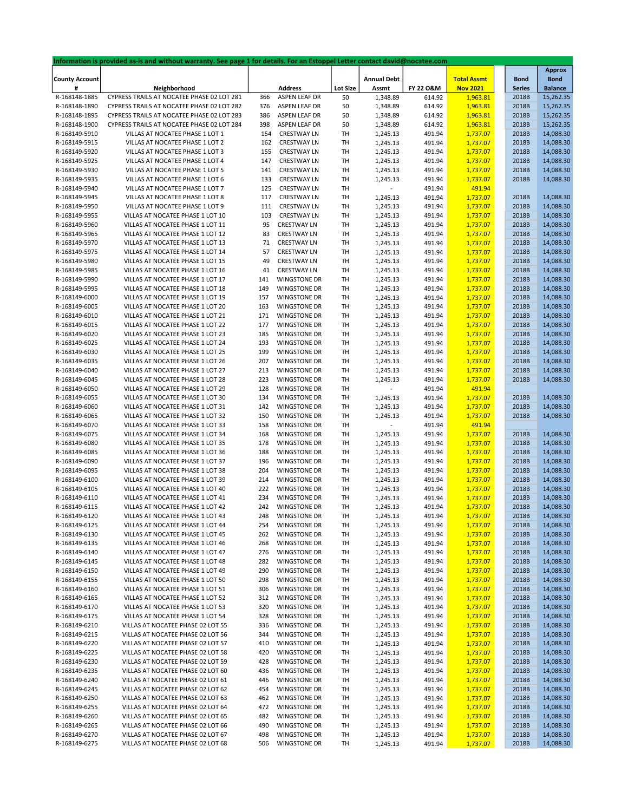|                       | Information is provided as-is and without warranty. See page 1 for details. For an Estoppel Letter contact david@nocatee.com |     |                     |                 |                    |           |                    |               |                |
|-----------------------|------------------------------------------------------------------------------------------------------------------------------|-----|---------------------|-----------------|--------------------|-----------|--------------------|---------------|----------------|
|                       |                                                                                                                              |     |                     |                 |                    |           |                    |               | <b>Approx</b>  |
| <b>County Account</b> |                                                                                                                              |     |                     |                 | <b>Annual Debt</b> |           | <b>Total Assmt</b> | <b>Bond</b>   | <b>Bond</b>    |
| #                     | Neighborhood                                                                                                                 |     | <b>Address</b>      | <b>Lot Size</b> | Assmt              | FY 22 O&M | <b>Nov 2021</b>    | <b>Series</b> | <b>Balance</b> |
| R-168148-1885         | CYPRESS TRAILS AT NOCATEE PHASE 02 LOT 281                                                                                   | 366 | ASPEN LEAF DR       | 50              | 1,348.89           | 614.92    | 1,963.81           | 2018B         | 15,262.35      |
| R-168148-1890         | CYPRESS TRAILS AT NOCATEE PHASE 02 LOT 282                                                                                   | 376 | ASPEN LEAF DR       | 50              | 1,348.89           | 614.92    | 1,963.81           | 2018B         | 15,262.35      |
| R-168148-1895         | CYPRESS TRAILS AT NOCATEE PHASE 02 LOT 283                                                                                   | 386 | ASPEN LEAF DR       | 50              | 1,348.89           | 614.92    | 1,963.81           | 2018B         | 15,262.35      |
| R-168148-1900         | CYPRESS TRAILS AT NOCATEE PHASE 02 LOT 284                                                                                   | 398 | ASPEN LEAF DR       | 50              | 1,348.89           | 614.92    | 1,963.81           | 2018B         | 15,262.35      |
|                       |                                                                                                                              |     |                     |                 |                    |           |                    |               |                |
| R-168149-5910         | VILLAS AT NOCATEE PHASE 1 LOT 1                                                                                              | 154 | <b>CRESTWAY LN</b>  | TH              | 1,245.13           | 491.94    | 1,737.07           | 2018B         | 14,088.30      |
| R-168149-5915         | VILLAS AT NOCATEE PHASE 1 LOT 2                                                                                              | 162 | <b>CRESTWAY LN</b>  | TH              | 1,245.13           | 491.94    | 1,737.07           | 2018B         | 14,088.30      |
| R-168149-5920         | VILLAS AT NOCATEE PHASE 1 LOT 3                                                                                              | 155 | <b>CRESTWAY LN</b>  | TH              | 1,245.13           | 491.94    | 1,737.07           | 2018B         | 14,088.30      |
| R-168149-5925         | VILLAS AT NOCATEE PHASE 1 LOT 4                                                                                              | 147 | <b>CRESTWAY LN</b>  | TH              | 1,245.13           | 491.94    | 1,737.07           | 2018B         | 14,088.30      |
| R-168149-5930         | VILLAS AT NOCATEE PHASE 1 LOT 5                                                                                              | 141 | <b>CRESTWAY LN</b>  | TH              | 1,245.13           | 491.94    | 1,737.07           | 2018B         | 14,088.30      |
| R-168149-5935         | VILLAS AT NOCATEE PHASE 1 LOT 6                                                                                              | 133 | <b>CRESTWAY LN</b>  | TH              | 1,245.13           | 491.94    | 1,737.07           | 2018B         | 14,088.30      |
| R-168149-5940         | VILLAS AT NOCATEE PHASE 1 LOT 7                                                                                              | 125 | <b>CRESTWAY LN</b>  | TH              |                    | 491.94    | 491.94             |               |                |
| R-168149-5945         | VILLAS AT NOCATEE PHASE 1 LOT 8                                                                                              | 117 | <b>CRESTWAY LN</b>  | TH              | 1,245.13           | 491.94    | 1,737.07           | 2018B         | 14,088.30      |
| R-168149-5950         | VILLAS AT NOCATEE PHASE 1 LOT 9                                                                                              | 111 | <b>CRESTWAY LN</b>  | TH              | 1,245.13           | 491.94    | 1,737.07           | 2018B         | 14,088.30      |
|                       |                                                                                                                              |     |                     |                 |                    |           |                    |               |                |
| R-168149-5955         | VILLAS AT NOCATEE PHASE 1 LOT 10                                                                                             | 103 | <b>CRESTWAY LN</b>  | TH              | 1,245.13           | 491.94    | 1,737.07           | 2018B         | 14,088.30      |
| R-168149-5960         | VILLAS AT NOCATEE PHASE 1 LOT 11                                                                                             | 95  | <b>CRESTWAY LN</b>  | TH              | 1,245.13           | 491.94    | 1,737.07           | 2018B         | 14,088.30      |
| R-168149-5965         | VILLAS AT NOCATEE PHASE 1 LOT 12                                                                                             | 83  | <b>CRESTWAY LN</b>  | TH              | 1,245.13           | 491.94    | 1,737.07           | 2018B         | 14,088.30      |
| R-168149-5970         | VILLAS AT NOCATEE PHASE 1 LOT 13                                                                                             | 71  | <b>CRESTWAY LN</b>  | TH              | 1,245.13           | 491.94    | 1,737.07           | 2018B         | 14,088.30      |
| R-168149-5975         | VILLAS AT NOCATEE PHASE 1 LOT 14                                                                                             | 57  | <b>CRESTWAY LN</b>  | TH              | 1,245.13           | 491.94    | 1,737.07           | 2018B         | 14,088.30      |
| R-168149-5980         | VILLAS AT NOCATEE PHASE 1 LOT 15                                                                                             | 49  | <b>CRESTWAY LN</b>  | TH              | 1,245.13           | 491.94    | 1,737.07           | 2018B         | 14,088.30      |
| R-168149-5985         | VILLAS AT NOCATEE PHASE 1 LOT 16                                                                                             | 41  | <b>CRESTWAY LN</b>  | TH              | 1,245.13           | 491.94    | 1,737.07           | 2018B         | 14,088.30      |
| R-168149-5990         | VILLAS AT NOCATEE PHASE 1 LOT 17                                                                                             | 141 | <b>WINGSTONE DR</b> | TH              | 1,245.13           | 491.94    | 1,737.07           | 2018B         | 14,088.30      |
|                       |                                                                                                                              |     |                     |                 |                    |           |                    |               |                |
| R-168149-5995         | VILLAS AT NOCATEE PHASE 1 LOT 18                                                                                             | 149 | <b>WINGSTONE DR</b> | TH              | 1,245.13           | 491.94    | 1,737.07           | 2018B         | 14,088.30      |
| R-168149-6000         | VILLAS AT NOCATEE PHASE 1 LOT 19                                                                                             | 157 | <b>WINGSTONE DR</b> | TH              | 1,245.13           | 491.94    | 1,737.07           | 2018B         | 14,088.30      |
| R-168149-6005         | VILLAS AT NOCATEE PHASE 1 LOT 20                                                                                             | 163 | <b>WINGSTONE DR</b> | TH              | 1,245.13           | 491.94    | 1,737.07           | 2018B         | 14,088.30      |
| R-168149-6010         | VILLAS AT NOCATEE PHASE 1 LOT 21                                                                                             | 171 | <b>WINGSTONE DR</b> | TH              | 1,245.13           | 491.94    | 1,737.07           | 2018B         | 14,088.30      |
| R-168149-6015         | VILLAS AT NOCATEE PHASE 1 LOT 22                                                                                             | 177 | <b>WINGSTONE DR</b> | TH              | 1,245.13           | 491.94    | 1,737.07           | 2018B         | 14,088.30      |
| R-168149-6020         | VILLAS AT NOCATEE PHASE 1 LOT 23                                                                                             | 185 | <b>WINGSTONE DR</b> | TH              | 1,245.13           | 491.94    | 1,737.07           | 2018B         | 14,088.30      |
| R-168149-6025         | VILLAS AT NOCATEE PHASE 1 LOT 24                                                                                             | 193 | <b>WINGSTONE DR</b> | TH              | 1,245.13           | 491.94    | 1,737.07           | 2018B         | 14,088.30      |
| R-168149-6030         | VILLAS AT NOCATEE PHASE 1 LOT 25                                                                                             | 199 | <b>WINGSTONE DR</b> | TH              | 1,245.13           | 491.94    | 1,737.07           | 2018B         | 14,088.30      |
|                       |                                                                                                                              |     |                     |                 |                    |           |                    |               |                |
| R-168149-6035         | VILLAS AT NOCATEE PHASE 1 LOT 26                                                                                             | 207 | <b>WINGSTONE DR</b> | TH              | 1,245.13           | 491.94    | 1,737.07           | 2018B         | 14,088.30      |
| R-168149-6040         | VILLAS AT NOCATEE PHASE 1 LOT 27                                                                                             | 213 | <b>WINGSTONE DR</b> | TH              | 1,245.13           | 491.94    | 1,737.07           | 2018B         | 14,088.30      |
| R-168149-6045         | VILLAS AT NOCATEE PHASE 1 LOT 28                                                                                             | 223 | <b>WINGSTONE DR</b> | TH              | 1,245.13           | 491.94    | 1,737.07           | 2018B         | 14,088.30      |
| R-168149-6050         | VILLAS AT NOCATEE PHASE 1 LOT 29                                                                                             | 128 | <b>WINGSTONE DR</b> | TH              |                    | 491.94    | 491.94             |               |                |
| R-168149-6055         | VILLAS AT NOCATEE PHASE 1 LOT 30                                                                                             | 134 | <b>WINGSTONE DR</b> | TH              | 1,245.13           | 491.94    | 1,737.07           | 2018B         | 14,088.30      |
| R-168149-6060         | VILLAS AT NOCATEE PHASE 1 LOT 31                                                                                             | 142 | <b>WINGSTONE DR</b> | TH              | 1,245.13           | 491.94    | 1,737.07           | 2018B         | 14,088.30      |
| R-168149-6065         | VILLAS AT NOCATEE PHASE 1 LOT 32                                                                                             | 150 | <b>WINGSTONE DR</b> | TH              | 1,245.13           | 491.94    | 1,737.07           | 2018B         | 14,088.30      |
| R-168149-6070         | VILLAS AT NOCATEE PHASE 1 LOT 33                                                                                             | 158 | <b>WINGSTONE DR</b> | TH              |                    | 491.94    | 491.94             |               |                |
|                       | VILLAS AT NOCATEE PHASE 1 LOT 34                                                                                             | 168 | <b>WINGSTONE DR</b> | TH              |                    | 491.94    | 1,737.07           | 2018B         | 14,088.30      |
| R-168149-6075         |                                                                                                                              |     |                     |                 | 1,245.13           |           |                    |               |                |
| R-168149-6080         | VILLAS AT NOCATEE PHASE 1 LOT 35                                                                                             | 178 | <b>WINGSTONE DR</b> | TH              | 1,245.13           | 491.94    | 1,737.07           | 2018B         | 14,088.30      |
| R-168149-6085         | VILLAS AT NOCATEE PHASE 1 LOT 36                                                                                             | 188 | <b>WINGSTONE DR</b> | TH              | 1,245.13           | 491.94    | 1,737.07           | 2018B         | 14,088.30      |
| R-168149-6090         | VILLAS AT NOCATEE PHASE 1 LOT 37                                                                                             | 196 | <b>WINGSTONE DR</b> | TH              | 1,245.13           | 491.94    | 1,737.07           | 2018B         | 14,088.30      |
| R-168149-6095         | VILLAS AT NOCATEE PHASE 1 LOT 38                                                                                             | 204 | <b>WINGSTONE DR</b> | TH              | 1,245.13           | 491.94    | 1,737.07           | 2018B         | 14,088.30      |
| R-168149-6100         | VILLAS AT NOCATEE PHASE 1 LOT 39                                                                                             | 214 | <b>WINGSTONE DR</b> | TH              | 1,245.13           | 491.94    | 1,737.07           | 2018B         | 14,088.30      |
| R-168149-6105         | VILLAS AT NOCATEE PHASE 1 LOT 40                                                                                             | 222 | <b>WINGSTONE DR</b> | TH              | 1,245.13           | 491.94    | 1,737.07           | 2018B         | 14,088.30      |
| R-168149-6110         | VILLAS AT NOCATEE PHASE 1 LOT 41                                                                                             | 234 | <b>WINGSTONE DR</b> | TH              | 1,245.13           | 491.94    | 1,737.07           | 2018B         | 14,088.30      |
| R-168149-6115         | VILLAS AT NOCATEE PHASE 1 LOT 42                                                                                             | 242 | <b>WINGSTONE DR</b> | TH              | 1,245.13           | 491.94    | 1,737.07           | 2018B         | 14,088.30      |
|                       |                                                                                                                              |     |                     |                 |                    |           |                    |               |                |
| R-168149-6120         | VILLAS AT NOCATEE PHASE 1 LOT 43                                                                                             | 248 | WINGSTONE DR        | TН              | 1,245.13           | 491.94    | 1,737.07           | 2018B         | 14,088.30      |
| R-168149-6125         | VILLAS AT NOCATEE PHASE 1 LOT 44                                                                                             | 254 | <b>WINGSTONE DR</b> | TH              | 1,245.13           | 491.94    | 1,737.07           | 2018B         | 14,088.30      |
| R-168149-6130         | VILLAS AT NOCATEE PHASE 1 LOT 45                                                                                             | 262 | <b>WINGSTONE DR</b> | TH              | 1,245.13           | 491.94    | 1,737.07           | 2018B         | 14,088.30      |
| R-168149-6135         | VILLAS AT NOCATEE PHASE 1 LOT 46                                                                                             | 268 | <b>WINGSTONE DR</b> | TH              | 1,245.13           | 491.94    | 1,737.07           | 2018B         | 14,088.30      |
| R-168149-6140         | VILLAS AT NOCATEE PHASE 1 LOT 47                                                                                             | 276 | <b>WINGSTONE DR</b> | TH              | 1,245.13           | 491.94    | 1,737.07           | 2018B         | 14,088.30      |
| R-168149-6145         | VILLAS AT NOCATEE PHASE 1 LOT 48                                                                                             | 282 | <b>WINGSTONE DR</b> | TH              | 1,245.13           | 491.94    | 1,737.07           | 2018B         | 14,088.30      |
| R-168149-6150         | VILLAS AT NOCATEE PHASE 1 LOT 49                                                                                             | 290 | <b>WINGSTONE DR</b> | TH              | 1,245.13           | 491.94    | 1,737.07           | 2018B         | 14,088.30      |
| R-168149-6155         | VILLAS AT NOCATEE PHASE 1 LOT 50                                                                                             | 298 | <b>WINGSTONE DR</b> | TH              | 1,245.13           | 491.94    | 1,737.07           | 2018B         | 14,088.30      |
| R-168149-6160         | VILLAS AT NOCATEE PHASE 1 LOT 51                                                                                             | 306 | <b>WINGSTONE DR</b> | TH              | 1,245.13           | 491.94    | 1,737.07           | 2018B         | 14,088.30      |
|                       |                                                                                                                              |     |                     |                 |                    |           |                    |               |                |
| R-168149-6165         | VILLAS AT NOCATEE PHASE 1 LOT 52                                                                                             | 312 | <b>WINGSTONE DR</b> | TH              | 1,245.13           | 491.94    | 1,737.07           | 2018B         | 14,088.30      |
| R-168149-6170         | VILLAS AT NOCATEE PHASE 1 LOT 53                                                                                             | 320 | WINGSTONE DR        | TH              | 1,245.13           | 491.94    | 1,737.07           | 2018B         | 14,088.30      |
| R-168149-6175         | VILLAS AT NOCATEE PHASE 1 LOT 54                                                                                             | 328 | <b>WINGSTONE DR</b> | TH              | 1,245.13           | 491.94    | 1,737.07           | 2018B         | 14,088.30      |
| R-168149-6210         | VILLAS AT NOCATEE PHASE 02 LOT 55                                                                                            | 336 | WINGSTONE DR        | TH              | 1,245.13           | 491.94    | 1,737.07           | 2018B         | 14,088.30      |
| R-168149-6215         | VILLAS AT NOCATEE PHASE 02 LOT 56                                                                                            | 344 | WINGSTONE DR        | TH              | 1,245.13           | 491.94    | 1,737.07           | 2018B         | 14,088.30      |
| R-168149-6220         | VILLAS AT NOCATEE PHASE 02 LOT 57                                                                                            | 410 | WINGSTONE DR        | TH              | 1,245.13           | 491.94    | 1,737.07           | 2018B         | 14,088.30      |
| R-168149-6225         | VILLAS AT NOCATEE PHASE 02 LOT 58                                                                                            | 420 | <b>WINGSTONE DR</b> | TH              | 1,245.13           | 491.94    | 1,737.07           | 2018B         | 14,088.30      |
| R-168149-6230         | VILLAS AT NOCATEE PHASE 02 LOT 59                                                                                            | 428 | <b>WINGSTONE DR</b> | TH              | 1,245.13           | 491.94    | 1,737.07           | 2018B         | 14,088.30      |
|                       |                                                                                                                              |     |                     |                 |                    |           |                    |               |                |
| R-168149-6235         | VILLAS AT NOCATEE PHASE 02 LOT 60                                                                                            | 436 | WINGSTONE DR        | TH              | 1,245.13           | 491.94    | 1,737.07           | 2018B         | 14,088.30      |
| R-168149-6240         | VILLAS AT NOCATEE PHASE 02 LOT 61                                                                                            | 446 | <b>WINGSTONE DR</b> | TH              | 1,245.13           | 491.94    | 1,737.07           | 2018B         | 14,088.30      |
| R-168149-6245         | VILLAS AT NOCATEE PHASE 02 LOT 62                                                                                            | 454 | <b>WINGSTONE DR</b> | TH              | 1,245.13           | 491.94    | 1,737.07           | 2018B         | 14,088.30      |
| R-168149-6250         | VILLAS AT NOCATEE PHASE 02 LOT 63                                                                                            | 462 | <b>WINGSTONE DR</b> | TH              | 1,245.13           | 491.94    | 1,737.07           | 2018B         | 14,088.30      |
| R-168149-6255         | VILLAS AT NOCATEE PHASE 02 LOT 64                                                                                            | 472 | WINGSTONE DR        | TH              | 1,245.13           | 491.94    | 1,737.07           | 2018B         | 14,088.30      |
| R-168149-6260         | VILLAS AT NOCATEE PHASE 02 LOT 65                                                                                            | 482 | WINGSTONE DR        | TH              | 1,245.13           | 491.94    | 1,737.07           | 2018B         | 14,088.30      |
| R-168149-6265         | VILLAS AT NOCATEE PHASE 02 LOT 66                                                                                            | 490 | WINGSTONE DR        | TH              | 1,245.13           | 491.94    | 1,737.07           | 2018B         | 14,088.30      |
| R-168149-6270         | VILLAS AT NOCATEE PHASE 02 LOT 67                                                                                            | 498 | WINGSTONE DR        | TH              | 1,245.13           | 491.94    | 1,737.07           | 2018B         | 14,088.30      |
| R-168149-6275         | VILLAS AT NOCATEE PHASE 02 LOT 68                                                                                            | 506 | WINGSTONE DR        | TH              | 1,245.13           | 491.94    | 1,737.07           | 2018B         | 14,088.30      |
|                       |                                                                                                                              |     |                     |                 |                    |           |                    |               |                |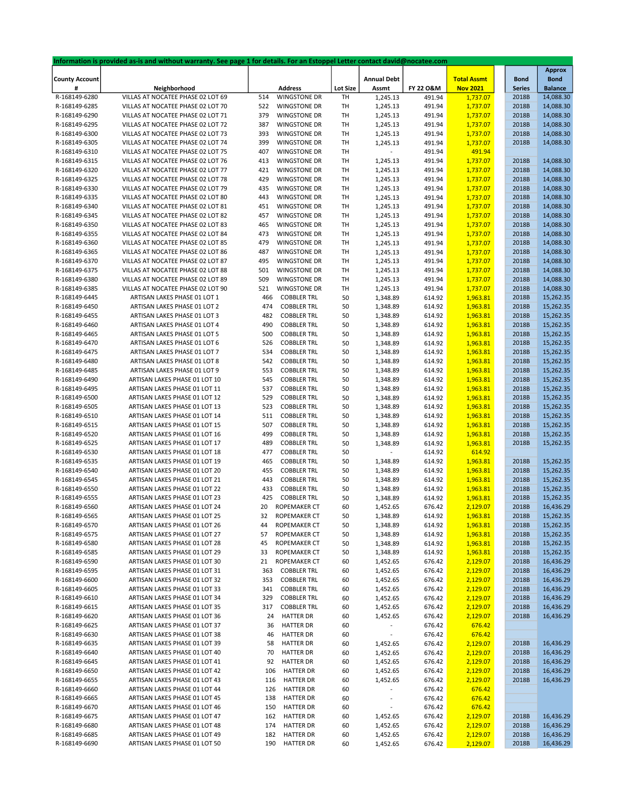|                       | Information is provided as-is and without warranty. See page 1 for details. For an Estoppel Letter contact david@nocatee.com |     |                     |                 |                    |           |                    |               |                |
|-----------------------|------------------------------------------------------------------------------------------------------------------------------|-----|---------------------|-----------------|--------------------|-----------|--------------------|---------------|----------------|
|                       |                                                                                                                              |     |                     |                 |                    |           |                    |               | <b>Approx</b>  |
| <b>County Account</b> |                                                                                                                              |     |                     |                 | <b>Annual Debt</b> |           | <b>Total Assmt</b> | <b>Bond</b>   | <b>Bond</b>    |
| #                     | Neighborhood                                                                                                                 |     | <b>Address</b>      | <b>Lot Size</b> | Assmt              | FY 22 O&M | <b>Nov 2021</b>    | <b>Series</b> | <b>Balance</b> |
| R-168149-6280         | VILLAS AT NOCATEE PHASE 02 LOT 69                                                                                            | 514 | <b>WINGSTONE DR</b> | TH              | 1,245.13           | 491.94    | 1,737.07           | 2018B         | 14,088.30      |
|                       |                                                                                                                              |     |                     |                 |                    |           |                    |               |                |
| R-168149-6285         | VILLAS AT NOCATEE PHASE 02 LOT 70                                                                                            | 522 | WINGSTONE DR        | TH              | 1,245.13           | 491.94    | 1,737.07           | 2018B         | 14,088.30      |
| R-168149-6290         | VILLAS AT NOCATEE PHASE 02 LOT 71                                                                                            | 379 | <b>WINGSTONE DR</b> | TH              | 1,245.13           | 491.94    | 1,737.07           | 2018B         | 14,088.30      |
| R-168149-6295         | VILLAS AT NOCATEE PHASE 02 LOT 72                                                                                            | 387 | <b>WINGSTONE DR</b> | TH              | 1,245.13           | 491.94    | 1,737.07           | 2018B         | 14,088.30      |
| R-168149-6300         | VILLAS AT NOCATEE PHASE 02 LOT 73                                                                                            | 393 | <b>WINGSTONE DR</b> | TH              | 1,245.13           | 491.94    | 1,737.07           | 2018B         | 14,088.30      |
| R-168149-6305         | VILLAS AT NOCATEE PHASE 02 LOT 74                                                                                            | 399 | <b>WINGSTONE DR</b> | TH              | 1,245.13           | 491.94    | 1,737.07           | 2018B         | 14,088.30      |
| R-168149-6310         | VILLAS AT NOCATEE PHASE 02 LOT 75                                                                                            | 407 | WINGSTONE DR        | TH              |                    | 491.94    | 491.94             |               |                |
| R-168149-6315         | VILLAS AT NOCATEE PHASE 02 LOT 76                                                                                            | 413 | <b>WINGSTONE DR</b> | TH              | 1,245.13           | 491.94    | 1,737.07           | 2018B         | 14,088.30      |
| R-168149-6320         | VILLAS AT NOCATEE PHASE 02 LOT 77                                                                                            |     |                     | TH              |                    |           |                    | 2018B         | 14,088.30      |
|                       |                                                                                                                              | 421 | <b>WINGSTONE DR</b> |                 | 1,245.13           | 491.94    | 1,737.07           |               |                |
| R-168149-6325         | VILLAS AT NOCATEE PHASE 02 LOT 78                                                                                            | 429 | <b>WINGSTONE DR</b> | TH              | 1,245.13           | 491.94    | 1,737.07           | 2018B         | 14,088.30      |
| R-168149-6330         | VILLAS AT NOCATEE PHASE 02 LOT 79                                                                                            | 435 | <b>WINGSTONE DR</b> | TH              | 1,245.13           | 491.94    | 1,737.07           | 2018B         | 14,088.30      |
| R-168149-6335         | VILLAS AT NOCATEE PHASE 02 LOT 80                                                                                            | 443 | <b>WINGSTONE DR</b> | TH              | 1,245.13           | 491.94    | 1,737.07           | 2018B         | 14,088.30      |
| R-168149-6340         | VILLAS AT NOCATEE PHASE 02 LOT 81                                                                                            | 451 | <b>WINGSTONE DR</b> | TH              | 1,245.13           | 491.94    | 1,737.07           | 2018B         | 14,088.30      |
| R-168149-6345         | VILLAS AT NOCATEE PHASE 02 LOT 82                                                                                            | 457 | <b>WINGSTONE DR</b> | TH              | 1,245.13           | 491.94    | 1,737.07           | 2018B         | 14,088.30      |
| R-168149-6350         | VILLAS AT NOCATEE PHASE 02 LOT 83                                                                                            | 465 | <b>WINGSTONE DR</b> | TH              | 1,245.13           | 491.94    | 1,737.07           | 2018B         | 14,088.30      |
| R-168149-6355         | VILLAS AT NOCATEE PHASE 02 LOT 84                                                                                            | 473 | <b>WINGSTONE DR</b> | TH              | 1,245.13           | 491.94    | 1,737.07           | 2018B         | 14,088.30      |
|                       |                                                                                                                              |     |                     |                 |                    |           |                    |               |                |
| R-168149-6360         | VILLAS AT NOCATEE PHASE 02 LOT 85                                                                                            | 479 | <b>WINGSTONE DR</b> | TH              | 1,245.13           | 491.94    | 1,737.07           | 2018B         | 14,088.30      |
| R-168149-6365         | VILLAS AT NOCATEE PHASE 02 LOT 86                                                                                            | 487 | <b>WINGSTONE DR</b> | TH              | 1,245.13           | 491.94    | 1,737.07           | 2018B         | 14,088.30      |
| R-168149-6370         | VILLAS AT NOCATEE PHASE 02 LOT 87                                                                                            | 495 | <b>WINGSTONE DR</b> | TH              | 1,245.13           | 491.94    | 1,737.07           | 2018B         | 14,088.30      |
| R-168149-6375         | VILLAS AT NOCATEE PHASE 02 LOT 88                                                                                            | 501 | <b>WINGSTONE DR</b> | TH              | 1,245.13           | 491.94    | 1,737.07           | 2018B         | 14,088.30      |
| R-168149-6380         | VILLAS AT NOCATEE PHASE 02 LOT 89                                                                                            | 509 | <b>WINGSTONE DR</b> | TH              | 1,245.13           | 491.94    | 1,737.07           | 2018B         | 14,088.30      |
| R-168149-6385         | VILLAS AT NOCATEE PHASE 02 LOT 90                                                                                            | 521 | <b>WINGSTONE DR</b> | TH              | 1,245.13           | 491.94    | 1,737.07           | 2018B         | 14,088.30      |
| R-168149-6445         | ARTISAN LAKES PHASE 01 LOT 1                                                                                                 | 466 | <b>COBBLER TRL</b>  | 50              | 1,348.89           | 614.92    | 1,963.81           | 2018B         | 15,262.35      |
| R-168149-6450         | ARTISAN LAKES PHASE 01 LOT 2                                                                                                 | 474 | <b>COBBLER TRL</b>  | 50              | 1,348.89           | 614.92    | 1,963.81           | 2018B         | 15,262.35      |
|                       | ARTISAN LAKES PHASE 01 LOT 3                                                                                                 | 482 |                     |                 |                    |           |                    |               |                |
| R-168149-6455         |                                                                                                                              |     | <b>COBBLER TRL</b>  | 50              | 1,348.89           | 614.92    | 1,963.81           | 2018B         | 15,262.35      |
| R-168149-6460         | ARTISAN LAKES PHASE 01 LOT 4                                                                                                 | 490 | <b>COBBLER TRL</b>  | 50              | 1,348.89           | 614.92    | 1,963.81           | 2018B         | 15,262.35      |
| R-168149-6465         | ARTISAN LAKES PHASE 01 LOT 5                                                                                                 | 500 | <b>COBBLER TRL</b>  | 50              | 1,348.89           | 614.92    | 1,963.81           | 2018B         | 15,262.35      |
| R-168149-6470         | ARTISAN LAKES PHASE 01 LOT 6                                                                                                 | 526 | <b>COBBLER TRL</b>  | 50              | 1,348.89           | 614.92    | 1,963.81           | 2018B         | 15,262.35      |
| R-168149-6475         | ARTISAN LAKES PHASE 01 LOT 7                                                                                                 | 534 | <b>COBBLER TRL</b>  | 50              | 1,348.89           | 614.92    | 1,963.81           | 2018B         | 15,262.35      |
| R-168149-6480         | ARTISAN LAKES PHASE 01 LOT 8                                                                                                 | 542 | <b>COBBLER TRL</b>  | 50              | 1,348.89           | 614.92    | 1,963.81           | 2018B         | 15,262.35      |
| R-168149-6485         | ARTISAN LAKES PHASE 01 LOT 9                                                                                                 | 553 | <b>COBBLER TRL</b>  | 50              | 1,348.89           | 614.92    | 1,963.81           | 2018B         | 15,262.35      |
| R-168149-6490         | ARTISAN LAKES PHASE 01 LOT 10                                                                                                | 545 | <b>COBBLER TRL</b>  | 50              | 1,348.89           | 614.92    | 1,963.81           | 2018B         | 15,262.35      |
|                       |                                                                                                                              | 537 |                     |                 |                    |           |                    |               | 15,262.35      |
| R-168149-6495         | ARTISAN LAKES PHASE 01 LOT 11                                                                                                |     | <b>COBBLER TRL</b>  | 50              | 1,348.89           | 614.92    | 1,963.81           | 2018B         |                |
| R-168149-6500         | ARTISAN LAKES PHASE 01 LOT 12                                                                                                | 529 | <b>COBBLER TRL</b>  | 50              | 1,348.89           | 614.92    | 1,963.81           | 2018B         | 15,262.35      |
| R-168149-6505         | ARTISAN LAKES PHASE 01 LOT 13                                                                                                | 523 | <b>COBBLER TRL</b>  | 50              | 1,348.89           | 614.92    | 1,963.81           | 2018B         | 15,262.35      |
| R-168149-6510         | ARTISAN LAKES PHASE 01 LOT 14                                                                                                | 511 | <b>COBBLER TRL</b>  | 50              | 1,348.89           | 614.92    | 1,963.81           | 2018B         | 15,262.35      |
| R-168149-6515         | ARTISAN LAKES PHASE 01 LOT 15                                                                                                | 507 | <b>COBBLER TRL</b>  | 50              | 1,348.89           | 614.92    | 1,963.81           | 2018B         | 15,262.35      |
| R-168149-6520         | ARTISAN LAKES PHASE 01 LOT 16                                                                                                | 499 | <b>COBBLER TRL</b>  | 50              | 1,348.89           | 614.92    | 1,963.81           | 2018B         | 15,262.35      |
| R-168149-6525         | ARTISAN LAKES PHASE 01 LOT 17                                                                                                | 489 | <b>COBBLER TRL</b>  | 50              | 1,348.89           | 614.92    | 1,963.81           | 2018B         | 15,262.35      |
| R-168149-6530         | ARTISAN LAKES PHASE 01 LOT 18                                                                                                | 477 | <b>COBBLER TRL</b>  | 50              |                    | 614.92    | 614.92             |               |                |
| R-168149-6535         | ARTISAN LAKES PHASE 01 LOT 19                                                                                                | 465 | <b>COBBLER TRL</b>  | 50              | 1,348.89           | 614.92    | 1,963.81           | 2018B         | 15,262.35      |
| R-168149-6540         | ARTISAN LAKES PHASE 01 LOT 20                                                                                                | 455 | <b>COBBLER TRL</b>  | 50              | 1,348.89           | 614.92    | 1,963.81           | 2018B         | 15,262.35      |
| R-168149-6545         | ARTISAN LAKES PHASE 01 LOT 21                                                                                                | 443 | <b>COBBLER TRL</b>  | 50              | 1,348.89           | 614.92    | 1,963.81           | 2018B         | 15,262.35      |
|                       |                                                                                                                              |     |                     |                 |                    |           |                    |               |                |
| R-168149-6550         | ARTISAN LAKES PHASE 01 LOT 22                                                                                                | 433 | <b>COBBLER TRL</b>  | 50              | 1,348.89           | 614.92    | 1,963.81           | 2018B         | 15,262.35      |
| R-168149-6555         | ARTISAN LAKES PHASE 01 LOT 23                                                                                                | 425 | <b>COBBLER TRL</b>  | 50              | 1,348.89           | 614.92    | 1,963.81           | 2018B         | 15,262.35      |
| R-168149-6560         | ARTISAN LAKES PHASE 01 LOT 24                                                                                                | 20  | ROPEMAKER CT        | 60              | 1,452.65           | 676.42    | 2,129.07           | 2018B         | 16,436.29      |
| R-168149-6565         | ARTISAN LAKES PHASE 01 LOT 25                                                                                                | 32  | ROPEMAKER CT        | 50              | 1,348.89           | 614.92    | 1,963.81           | 2018B         | 15,262.35      |
| R-168149-6570         | ARTISAN LAKES PHASE 01 LOT 26                                                                                                | 44  | ROPEMAKER CT        | 50              | 1,348.89           | 614.92    | 1,963.81           | 2018B         | 15,262.35      |
| R-168149-6575         | ARTISAN LAKES PHASE 01 LOT 27                                                                                                | 57  | ROPEMAKER CT        | 50              | 1,348.89           | 614.92    | 1,963.81           | 2018B         | 15,262.35      |
| R-168149-6580         | ARTISAN LAKES PHASE 01 LOT 28                                                                                                | 45  | ROPEMAKER CT        | 50              | 1,348.89           | 614.92    | 1,963.81           | 2018B         | 15,262.35      |
| R-168149-6585         | ARTISAN LAKES PHASE 01 LOT 29                                                                                                | 33  | ROPEMAKER CT        |                 |                    | 614.92    | 1,963.81           | 2018B         | 15,262.35      |
|                       |                                                                                                                              |     |                     | 50              | 1,348.89           |           |                    |               |                |
| R-168149-6590         | ARTISAN LAKES PHASE 01 LOT 30                                                                                                | 21  | ROPEMAKER CT        | 60              | 1,452.65           | 676.42    | 2,129.07           | 2018B         | 16,436.29      |
| R-168149-6595         | ARTISAN LAKES PHASE 01 LOT 31                                                                                                | 363 | <b>COBBLER TRL</b>  | 60              | 1,452.65           | 676.42    | 2,129.07           | 2018B         | 16,436.29      |
| R-168149-6600         | ARTISAN LAKES PHASE 01 LOT 32                                                                                                | 353 | <b>COBBLER TRL</b>  | 60              | 1,452.65           | 676.42    | 2,129.07           | 2018B         | 16,436.29      |
| R-168149-6605         | ARTISAN LAKES PHASE 01 LOT 33                                                                                                | 341 | <b>COBBLER TRL</b>  | 60              | 1,452.65           | 676.42    | 2,129.07           | 2018B         | 16,436.29      |
| R-168149-6610         | ARTISAN LAKES PHASE 01 LOT 34                                                                                                | 329 | <b>COBBLER TRL</b>  | 60              | 1,452.65           | 676.42    | 2,129.07           | 2018B         | 16,436.29      |
| R-168149-6615         | ARTISAN LAKES PHASE 01 LOT 35                                                                                                | 317 | <b>COBBLER TRL</b>  | 60              | 1,452.65           | 676.42    | 2,129.07           | 2018B         | 16,436.29      |
| R-168149-6620         | ARTISAN LAKES PHASE 01 LOT 36                                                                                                | 24  | <b>HATTER DR</b>    | 60              | 1,452.65           | 676.42    | 2,129.07           | 2018B         | 16,436.29      |
| R-168149-6625         | ARTISAN LAKES PHASE 01 LOT 37                                                                                                | 36  | <b>HATTER DR</b>    | 60              |                    | 676.42    | 676.42             |               |                |
| R-168149-6630         | ARTISAN LAKES PHASE 01 LOT 38                                                                                                | 46  | <b>HATTER DR</b>    | 60              | $\blacksquare$     | 676.42    | 676.42             |               |                |
|                       |                                                                                                                              |     |                     |                 |                    |           |                    |               |                |
| R-168149-6635         | ARTISAN LAKES PHASE 01 LOT 39                                                                                                | 58  | <b>HATTER DR</b>    | 60              | 1,452.65           | 676.42    | 2,129.07           | 2018B         | 16,436.29      |
| R-168149-6640         | ARTISAN LAKES PHASE 01 LOT 40                                                                                                | 70  | <b>HATTER DR</b>    | 60              | 1,452.65           | 676.42    | 2,129.07           | 2018B         | 16,436.29      |
| R-168149-6645         | ARTISAN LAKES PHASE 01 LOT 41                                                                                                | 92  | <b>HATTER DR</b>    | 60              | 1,452.65           | 676.42    | 2,129.07           | 2018B         | 16,436.29      |
| R-168149-6650         | ARTISAN LAKES PHASE 01 LOT 42                                                                                                | 106 | <b>HATTER DR</b>    | 60              | 1,452.65           | 676.42    | 2,129.07           | 2018B         | 16,436.29      |
| R-168149-6655         | ARTISAN LAKES PHASE 01 LOT 43                                                                                                | 116 | <b>HATTER DR</b>    | 60              | 1,452.65           | 676.42    | 2,129.07           | 2018B         | 16,436.29      |
| R-168149-6660         | ARTISAN LAKES PHASE 01 LOT 44                                                                                                | 126 | <b>HATTER DR</b>    | 60              | $\overline{a}$     | 676.42    | 676.42             |               |                |
| R-168149-6665         | ARTISAN LAKES PHASE 01 LOT 45                                                                                                | 138 | <b>HATTER DR</b>    | 60              | $\sim$             | 676.42    | 676.42             |               |                |
| R-168149-6670         | ARTISAN LAKES PHASE 01 LOT 46                                                                                                | 150 | <b>HATTER DR</b>    | 60              |                    | 676.42    | 676.42             |               |                |
| R-168149-6675         | ARTISAN LAKES PHASE 01 LOT 47                                                                                                | 162 | <b>HATTER DR</b>    | 60              | 1,452.65           | 676.42    | 2,129.07           | 2018B         | 16,436.29      |
| R-168149-6680         | ARTISAN LAKES PHASE 01 LOT 48                                                                                                | 174 | <b>HATTER DR</b>    |                 |                    |           |                    | 2018B         | 16,436.29      |
|                       |                                                                                                                              |     |                     | 60              | 1,452.65           | 676.42    | 2,129.07           |               |                |
| R-168149-6685         | ARTISAN LAKES PHASE 01 LOT 49                                                                                                | 182 | <b>HATTER DR</b>    | 60              | 1,452.65           | 676.42    | 2,129.07           | 2018B         | 16,436.29      |
| R-168149-6690         | ARTISAN LAKES PHASE 01 LOT 50                                                                                                | 190 | <b>HATTER DR</b>    | 60              | 1,452.65           | 676.42    | 2,129.07           | 2018B         | 16,436.29      |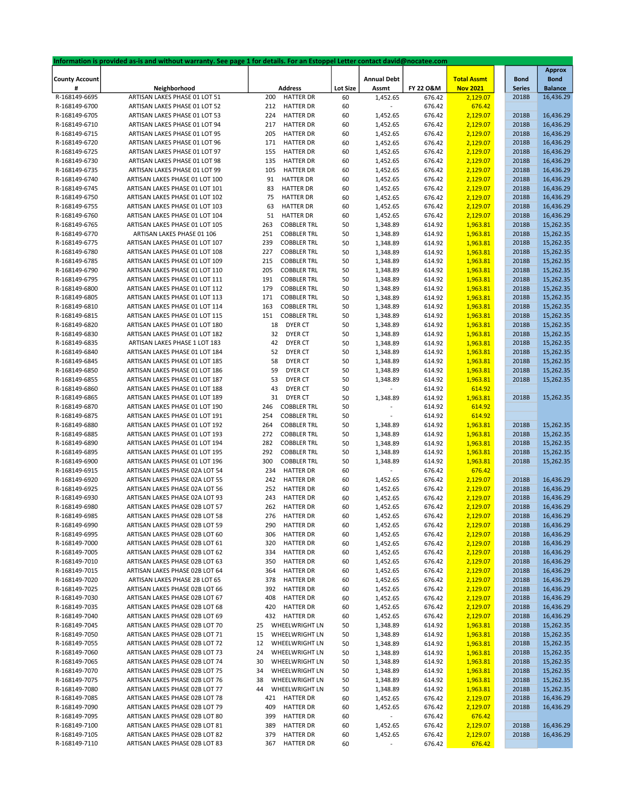|                       | Information is provided as-is and without warranty. See page 1 for details. For an Estoppel Letter contact david@nocatee.com |                           |                 |                          |           |                    |               |                |
|-----------------------|------------------------------------------------------------------------------------------------------------------------------|---------------------------|-----------------|--------------------------|-----------|--------------------|---------------|----------------|
|                       |                                                                                                                              |                           |                 |                          |           |                    |               | <b>Approx</b>  |
| <b>County Account</b> |                                                                                                                              |                           |                 | <b>Annual Debt</b>       |           | <b>Total Assmt</b> | <b>Bond</b>   | <b>Bond</b>    |
| #                     | Neighborhood                                                                                                                 | <b>Address</b>            | <b>Lot Size</b> | Assmt                    | FY 22 O&M | <b>Nov 2021</b>    | <b>Series</b> | <b>Balance</b> |
| R-168149-6695         | ARTISAN LAKES PHASE 01 LOT 51                                                                                                | <b>HATTER DR</b><br>200   | 60              | 1,452.65                 | 676.42    | 2,129.07           | 2018B         | 16,436.29      |
| R-168149-6700         | ARTISAN LAKES PHASE 01 LOT 52                                                                                                | <b>HATTER DR</b><br>212   | 60              |                          | 676.42    | 676.42             |               |                |
| R-168149-6705         | ARTISAN LAKES PHASE 01 LOT 53                                                                                                | 224<br><b>HATTER DR</b>   | 60              | 1,452.65                 | 676.42    | 2,129.07           | 2018B         | 16,436.29      |
| R-168149-6710         | ARTISAN LAKES PHASE 01 LOT 94                                                                                                | 217<br><b>HATTER DR</b>   | 60              | 1,452.65                 | 676.42    | 2,129.07           | 2018B         | 16,436.29      |
| R-168149-6715         | ARTISAN LAKES PHASE 01 LOT 95                                                                                                | 205<br><b>HATTER DR</b>   | 60              | 1,452.65                 | 676.42    | 2,129.07           | 2018B         | 16,436.29      |
| R-168149-6720         | ARTISAN LAKES PHASE 01 LOT 96                                                                                                | 171<br><b>HATTER DR</b>   | 60              | 1,452.65                 | 676.42    | 2,129.07           | 2018B         | 16,436.29      |
| R-168149-6725         | ARTISAN LAKES PHASE 01 LOT 97                                                                                                | 155<br><b>HATTER DR</b>   | 60              | 1,452.65                 | 676.42    | 2,129.07           | 2018B         | 16,436.29      |
| R-168149-6730         | ARTISAN LAKES PHASE 01 LOT 98                                                                                                | <b>HATTER DR</b><br>135   | 60              | 1,452.65                 | 676.42    | 2,129.07           | 2018B         | 16,436.29      |
| R-168149-6735         | ARTISAN LAKES PHASE 01 LOT 99                                                                                                | 105<br><b>HATTER DR</b>   | 60              | 1,452.65                 | 676.42    | 2,129.07           | 2018B         | 16,436.29      |
| R-168149-6740         | ARTISAN LAKES PHASE 01 LOT 100                                                                                               | 91<br><b>HATTER DR</b>    | 60              | 1,452.65                 | 676.42    | 2,129.07           | 2018B         | 16,436.29      |
| R-168149-6745         | ARTISAN LAKES PHASE 01 LOT 101                                                                                               | <b>HATTER DR</b><br>83    | 60              | 1,452.65                 | 676.42    | 2,129.07           | 2018B         | 16,436.29      |
| R-168149-6750         | ARTISAN LAKES PHASE 01 LOT 102                                                                                               | 75<br><b>HATTER DR</b>    | 60              | 1,452.65                 | 676.42    | 2,129.07           | 2018B         | 16,436.29      |
| R-168149-6755         | ARTISAN LAKES PHASE 01 LOT 103                                                                                               | 63<br><b>HATTER DR</b>    | 60              | 1,452.65                 | 676.42    | 2,129.07           | 2018B         | 16,436.29      |
| R-168149-6760         | ARTISAN LAKES PHASE 01 LOT 104                                                                                               | 51<br><b>HATTER DR</b>    | 60              | 1,452.65                 | 676.42    | 2,129.07           | 2018B         | 16,436.29      |
| R-168149-6765         | ARTISAN LAKES PHASE 01 LOT 105                                                                                               | 263<br><b>COBBLER TRL</b> | 50              | 1,348.89                 | 614.92    | 1,963.81           | 2018B         | 15,262.35      |
| R-168149-6770         | ARTISAN LAKES PHASE 01 106                                                                                                   | 251<br><b>COBBLER TRL</b> | 50              | 1,348.89                 | 614.92    | 1,963.81           | 2018B         | 15,262.35      |
| R-168149-6775         | ARTISAN LAKES PHASE 01 LOT 107                                                                                               | 239<br><b>COBBLER TRL</b> | 50              | 1,348.89                 | 614.92    | 1,963.81           | 2018B         | 15,262.35      |
| R-168149-6780         | ARTISAN LAKES PHASE 01 LOT 108                                                                                               | 227<br><b>COBBLER TRL</b> | 50              | 1,348.89                 | 614.92    | 1,963.81           | 2018B         | 15,262.35      |
| R-168149-6785         | ARTISAN LAKES PHASE 01 LOT 109                                                                                               | 215<br><b>COBBLER TRL</b> | 50              | 1,348.89                 | 614.92    | 1,963.81           | 2018B         | 15,262.35      |
|                       |                                                                                                                              |                           |                 |                          |           |                    |               |                |
| R-168149-6790         | ARTISAN LAKES PHASE 01 LOT 110                                                                                               | 205<br><b>COBBLER TRL</b> | 50              | 1,348.89                 | 614.92    | 1,963.81           | 2018B         | 15,262.35      |
| R-168149-6795         | ARTISAN LAKES PHASE 01 LOT 111                                                                                               | <b>COBBLER TRL</b><br>191 | 50              | 1,348.89                 | 614.92    | 1,963.81           | 2018B         | 15,262.35      |
| R-168149-6800         | ARTISAN LAKES PHASE 01 LOT 112                                                                                               | <b>COBBLER TRL</b><br>179 | 50              | 1,348.89                 | 614.92    | 1,963.81           | 2018B         | 15,262.35      |
| R-168149-6805         | ARTISAN LAKES PHASE 01 LOT 113                                                                                               | <b>COBBLER TRL</b><br>171 | 50              | 1,348.89                 | 614.92    | 1,963.81           | 2018B         | 15,262.35      |
| R-168149-6810         | ARTISAN LAKES PHASE 01 LOT 114                                                                                               | 163<br><b>COBBLER TRL</b> | 50              | 1,348.89                 | 614.92    | 1,963.81           | 2018B         | 15,262.35      |
| R-168149-6815         | ARTISAN LAKES PHASE 01 LOT 115                                                                                               | 151<br><b>COBBLER TRL</b> | 50              | 1,348.89                 | 614.92    | 1,963.81           | 2018B         | 15,262.35      |
| R-168149-6820         | ARTISAN LAKES PHASE 01 LOT 180                                                                                               | 18<br>DYER CT             | 50              | 1,348.89                 | 614.92    | 1,963.81           | 2018B         | 15,262.35      |
| R-168149-6830         | ARTISAN LAKES PHASE 01 LOT 182                                                                                               | 32<br>DYER CT             | 50              | 1,348.89                 | 614.92    | 1,963.81           | 2018B         | 15,262.35      |
| R-168149-6835         | ARTISAN LAKES PHASE 1 LOT 183                                                                                                | 42<br>DYER CT             | 50              | 1,348.89                 | 614.92    | 1,963.81           | 2018B         | 15,262.35      |
| R-168149-6840         | ARTISAN LAKES PHASE 01 LOT 184                                                                                               | 52<br>DYER CT             | 50              | 1,348.89                 | 614.92    | 1,963.81           | 2018B         | 15,262.35      |
| R-168149-6845         | ARTISAN LAKES PHASE 01 LOT 185                                                                                               | 58<br>DYER CT             | 50              | 1,348.89                 | 614.92    | 1,963.81           | 2018B         | 15,262.35      |
| R-168149-6850         | ARTISAN LAKES PHASE 01 LOT 186                                                                                               | 59<br>DYER CT             | 50              | 1,348.89                 | 614.92    | 1,963.81           | 2018B         | 15,262.35      |
| R-168149-6855         | ARTISAN LAKES PHASE 01 LOT 187                                                                                               | 53<br>DYER CT             | 50              | 1,348.89                 | 614.92    | 1,963.81           | 2018B         | 15,262.35      |
| R-168149-6860         | ARTISAN LAKES PHASE 01 LOT 188                                                                                               | 43<br>DYER CT             | 50              |                          | 614.92    | 614.92             |               |                |
| R-168149-6865         | ARTISAN LAKES PHASE 01 LOT 189                                                                                               | 31<br>DYER CT             | 50              | 1,348.89                 | 614.92    | 1,963.81           | 2018B         | 15,262.35      |
| R-168149-6870         | ARTISAN LAKES PHASE 01 LOT 190                                                                                               | <b>COBBLER TRL</b><br>246 | 50              |                          | 614.92    | 614.92             |               |                |
| R-168149-6875         | ARTISAN LAKES PHASE 01 LOT 191                                                                                               | 254<br><b>COBBLER TRL</b> | 50              |                          | 614.92    | 614.92             |               |                |
| R-168149-6880         | ARTISAN LAKES PHASE 01 LOT 192                                                                                               | 264<br><b>COBBLER TRL</b> | 50              | 1,348.89                 | 614.92    | 1,963.81           | 2018B         | 15,262.35      |
| R-168149-6885         | ARTISAN LAKES PHASE 01 LOT 193                                                                                               | 272<br><b>COBBLER TRL</b> | 50              | 1,348.89                 | 614.92    | 1,963.81           | 2018B         | 15,262.35      |
| R-168149-6890         | ARTISAN LAKES PHASE 01 LOT 194                                                                                               | 282<br><b>COBBLER TRL</b> | 50              | 1,348.89                 | 614.92    | 1,963.81           | 2018B         | 15,262.35      |
| R-168149-6895         | ARTISAN LAKES PHASE 01 LOT 195                                                                                               | 292<br><b>COBBLER TRL</b> | 50              | 1,348.89                 | 614.92    | 1,963.81           | 2018B         | 15,262.35      |
| R-168149-6900         | ARTISAN LAKES PHASE 01 LOT 196                                                                                               | 300<br><b>COBBLER TRL</b> | 50              | 1,348.89                 | 614.92    | 1,963.81           | 2018B         | 15,262.35      |
| R-168149-6915         | ARTISAN LAKES PHASE 02A LOT 54                                                                                               | 234<br><b>HATTER DR</b>   | 60              |                          | 676.42    | 676.42             |               |                |
| R-168149-6920         | ARTISAN LAKES PHASE 02A LOT 55                                                                                               | 242<br><b>HATTER DR</b>   |                 |                          |           |                    | 2018B         | 16,436.29      |
|                       |                                                                                                                              |                           | 60              | 1,452.65                 | 676.42    | 2,129.07           |               |                |
| R-168149-6925         | ARTISAN LAKES PHASE 02A LOT 56                                                                                               | <b>HATTER DR</b><br>252   | 60              | 1,452.65                 | 676.42    | 2,129.07           | 2018B         | 16,436.29      |
| R-168149-6930         | ARTISAN LAKES PHASE 02A LOT 93                                                                                               | 243<br><b>HATTER DR</b>   | 60              | 1,452.65                 | 676.42    | 2,129.07           | 2018B         | 16,436.29      |
| R-168149-6980         | ARTISAN LAKES PHASE 02B LOT 57                                                                                               | <b>HATTER DR</b><br>262   | 60              | 1,452.65                 | 676.42    | 2,129.07           | 2018B         | 16,436.29      |
| R-168149-6985         | ARTISAN LAKES PHASE 02B LOT 58                                                                                               | 276<br><b>HATTER DR</b>   | 60              | 1,452.65                 | 676.42    | 2,129.07           | 2018B         | 16,436.29      |
| R-168149-6990         | ARTISAN LAKES PHASE 02B LOT 59                                                                                               | 290<br><b>HATTER DR</b>   | 60              | 1,452.65                 | 676.42    | 2,129.07           | 2018B         | 16,436.29      |
| R-168149-6995         | ARTISAN LAKES PHASE 02B LOT 60                                                                                               | 306<br><b>HATTER DR</b>   | 60              | 1,452.65                 | 676.42    | 2,129.07           | 2018B         | 16,436.29      |
| R-168149-7000         | ARTISAN LAKES PHASE 02B LOT 61                                                                                               | 320<br><b>HATTER DR</b>   | 60              | 1,452.65                 | 676.42    | 2,129.07           | 2018B         | 16,436.29      |
| R-168149-7005         | ARTISAN LAKES PHASE 02B LOT 62                                                                                               | 334<br><b>HATTER DR</b>   | 60              | 1,452.65                 | 676.42    | 2,129.07           | 2018B         | 16,436.29      |
| R-168149-7010         | ARTISAN LAKES PHASE 02B LOT 63                                                                                               | <b>HATTER DR</b><br>350   | 60              | 1,452.65                 | 676.42    | 2,129.07           | 2018B         | 16,436.29      |
| R-168149-7015         | ARTISAN LAKES PHASE 02B LOT 64                                                                                               | 364<br><b>HATTER DR</b>   | 60              | 1,452.65                 | 676.42    | 2,129.07           | 2018B         | 16,436.29      |
| R-168149-7020         | ARTISAN LAKES PHASE 2B LOT 65                                                                                                | 378<br><b>HATTER DR</b>   | 60              | 1,452.65                 | 676.42    | 2,129.07           | 2018B         | 16,436.29      |
| R-168149-7025         | ARTISAN LAKES PHASE 02B LOT 66                                                                                               | <b>HATTER DR</b><br>392   | 60              | 1,452.65                 | 676.42    | 2,129.07           | 2018B         | 16,436.29      |
| R-168149-7030         | ARTISAN LAKES PHASE 02B LOT 67                                                                                               | 408<br><b>HATTER DR</b>   | 60              | 1,452.65                 | 676.42    | 2,129.07           | 2018B         | 16,436.29      |
| R-168149-7035         | ARTISAN LAKES PHASE 02B LOT 68                                                                                               | 420<br><b>HATTER DR</b>   | 60              | 1,452.65                 | 676.42    | 2,129.07           | 2018B         | 16,436.29      |
| R-168149-7040         | ARTISAN LAKES PHASE 02B LOT 69                                                                                               | 432<br>HATTER DR          | 60              | 1,452.65                 | 676.42    | 2,129.07           | 2018B         | 16,436.29      |
| R-168149-7045         | ARTISAN LAKES PHASE 02B LOT 70                                                                                               | 25<br>WHEELWRIGHT LN      | 50              | 1,348.89                 | 614.92    | 1,963.81           | 2018B         | 15,262.35      |
| R-168149-7050         | ARTISAN LAKES PHASE 02B LOT 71                                                                                               | 15<br>WHEELWRIGHT LN      | 50              | 1,348.89                 | 614.92    | 1,963.81           | 2018B         | 15,262.35      |
| R-168149-7055         | ARTISAN LAKES PHASE 02B LOT 72                                                                                               | 12<br>WHEELWRIGHT LN      | 50              | 1,348.89                 | 614.92    | 1,963.81           | 2018B         | 15,262.35      |
| R-168149-7060         | ARTISAN LAKES PHASE 02B LOT 73                                                                                               | 24<br>WHEELWRIGHT LN      | 50              | 1,348.89                 | 614.92    | 1,963.81           | 2018B         | 15,262.35      |
| R-168149-7065         | ARTISAN LAKES PHASE 02B LOT 74                                                                                               | 30<br>WHEELWRIGHT LN      | 50              | 1,348.89                 | 614.92    | 1,963.81           | 2018B         | 15,262.35      |
| R-168149-7070         | ARTISAN LAKES PHASE 02B LOT 75                                                                                               | 34<br>WHEELWRIGHT LN      | 50              | 1,348.89                 | 614.92    | 1,963.81           | 2018B         | 15,262.35      |
| R-168149-7075         | ARTISAN LAKES PHASE 02B LOT 76                                                                                               | 38<br>WHEELWRIGHT LN      | 50              | 1,348.89                 | 614.92    | 1,963.81           | 2018B         | 15,262.35      |
| R-168149-7080         | ARTISAN LAKES PHASE 02B LOT 77                                                                                               | WHEELWRIGHT LN<br>44      | 50              | 1,348.89                 | 614.92    | 1,963.81           | 2018B         | 15,262.35      |
| R-168149-7085         | ARTISAN LAKES PHASE 02B LOT 78                                                                                               | 421<br><b>HATTER DR</b>   | 60              | 1,452.65                 | 676.42    | 2,129.07           | 2018B         | 16,436.29      |
| R-168149-7090         | ARTISAN LAKES PHASE 02B LOT 79                                                                                               | 409<br><b>HATTER DR</b>   |                 | 1,452.65                 | 676.42    | 2,129.07           | 2018B         | 16,436.29      |
| R-168149-7095         | ARTISAN LAKES PHASE 02B LOT 80                                                                                               | 399<br><b>HATTER DR</b>   | 60<br>60        |                          |           | 676.42             |               |                |
|                       |                                                                                                                              |                           |                 |                          | 676.42    |                    |               |                |
| R-168149-7100         | ARTISAN LAKES PHASE 02B LOT 81                                                                                               | <b>HATTER DR</b><br>389   | 60              | 1,452.65                 | 676.42    | 2,129.07           | 2018B         | 16,436.29      |
| R-168149-7105         | ARTISAN LAKES PHASE 02B LOT 82                                                                                               | 379<br><b>HATTER DR</b>   | 60              | 1,452.65                 | 676.42    | 2,129.07           | 2018B         | 16,436.29      |
| R-168149-7110         | ARTISAN LAKES PHASE 02B LOT 83                                                                                               | 367<br><b>HATTER DR</b>   | 60              | $\overline{\phantom{a}}$ | 676.42    | 676.42             |               |                |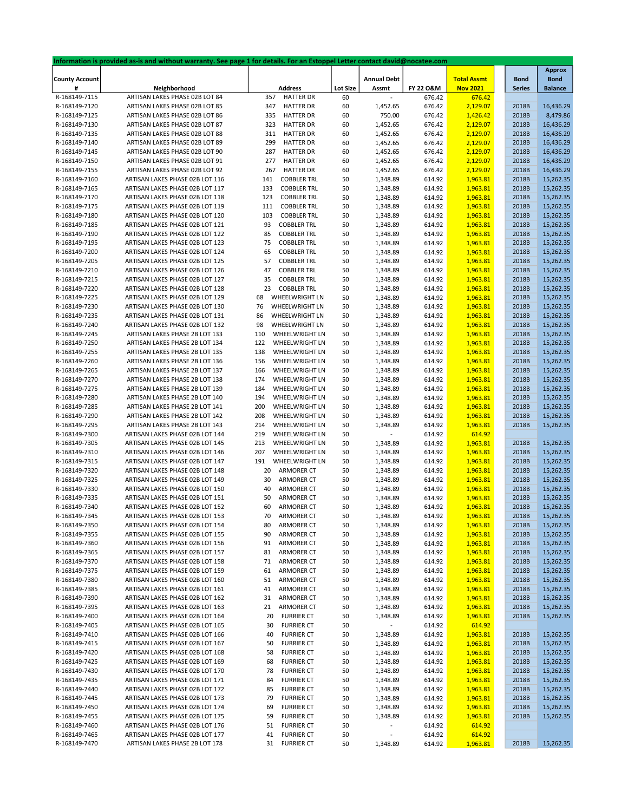|                       | Information is provided as-is and without warranty. See page 1 for details. For an Estoppel Letter contact david@nocatee.com |                           |                 |                          |           |                    |               |                        |
|-----------------------|------------------------------------------------------------------------------------------------------------------------------|---------------------------|-----------------|--------------------------|-----------|--------------------|---------------|------------------------|
|                       |                                                                                                                              |                           |                 |                          |           |                    |               | <b>Approx</b>          |
| <b>County Account</b> |                                                                                                                              |                           |                 | <b>Annual Debt</b>       |           | <b>Total Assmt</b> | <b>Bond</b>   | <b>Bond</b>            |
| #                     | Neighborhood                                                                                                                 | <b>Address</b>            | <b>Lot Size</b> | Assmt                    | FY 22 O&M | <b>Nov 2021</b>    | <b>Series</b> | <b>Balance</b>         |
| R-168149-7115         | ARTISAN LAKES PHASE 02B LOT 84                                                                                               | 357<br><b>HATTER DR</b>   | 60              |                          | 676.42    | 676.42             |               |                        |
| R-168149-7120         | ARTISAN LAKES PHASE 02B LOT 85                                                                                               | <b>HATTER DR</b><br>347   | 60              | 1,452.65                 | 676.42    | 2,129.07           | 2018B         | 16,436.29              |
| R-168149-7125         | ARTISAN LAKES PHASE 02B LOT 86                                                                                               | 335<br><b>HATTER DR</b>   | 60              | 750.00                   | 676.42    | 1,426.42           | 2018B         | 8,479.86               |
| R-168149-7130         | ARTISAN LAKES PHASE 02B LOT 87                                                                                               | 323<br><b>HATTER DR</b>   | 60              | 1,452.65                 | 676.42    | 2,129.07           | 2018B         | 16,436.29              |
| R-168149-7135         | ARTISAN LAKES PHASE 02B LOT 88                                                                                               | 311<br><b>HATTER DR</b>   | 60              | 1,452.65                 | 676.42    | 2,129.07           | 2018B         | 16,436.29              |
| R-168149-7140         | ARTISAN LAKES PHASE 02B LOT 89                                                                                               | 299<br><b>HATTER DR</b>   | 60              | 1,452.65                 | 676.42    | 2,129.07           | 2018B         | 16,436.29              |
| R-168149-7145         | ARTISAN LAKES PHASE 02B LOT 90                                                                                               | 287<br><b>HATTER DR</b>   | 60              | 1,452.65                 | 676.42    | 2,129.07           | 2018B         | 16,436.29              |
| R-168149-7150         | ARTISAN LAKES PHASE 02B LOT 91                                                                                               | 277<br><b>HATTER DR</b>   | 60              | 1,452.65                 | 676.42    | 2,129.07           | 2018B         | 16,436.29              |
| R-168149-7155         | ARTISAN LAKES PHASE 02B LOT 92                                                                                               | 267<br><b>HATTER DR</b>   | 60              | 1,452.65                 | 676.42    | 2,129.07           | 2018B         | 16,436.29              |
| R-168149-7160         | ARTISAN LAKES PHASE 02B LOT 116                                                                                              | <b>COBBLER TRL</b><br>141 | 50              | 1,348.89                 | 614.92    | 1,963.81           | 2018B         | 15,262.35              |
| R-168149-7165         | ARTISAN LAKES PHASE 02B LOT 117                                                                                              | 133<br><b>COBBLER TRL</b> | 50              | 1,348.89                 | 614.92    | 1,963.81           | 2018B         | 15,262.35              |
| R-168149-7170         | ARTISAN LAKES PHASE 02B LOT 118                                                                                              | 123<br><b>COBBLER TRL</b> | 50              | 1,348.89                 | 614.92    | 1,963.81           | 2018B         | 15,262.35              |
| R-168149-7175         | ARTISAN LAKES PHASE 02B LOT 119                                                                                              | <b>COBBLER TRL</b><br>111 | 50              | 1,348.89                 | 614.92    | 1,963.81           | 2018B         | 15,262.35              |
| R-168149-7180         | ARTISAN LAKES PHASE 02B LOT 120                                                                                              | 103<br><b>COBBLER TRL</b> | 50              | 1,348.89                 | 614.92    | 1,963.81           | 2018B         | 15,262.35              |
| R-168149-7185         | ARTISAN LAKES PHASE 02B LOT 121                                                                                              | 93<br><b>COBBLER TRL</b>  | 50              | 1,348.89                 | 614.92    | 1,963.81           | 2018B         | 15,262.35              |
| R-168149-7190         | ARTISAN LAKES PHASE 02B LOT 122                                                                                              | 85<br><b>COBBLER TRL</b>  | 50              | 1,348.89                 | 614.92    | 1,963.81           | 2018B         | 15,262.35              |
| R-168149-7195         | ARTISAN LAKES PHASE 02B LOT 123                                                                                              | <b>COBBLER TRL</b><br>75  | 50              | 1,348.89                 | 614.92    | 1,963.81           | 2018B         | 15,262.35              |
| R-168149-7200         | ARTISAN LAKES PHASE 02B LOT 124                                                                                              | <b>COBBLER TRL</b><br>65  | 50              | 1,348.89                 | 614.92    | 1,963.81           | 2018B         | 15,262.35              |
| R-168149-7205         | ARTISAN LAKES PHASE 02B LOT 125                                                                                              | 57<br><b>COBBLER TRL</b>  | 50              | 1,348.89                 | 614.92    | 1,963.81           | 2018B         | 15,262.35              |
| R-168149-7210         | ARTISAN LAKES PHASE 02B LOT 126                                                                                              | 47<br><b>COBBLER TRL</b>  | 50              | 1,348.89                 | 614.92    | 1,963.81           | 2018B         | 15,262.35              |
| R-168149-7215         | ARTISAN LAKES PHASE 02B LOT 127                                                                                              | <b>COBBLER TRL</b><br>35  | 50              | 1,348.89                 | 614.92    | 1,963.81           | 2018B         | 15,262.35              |
| R-168149-7220         | ARTISAN LAKES PHASE 02B LOT 128                                                                                              | 23<br><b>COBBLER TRL</b>  | 50              | 1,348.89                 | 614.92    | 1,963.81           | 2018B         | 15,262.35              |
| R-168149-7225         | ARTISAN LAKES PHASE 02B LOT 129                                                                                              | WHEELWRIGHT LN<br>68      | 50              | 1,348.89                 | 614.92    | 1,963.81           | 2018B         | 15,262.35              |
|                       |                                                                                                                              | 76<br>WHEELWRIGHT LN      | 50              |                          | 614.92    |                    | 2018B         | 15,262.35              |
| R-168149-7230         | ARTISAN LAKES PHASE 02B LOT 130                                                                                              | 86<br>WHEELWRIGHT LN      |                 | 1,348.89                 |           | 1,963.81           | 2018B         |                        |
| R-168149-7235         | ARTISAN LAKES PHASE 02B LOT 131                                                                                              | 98                        | 50              | 1,348.89                 | 614.92    | 1,963.81           |               | 15,262.35<br>15,262.35 |
| R-168149-7240         | ARTISAN LAKES PHASE 02B LOT 132                                                                                              | WHEELWRIGHT LN            | 50              | 1,348.89                 | 614.92    | 1,963.81           | 2018B         |                        |
| R-168149-7245         | ARTISAN LAKES PHASE 2B LOT 133                                                                                               | WHEELWRIGHT LN<br>110     | 50              | 1,348.89                 | 614.92    | 1,963.81           | 2018B         | 15,262.35              |
| R-168149-7250         | ARTISAN LAKES PHASE 2B LOT 134                                                                                               | 122<br>WHEELWRIGHT LN     | 50              | 1,348.89                 | 614.92    | 1,963.81           | 2018B         | 15,262.35              |
| R-168149-7255         | ARTISAN LAKES PHASE 2B LOT 135                                                                                               | 138<br>WHEELWRIGHT LN     | 50              | 1,348.89                 | 614.92    | 1,963.81           | 2018B         | 15,262.35              |
| R-168149-7260         | ARTISAN LAKES PHASE 2B LOT 136                                                                                               | 156<br>WHEELWRIGHT LN     | 50              | 1,348.89                 | 614.92    | 1,963.81           | 2018B         | 15,262.35              |
| R-168149-7265         | ARTISAN LAKES PHASE 2B LOT 137                                                                                               | 166<br>WHEELWRIGHT LN     | 50              | 1,348.89                 | 614.92    | 1,963.81           | 2018B         | 15,262.35              |
| R-168149-7270         | ARTISAN LAKES PHASE 2B LOT 138                                                                                               | 174<br>WHEELWRIGHT LN     | 50              | 1,348.89                 | 614.92    | 1,963.81           | 2018B         | 15,262.35              |
| R-168149-7275         | ARTISAN LAKES PHASE 2B LOT 139                                                                                               | 184<br>WHEELWRIGHT LN     | 50              | 1,348.89                 | 614.92    | 1,963.81           | 2018B         | 15,262.35              |
| R-168149-7280         | ARTISAN LAKES PHASE 2B LOT 140                                                                                               | WHEELWRIGHT LN<br>194     | 50              | 1,348.89                 | 614.92    | 1,963.81           | 2018B         | 15,262.35              |
| R-168149-7285         | ARTISAN LAKES PHASE 2B LOT 141                                                                                               | 200<br>WHEELWRIGHT LN     | 50              | 1,348.89                 | 614.92    | 1,963.81           | 2018B         | 15,262.35              |
| R-168149-7290         | ARTISAN LAKES PHASE 2B LOT 142                                                                                               | 208<br>WHEELWRIGHT LN     | 50              | 1,348.89                 | 614.92    | 1,963.81           | 2018B         | 15,262.35              |
| R-168149-7295         | ARTISAN LAKES PHASE 2B LOT 143                                                                                               | 214<br>WHEELWRIGHT LN     | 50              | 1,348.89                 | 614.92    | 1,963.81           | 2018B         | 15,262.35              |
| R-168149-7300         | ARTISAN LAKES PHASE 02B LOT 144                                                                                              | 219<br>WHEELWRIGHT LN     | 50              |                          | 614.92    | 614.92             |               |                        |
| R-168149-7305         | ARTISAN LAKES PHASE 02B LOT 145                                                                                              | 213<br>WHEELWRIGHT LN     | 50              | 1,348.89                 | 614.92    | 1,963.81           | 2018B         | 15,262.35              |
| R-168149-7310         | ARTISAN LAKES PHASE 02B LOT 146                                                                                              | 207<br>WHEELWRIGHT LN     | 50              | 1,348.89                 | 614.92    | 1,963.81           | 2018B         | 15,262.35              |
| R-168149-7315         | ARTISAN LAKES PHASE 02B LOT 147                                                                                              | 191<br>WHEELWRIGHT LN     | 50              | 1,348.89                 | 614.92    | 1,963.81           | 2018B         | 15,262.35              |
| R-168149-7320         | ARTISAN LAKES PHASE 02B LOT 148                                                                                              | 20<br>ARMORER CT          | 50              | 1,348.89                 | 614.92    | 1,963.81           | 2018B         | 15,262.35              |
| R-168149-7325         | ARTISAN LAKES PHASE 02B LOT 149                                                                                              | 30<br><b>ARMORER CT</b>   | 50              | 1,348.89                 | 614.92    | 1,963.81           | 2018B         | 15,262.35              |
| R-168149-7330         | ARTISAN LAKES PHASE 02B LOT 150                                                                                              | 40<br><b>ARMORER CT</b>   | 50              | 1,348.89                 | 614.92    | 1,963.81           | 2018B         | 15,262.35              |
| R-168149-7335         | ARTISAN LAKES PHASE 02B LOT 151                                                                                              | 50<br><b>ARMORER CT</b>   | 50              | 1,348.89                 | 614.92    | 1,963.81           | 2018B         | 15,262.35              |
| R-168149-7340         | ARTISAN LAKES PHASE 02B LOT 152                                                                                              | 60<br>ARMORER CT          | 50              | 1,348.89                 | 614.92    | 1,963.81           | 2018B         | 15,262.35              |
| R-168149-7345         | ARTISAN LAKES PHASE 02B LOT 153                                                                                              | 70<br>ARMORER CT          | 50              | 1,348.89                 | 614.92    | 1,963.81           | 2018B         | 15,262.35              |
| R-168149-7350         | ARTISAN LAKES PHASE 02B LOT 154                                                                                              | ARMORER CT<br>80          | 50              | 1,348.89                 | 614.92    | 1,963.81           | 2018B         | 15,262.35              |
| R-168149-7355         | ARTISAN LAKES PHASE 02B LOT 155                                                                                              | <b>ARMORER CT</b><br>90   | 50              | 1,348.89                 | 614.92    | 1,963.81           | 2018B         | 15,262.35              |
| R-168149-7360         | ARTISAN LAKES PHASE 02B LOT 156                                                                                              | ARMORER CT<br>91          | 50              | 1,348.89                 | 614.92    | 1,963.81           | 2018B         | 15,262.35              |
| R-168149-7365         | ARTISAN LAKES PHASE 02B LOT 157                                                                                              | ARMORER CT<br>81          | 50              | 1,348.89                 | 614.92    | 1,963.81           | 2018B         | 15,262.35              |
| R-168149-7370         | ARTISAN LAKES PHASE 02B LOT 158                                                                                              | <b>ARMORER CT</b><br>71   | 50              | 1,348.89                 | 614.92    | 1,963.81           | 2018B         | 15,262.35              |
| R-168149-7375         | ARTISAN LAKES PHASE 02B LOT 159                                                                                              | ARMORER CT<br>61          | 50              | 1,348.89                 | 614.92    | 1,963.81           | 2018B         | 15,262.35              |
|                       | ARTISAN LAKES PHASE 02B LOT 160                                                                                              |                           |                 |                          |           |                    |               |                        |
| R-168149-7380         |                                                                                                                              | <b>ARMORER CT</b><br>51   | 50              | 1,348.89                 | 614.92    | 1,963.81           | 2018B         | 15,262.35              |
| R-168149-7385         | ARTISAN LAKES PHASE 02B LOT 161                                                                                              | <b>ARMORER CT</b><br>41   | 50              | 1,348.89                 | 614.92    | 1,963.81           | 2018B         | 15,262.35              |
| R-168149-7390         | ARTISAN LAKES PHASE 02B LOT 162                                                                                              | <b>ARMORER CT</b><br>31   | 50              | 1,348.89                 | 614.92    | 1,963.81           | 2018B         | 15,262.35              |
| R-168149-7395         | ARTISAN LAKES PHASE 02B LOT 163                                                                                              | <b>ARMORER CT</b><br>21   | 50              | 1,348.89                 | 614.92    | 1,963.81           | 2018B         | 15,262.35              |
| R-168149-7400         | ARTISAN LAKES PHASE 02B LOT 164                                                                                              | <b>FURRIER CT</b><br>20   | 50              | 1,348.89                 | 614.92    | 1,963.81           | 2018B         | 15,262.35              |
| R-168149-7405         | ARTISAN LAKES PHASE 02B LOT 165                                                                                              | 30<br><b>FURRIER CT</b>   | 50              |                          | 614.92    | 614.92             |               |                        |
| R-168149-7410         | ARTISAN LAKES PHASE 02B LOT 166                                                                                              | 40<br><b>FURRIER CT</b>   | 50              | 1,348.89                 | 614.92    | 1,963.81           | 2018B         | 15,262.35              |
| R-168149-7415         | ARTISAN LAKES PHASE 02B LOT 167                                                                                              | 50<br><b>FURRIER CT</b>   | 50              | 1,348.89                 | 614.92    | 1,963.81           | 2018B         | 15,262.35              |
| R-168149-7420         | ARTISAN LAKES PHASE 02B LOT 168                                                                                              | 58<br><b>FURRIER CT</b>   | 50              | 1,348.89                 | 614.92    | 1,963.81           | 2018B         | 15,262.35              |
| R-168149-7425         | ARTISAN LAKES PHASE 02B LOT 169                                                                                              | 68<br><b>FURRIER CT</b>   | 50              | 1,348.89                 | 614.92    | 1,963.81           | 2018B         | 15,262.35              |
| R-168149-7430         | ARTISAN LAKES PHASE 02B LOT 170                                                                                              | <b>FURRIER CT</b><br>78   | 50              | 1,348.89                 | 614.92    | 1,963.81           | 2018B         | 15,262.35              |
| R-168149-7435         | ARTISAN LAKES PHASE 02B LOT 171                                                                                              | 84<br><b>FURRIER CT</b>   | 50              | 1,348.89                 | 614.92    | 1,963.81           | 2018B         | 15,262.35              |
| R-168149-7440         | ARTISAN LAKES PHASE 02B LOT 172                                                                                              | 85<br><b>FURRIER CT</b>   | 50              | 1,348.89                 | 614.92    | 1,963.81           | 2018B         | 15,262.35              |
| R-168149-7445         | ARTISAN LAKES PHASE 02B LOT 173                                                                                              | <b>FURRIER CT</b><br>79   | 50              | 1,348.89                 | 614.92    | 1,963.81           | 2018B         | 15,262.35              |
| R-168149-7450         | ARTISAN LAKES PHASE 02B LOT 174                                                                                              | 69<br><b>FURRIER CT</b>   | 50              | 1,348.89                 | 614.92    | 1,963.81           | 2018B         | 15,262.35              |
| R-168149-7455         | ARTISAN LAKES PHASE 02B LOT 175                                                                                              | <b>FURRIER CT</b><br>59   | 50              | 1,348.89                 | 614.92    | 1,963.81           | 2018B         | 15,262.35              |
| R-168149-7460         | ARTISAN LAKES PHASE 02B LOT 176                                                                                              | <b>FURRIER CT</b><br>51   | 50              | ۰                        | 614.92    | 614.92             |               |                        |
| R-168149-7465         | ARTISAN LAKES PHASE 02B LOT 177                                                                                              | <b>FURRIER CT</b><br>41   | 50              | $\overline{\phantom{a}}$ | 614.92    | 614.92             |               |                        |
| R-168149-7470         | ARTISAN LAKES PHASE 2B LOT 178                                                                                               | 31<br><b>FURRIER CT</b>   | 50              | 1,348.89                 | 614.92    | 1,963.81           | 2018B         | 15,262.35              |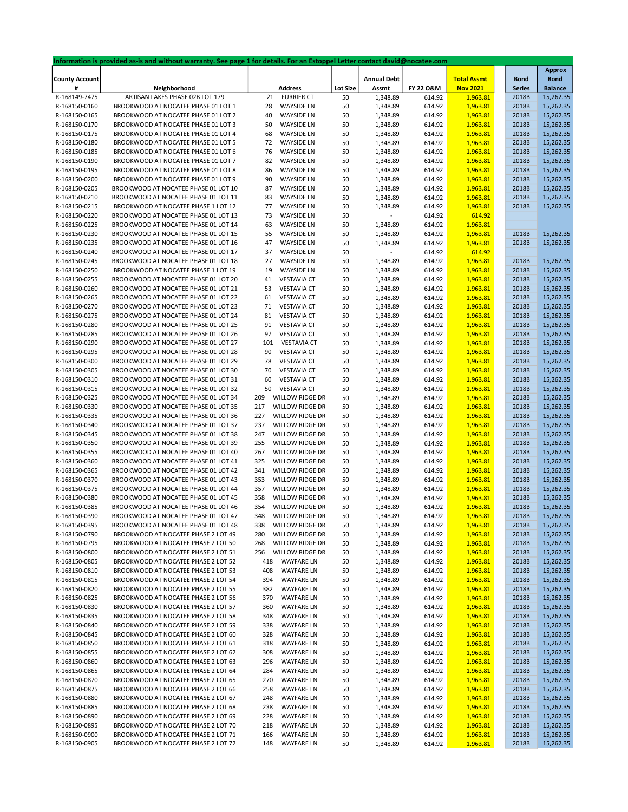|                       | Information is provided as-is and without warranty. See page 1 for details. For an Estoppel Letter contact david@nocatee.com |                               |                 |                    |           |                    |               |                |
|-----------------------|------------------------------------------------------------------------------------------------------------------------------|-------------------------------|-----------------|--------------------|-----------|--------------------|---------------|----------------|
|                       |                                                                                                                              |                               |                 |                    |           |                    |               | <b>Approx</b>  |
| <b>County Account</b> |                                                                                                                              |                               |                 | <b>Annual Debt</b> |           | <b>Total Assmt</b> | <b>Bond</b>   | <b>Bond</b>    |
| #                     | Neighborhood                                                                                                                 | <b>Address</b>                | <b>Lot Size</b> | Assmt              | FY 22 O&M | <b>Nov 2021</b>    | <b>Series</b> | <b>Balance</b> |
| R-168149-7475         | ARTISAN LAKES PHASE 02B LOT 179                                                                                              | 21<br><b>FURRIER CT</b>       | 50              | 1,348.89           | 614.92    | 1,963.81           | 2018B         | 15,262.35      |
|                       |                                                                                                                              |                               |                 |                    |           |                    |               |                |
| R-168150-0160         | BROOKWOOD AT NOCATEE PHASE 01 LOT 1                                                                                          | <b>WAYSIDE LN</b><br>28       | 50              | 1,348.89           | 614.92    | 1,963.81           | 2018B         | 15,262.35      |
| R-168150-0165         | BROOKWOOD AT NOCATEE PHASE 01 LOT 2                                                                                          | 40<br><b>WAYSIDE LN</b>       | 50              | 1,348.89           | 614.92    | 1,963.81           | 2018B         | 15,262.35      |
| R-168150-0170         | BROOKWOOD AT NOCATEE PHASE 01 LOT 3                                                                                          | <b>WAYSIDE LN</b><br>50       | 50              | 1,348.89           | 614.92    | 1,963.81           | 2018B         | 15,262.35      |
| R-168150-0175         | BROOKWOOD AT NOCATEE PHASE 01 LOT 4                                                                                          | <b>WAYSIDE LN</b><br>68       | 50              | 1,348.89           | 614.92    | 1,963.81           | 2018B         | 15,262.35      |
| R-168150-0180         | BROOKWOOD AT NOCATEE PHASE 01 LOT 5                                                                                          | <b>WAYSIDE LN</b><br>72       | 50              | 1,348.89           | 614.92    | 1,963.81           | 2018B         | 15,262.35      |
| R-168150-0185         | BROOKWOOD AT NOCATEE PHASE 01 LOT 6                                                                                          | <b>WAYSIDE LN</b><br>76       | 50              | 1,348.89           | 614.92    | 1,963.81           | 2018B         | 15,262.35      |
|                       |                                                                                                                              |                               |                 |                    |           | 1,963.81           |               |                |
| R-168150-0190         | BROOKWOOD AT NOCATEE PHASE 01 LOT 7                                                                                          | 82<br><b>WAYSIDE LN</b>       | 50              | 1,348.89           | 614.92    |                    | 2018B         | 15,262.35      |
| R-168150-0195         | BROOKWOOD AT NOCATEE PHASE 01 LOT 8                                                                                          | 86<br><b>WAYSIDE LN</b>       | 50              | 1,348.89           | 614.92    | 1,963.81           | 2018B         | 15,262.35      |
| R-168150-0200         | BROOKWOOD AT NOCATEE PHASE 01 LOT 9                                                                                          | 90<br><b>WAYSIDE LN</b>       | 50              | 1,348.89           | 614.92    | 1,963.81           | 2018B         | 15,262.35      |
| R-168150-0205         | BROOKWOOD AT NOCATEE PHASE 01 LOT 10                                                                                         | 87<br><b>WAYSIDE LN</b>       | 50              | 1,348.89           | 614.92    | 1,963.81           | 2018B         | 15,262.35      |
| R-168150-0210         | BROOKWOOD AT NOCATEE PHASE 01 LOT 11                                                                                         | 83<br><b>WAYSIDE LN</b>       | 50              | 1,348.89           | 614.92    | 1,963.81           | 2018B         | 15,262.35      |
| R-168150-0215         | BROOKWOOD AT NOCATEE PHASE 1 LOT 12                                                                                          | <b>WAYSIDE LN</b><br>77       | 50              | 1,348.89           | 614.92    | 1,963.81           | 2018B         | 15,262.35      |
|                       |                                                                                                                              |                               |                 |                    |           |                    |               |                |
| R-168150-0220         | BROOKWOOD AT NOCATEE PHASE 01 LOT 13                                                                                         | <b>WAYSIDE LN</b><br>73       | 50              |                    | 614.92    | 614.92             |               |                |
| R-168150-0225         | BROOKWOOD AT NOCATEE PHASE 01 LOT 14                                                                                         | 63<br><b>WAYSIDE LN</b>       | 50              | 1,348.89           | 614.92    | 1,963.81           |               |                |
| R-168150-0230         | BROOKWOOD AT NOCATEE PHASE 01 LOT 15                                                                                         | 55<br><b>WAYSIDE LN</b>       | 50              | 1,348.89           | 614.92    | 1,963.81           | 2018B         | 15,262.35      |
| R-168150-0235         | BROOKWOOD AT NOCATEE PHASE 01 LOT 16                                                                                         | 47<br><b>WAYSIDE LN</b>       | 50              | 1,348.89           | 614.92    | 1,963.81           | 2018B         | 15,262.35      |
| R-168150-0240         | BROOKWOOD AT NOCATEE PHASE 01 LOT 17                                                                                         | <b>WAYSIDE LN</b><br>37       | 50              |                    | 614.92    | 614.92             |               |                |
| R-168150-0245         | BROOKWOOD AT NOCATEE PHASE 01 LOT 18                                                                                         | <b>WAYSIDE LN</b><br>27       | 50              | 1,348.89           | 614.92    | 1,963.81           | 2018B         | 15,262.35      |
|                       |                                                                                                                              |                               |                 |                    |           |                    |               |                |
| R-168150-0250         | BROOKWOOD AT NOCATEE PHASE 1 LOT 19                                                                                          | <b>WAYSIDE LN</b><br>19       | 50              | 1,348.89           | 614.92    | 1,963.81           | 2018B         | 15,262.35      |
| R-168150-0255         | BROOKWOOD AT NOCATEE PHASE 01 LOT 20                                                                                         | <b>VESTAVIA CT</b><br>41      | 50              | 1,348.89           | 614.92    | 1,963.81           | 2018B         | 15,262.35      |
| R-168150-0260         | BROOKWOOD AT NOCATEE PHASE 01 LOT 21                                                                                         | <b>VESTAVIA CT</b><br>53      | 50              | 1,348.89           | 614.92    | 1,963.81           | 2018B         | 15,262.35      |
| R-168150-0265         | BROOKWOOD AT NOCATEE PHASE 01 LOT 22                                                                                         | <b>VESTAVIA CT</b><br>61      | 50              | 1,348.89           | 614.92    | 1,963.81           | 2018B         | 15,262.35      |
| R-168150-0270         | BROOKWOOD AT NOCATEE PHASE 01 LOT 23                                                                                         | <b>VESTAVIA CT</b><br>71      | 50              | 1,348.89           | 614.92    | 1,963.81           | 2018B         | 15,262.35      |
| R-168150-0275         | BROOKWOOD AT NOCATEE PHASE 01 LOT 24                                                                                         | <b>VESTAVIA CT</b><br>81      | 50              | 1,348.89           | 614.92    | 1,963.81           | 2018B         | 15,262.35      |
|                       |                                                                                                                              |                               |                 |                    |           |                    |               |                |
| R-168150-0280         | BROOKWOOD AT NOCATEE PHASE 01 LOT 25                                                                                         | <b>VESTAVIA CT</b><br>91      | 50              | 1,348.89           | 614.92    | 1,963.81           | 2018B         | 15,262.35      |
| R-168150-0285         | BROOKWOOD AT NOCATEE PHASE 01 LOT 26                                                                                         | 97<br><b>VESTAVIA CT</b>      | 50              | 1,348.89           | 614.92    | 1,963.81           | 2018B         | 15,262.35      |
| R-168150-0290         | BROOKWOOD AT NOCATEE PHASE 01 LOT 27                                                                                         | <b>VESTAVIA CT</b><br>101     | 50              | 1,348.89           | 614.92    | 1,963.81           | 2018B         | 15,262.35      |
| R-168150-0295         | BROOKWOOD AT NOCATEE PHASE 01 LOT 28                                                                                         | <b>VESTAVIA CT</b><br>90      | 50              | 1,348.89           | 614.92    | 1,963.81           | 2018B         | 15,262.35      |
| R-168150-0300         | BROOKWOOD AT NOCATEE PHASE 01 LOT 29                                                                                         | <b>VESTAVIA CT</b><br>78      | 50              | 1,348.89           | 614.92    | 1,963.81           | 2018B         | 15,262.35      |
| R-168150-0305         | BROOKWOOD AT NOCATEE PHASE 01 LOT 30                                                                                         | <b>VESTAVIA CT</b><br>70      | 50              | 1,348.89           | 614.92    | 1,963.81           | 2018B         | 15,262.35      |
|                       |                                                                                                                              |                               |                 |                    |           |                    |               |                |
| R-168150-0310         | BROOKWOOD AT NOCATEE PHASE 01 LOT 31                                                                                         | <b>VESTAVIA CT</b><br>60      | 50              | 1,348.89           | 614.92    | 1,963.81           | 2018B         | 15,262.35      |
| R-168150-0315         | BROOKWOOD AT NOCATEE PHASE 01 LOT 32                                                                                         | <b>VESTAVIA CT</b><br>50      | 50              | 1,348.89           | 614.92    | 1,963.81           | 2018B         | 15,262.35      |
| R-168150-0325         | BROOKWOOD AT NOCATEE PHASE 01 LOT 34                                                                                         | 209<br>WILLOW RIDGE DR        | 50              | 1,348.89           | 614.92    | 1,963.81           | 2018B         | 15,262.35      |
| R-168150-0330         | BROOKWOOD AT NOCATEE PHASE 01 LOT 35                                                                                         | 217<br>WILLOW RIDGE DR        | 50              | 1,348.89           | 614.92    | 1,963.81           | 2018B         | 15,262.35      |
| R-168150-0335         | BROOKWOOD AT NOCATEE PHASE 01 LOT 36                                                                                         | 227<br>WILLOW RIDGE DR        | 50              | 1,348.89           | 614.92    | 1,963.81           | 2018B         | 15,262.35      |
| R-168150-0340         | BROOKWOOD AT NOCATEE PHASE 01 LOT 37                                                                                         | 237<br>WILLOW RIDGE DR        | 50              | 1,348.89           | 614.92    | 1,963.81           | 2018B         | 15,262.35      |
|                       |                                                                                                                              |                               |                 |                    |           |                    |               |                |
| R-168150-0345         | BROOKWOOD AT NOCATEE PHASE 01 LOT 38                                                                                         | WILLOW RIDGE DR<br>247        | 50              | 1,348.89           | 614.92    | 1,963.81           | 2018B         | 15,262.35      |
| R-168150-0350         | BROOKWOOD AT NOCATEE PHASE 01 LOT 39                                                                                         | 255<br>WILLOW RIDGE DR        | 50              | 1,348.89           | 614.92    | 1,963.81           | 2018B         | 15,262.35      |
| R-168150-0355         | BROOKWOOD AT NOCATEE PHASE 01 LOT 40                                                                                         | 267<br>WILLOW RIDGE DR        | 50              | 1,348.89           | 614.92    | 1,963.81           | 2018B         | 15,262.35      |
| R-168150-0360         | BROOKWOOD AT NOCATEE PHASE 01 LOT 41                                                                                         | 325<br>WILLOW RIDGE DR        | 50              | 1,348.89           | 614.92    | 1,963.81           | 2018B         | 15,262.35      |
| R-168150-0365         | BROOKWOOD AT NOCATEE PHASE 01 LOT 42                                                                                         | 341<br>WILLOW RIDGE DR        | 50              | 1,348.89           | 614.92    | 1,963.81           | 2018B         | 15,262.35      |
| R-168150-0370         | BROOKWOOD AT NOCATEE PHASE 01 LOT 43                                                                                         | 353<br>WILLOW RIDGE DR        | 50              | 1,348.89           | 614.92    | 1,963.81           | 2018B         | 15,262.35      |
| R-168150-0375         | BROOKWOOD AT NOCATEE PHASE 01 LOT 44                                                                                         | 357<br>WILLOW RIDGE DR        | 50              | 1,348.89           | 614.92    | 1,963.81           | 2018B         | 15,262.35      |
|                       |                                                                                                                              |                               |                 |                    |           |                    |               |                |
| R-168150-0380         | BROOKWOOD AT NOCATEE PHASE 01 LOT 45                                                                                         | 358<br>WILLOW RIDGE DR        | 50              | 1,348.89           | 614.92    | 1,963.81           | 2018B         | 15,262.35      |
| R-168150-0385         | BROOKWOOD AT NOCATEE PHASE 01 LOT 46                                                                                         | WILLOW RIDGE DR<br>354        | 50              | 1,348.89           | 614.92    | 1,963.81           | 2018B         | 15,262.35      |
| R-168150-0390         | BROOKWOOD AT NOCATEE PHASE 01 LOT 47                                                                                         | 348<br>WILLOW RIDGE DR        | 50              | 1,348.89           | 614.92    | 1,963.81           | 2018B         | 15,262.35      |
| R-168150-0395         | BROOKWOOD AT NOCATEE PHASE 01 LOT 48                                                                                         | WILLOW RIDGE DR<br>338        | 50              | 1,348.89           | 614.92    | 1,963.81           | 2018B         | 15,262.35      |
| R-168150-0790         | BROOKWOOD AT NOCATEE PHASE 2 LOT 49                                                                                          | 280<br><b>WILLOW RIDGE DR</b> | 50              | 1,348.89           | 614.92    | 1,963.81           | 2018B         | 15,262.35      |
| R-168150-0795         | BROOKWOOD AT NOCATEE PHASE 2 LOT 50                                                                                          | WILLOW RIDGE DR<br>268        | 50              | 1,348.89           | 614.92    | 1,963.81           | 2018B         | 15,262.35      |
|                       |                                                                                                                              |                               |                 |                    |           |                    |               |                |
| R-168150-0800         | BROOKWOOD AT NOCATEE PHASE 2 LOT 51                                                                                          | WILLOW RIDGE DR<br>256        | 50              | 1,348.89           | 614.92    | 1,963.81           | 2018B         | 15,262.35      |
| R-168150-0805         | BROOKWOOD AT NOCATEE PHASE 2 LOT 52                                                                                          | <b>WAYFARE LN</b><br>418      | 50              | 1,348.89           | 614.92    | 1,963.81           | 2018B         | 15,262.35      |
| R-168150-0810         | BROOKWOOD AT NOCATEE PHASE 2 LOT 53                                                                                          | 408<br><b>WAYFARE LN</b>      | 50              | 1,348.89           | 614.92    | 1,963.81           | 2018B         | 15,262.35      |
| R-168150-0815         | BROOKWOOD AT NOCATEE PHASE 2 LOT 54                                                                                          | 394<br><b>WAYFARE LN</b>      | 50              | 1,348.89           | 614.92    | 1,963.81           | 2018B         | 15,262.35      |
| R-168150-0820         | BROOKWOOD AT NOCATEE PHASE 2 LOT 55                                                                                          | <b>WAYFARE LN</b><br>382      | 50              | 1,348.89           | 614.92    | 1,963.81           | 2018B         | 15,262.35      |
| R-168150-0825         | BROOKWOOD AT NOCATEE PHASE 2 LOT 56                                                                                          | 370<br><b>WAYFARE LN</b>      | 50              | 1,348.89           | 614.92    | 1,963.81           | 2018B         | 15,262.35      |
|                       |                                                                                                                              |                               |                 | 1,348.89           |           |                    |               |                |
| R-168150-0830         | BROOKWOOD AT NOCATEE PHASE 2 LOT 57                                                                                          | 360<br><b>WAYFARE LN</b>      | 50              |                    | 614.92    | 1,963.81           | 2018B         | 15,262.35      |
| R-168150-0835         | BROOKWOOD AT NOCATEE PHASE 2 LOT 58                                                                                          | 348<br><b>WAYFARE LN</b>      | 50              | 1,348.89           | 614.92    | 1,963.81           | 2018B         | 15,262.35      |
| R-168150-0840         | BROOKWOOD AT NOCATEE PHASE 2 LOT 59                                                                                          | 338<br><b>WAYFARE LN</b>      | 50              | 1,348.89           | 614.92    | 1,963.81           | 2018B         | 15,262.35      |
| R-168150-0845         | BROOKWOOD AT NOCATEE PHASE 2 LOT 60                                                                                          | 328<br><b>WAYFARE LN</b>      | 50              | 1,348.89           | 614.92    | 1,963.81           | 2018B         | 15,262.35      |
| R-168150-0850         | BROOKWOOD AT NOCATEE PHASE 2 LOT 61                                                                                          | 318<br><b>WAYFARE LN</b>      | 50              | 1,348.89           | 614.92    | 1,963.81           | 2018B         | 15,262.35      |
| R-168150-0855         | BROOKWOOD AT NOCATEE PHASE 2 LOT 62                                                                                          | 308<br><b>WAYFARE LN</b>      | 50              | 1,348.89           | 614.92    | 1,963.81           | 2018B         | 15,262.35      |
| R-168150-0860         | BROOKWOOD AT NOCATEE PHASE 2 LOT 63                                                                                          | 296<br><b>WAYFARE LN</b>      | 50              | 1,348.89           | 614.92    | 1,963.81           | 2018B         | 15,262.35      |
|                       |                                                                                                                              |                               |                 |                    |           |                    |               |                |
| R-168150-0865         | BROOKWOOD AT NOCATEE PHASE 2 LOT 64                                                                                          | 284<br><b>WAYFARE LN</b>      | 50              | 1,348.89           | 614.92    | 1,963.81           | 2018B         | 15,262.35      |
| R-168150-0870         | BROOKWOOD AT NOCATEE PHASE 2 LOT 65                                                                                          | 270<br><b>WAYFARE LN</b>      | 50              | 1,348.89           | 614.92    | 1,963.81           | 2018B         | 15,262.35      |
| R-168150-0875         | BROOKWOOD AT NOCATEE PHASE 2 LOT 66                                                                                          | 258<br><b>WAYFARE LN</b>      | 50              | 1,348.89           | 614.92    | 1,963.81           | 2018B         | 15,262.35      |
| R-168150-0880         | BROOKWOOD AT NOCATEE PHASE 2 LOT 67                                                                                          | <b>WAYFARE LN</b><br>248      | 50              | 1,348.89           | 614.92    | 1,963.81           | 2018B         | 15,262.35      |
| R-168150-0885         | BROOKWOOD AT NOCATEE PHASE 2 LOT 68                                                                                          | 238<br><b>WAYFARE LN</b>      | 50              | 1,348.89           | 614.92    | 1,963.81           | 2018B         | 15,262.35      |
| R-168150-0890         | BROOKWOOD AT NOCATEE PHASE 2 LOT 69                                                                                          | <b>WAYFARE LN</b><br>228      | 50              | 1,348.89           | 614.92    | 1,963.81           | 2018B         | 15,262.35      |
| R-168150-0895         | BROOKWOOD AT NOCATEE PHASE 2 LOT 70                                                                                          | <b>WAYFARE LN</b><br>218      | 50              | 1,348.89           | 614.92    | 1,963.81           | 2018B         | 15,262.35      |
|                       |                                                                                                                              |                               |                 |                    |           |                    |               |                |
| R-168150-0900         | BROOKWOOD AT NOCATEE PHASE 2 LOT 71                                                                                          | 166<br><b>WAYFARE LN</b>      | 50              | 1,348.89           | 614.92    | 1,963.81           | 2018B         | 15,262.35      |
| R-168150-0905         | BROOKWOOD AT NOCATEE PHASE 2 LOT 72                                                                                          | 148<br><b>WAYFARE LN</b>      | 50              | 1,348.89           | 614.92    | 1,963.81           | 2018B         | 15,262.35      |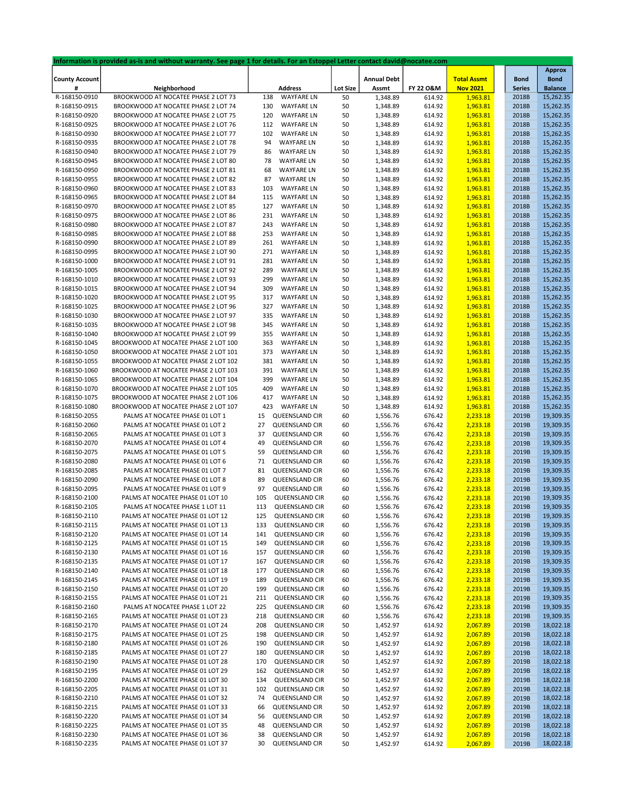|                       | Information is provided as-is and without warranty. See page 1 for details. For an Estoppel Letter contact david@nocatee.com |     |                   |                 |                    |           |                    |               |                |
|-----------------------|------------------------------------------------------------------------------------------------------------------------------|-----|-------------------|-----------------|--------------------|-----------|--------------------|---------------|----------------|
|                       |                                                                                                                              |     |                   |                 |                    |           |                    |               | <b>Approx</b>  |
| <b>County Account</b> |                                                                                                                              |     |                   |                 | <b>Annual Debt</b> |           | <b>Total Assmt</b> | <b>Bond</b>   | <b>Bond</b>    |
| #                     | Neighborhood                                                                                                                 |     | <b>Address</b>    | <b>Lot Size</b> | Assmt              | FY 22 O&M | <b>Nov 2021</b>    | <b>Series</b> | <b>Balance</b> |
| R-168150-0910         | BROOKWOOD AT NOCATEE PHASE 2 LOT 73                                                                                          | 138 | <b>WAYFARE LN</b> | 50              | 1,348.89           | 614.92    | 1,963.81           | 2018B         | 15,262.35      |
| R-168150-0915         | BROOKWOOD AT NOCATEE PHASE 2 LOT 74                                                                                          | 130 | <b>WAYFARE LN</b> | 50              | 1,348.89           | 614.92    | 1,963.81           | 2018B         | 15,262.35      |
| R-168150-0920         | BROOKWOOD AT NOCATEE PHASE 2 LOT 75                                                                                          | 120 | <b>WAYFARE LN</b> | 50              | 1,348.89           | 614.92    | 1,963.81           | 2018B         | 15,262.35      |
|                       |                                                                                                                              |     |                   |                 |                    |           |                    |               |                |
| R-168150-0925         | BROOKWOOD AT NOCATEE PHASE 2 LOT 76                                                                                          | 112 | <b>WAYFARE LN</b> | 50              | 1,348.89           | 614.92    | 1,963.81           | 2018B         | 15,262.35      |
| R-168150-0930         | BROOKWOOD AT NOCATEE PHASE 2 LOT 77                                                                                          | 102 | <b>WAYFARE LN</b> | 50              | 1,348.89           | 614.92    | 1,963.81           | 2018B         | 15,262.35      |
| R-168150-0935         | BROOKWOOD AT NOCATEE PHASE 2 LOT 78                                                                                          | 94  | <b>WAYFARE LN</b> | 50              | 1,348.89           | 614.92    | 1,963.81           | 2018B         | 15,262.35      |
| R-168150-0940         | BROOKWOOD AT NOCATEE PHASE 2 LOT 79                                                                                          | 86  | <b>WAYFARE LN</b> | 50              | 1,348.89           | 614.92    | 1,963.81           | 2018B         | 15,262.35      |
| R-168150-0945         | BROOKWOOD AT NOCATEE PHASE 2 LOT 80                                                                                          | 78  | <b>WAYFARE LN</b> | 50              | 1,348.89           | 614.92    | 1,963.81           | 2018B         | 15,262.35      |
| R-168150-0950         | BROOKWOOD AT NOCATEE PHASE 2 LOT 81                                                                                          | 68  | <b>WAYFARE LN</b> | 50              | 1,348.89           | 614.92    | 1,963.81           | 2018B         | 15,262.35      |
| R-168150-0955         | BROOKWOOD AT NOCATEE PHASE 2 LOT 82                                                                                          | 87  | <b>WAYFARE LN</b> | 50              | 1,348.89           | 614.92    | 1,963.81           | 2018B         | 15,262.35      |
|                       |                                                                                                                              |     |                   |                 |                    |           |                    |               |                |
| R-168150-0960         | BROOKWOOD AT NOCATEE PHASE 2 LOT 83                                                                                          | 103 | <b>WAYFARE LN</b> | 50              | 1,348.89           | 614.92    | 1,963.81           | 2018B         | 15,262.35      |
| R-168150-0965         | BROOKWOOD AT NOCATEE PHASE 2 LOT 84                                                                                          | 115 | <b>WAYFARE LN</b> | 50              | 1,348.89           | 614.92    | 1,963.81           | 2018B         | 15,262.35      |
| R-168150-0970         | BROOKWOOD AT NOCATEE PHASE 2 LOT 85                                                                                          | 127 | <b>WAYFARE LN</b> | 50              | 1,348.89           | 614.92    | 1,963.81           | 2018B         | 15,262.35      |
| R-168150-0975         | BROOKWOOD AT NOCATEE PHASE 2 LOT 86                                                                                          | 231 | <b>WAYFARE LN</b> | 50              | 1,348.89           | 614.92    | 1,963.81           | 2018B         | 15,262.35      |
| R-168150-0980         | BROOKWOOD AT NOCATEE PHASE 2 LOT 87                                                                                          | 243 | <b>WAYFARE LN</b> | 50              | 1,348.89           | 614.92    | 1,963.81           | 2018B         | 15,262.35      |
| R-168150-0985         | BROOKWOOD AT NOCATEE PHASE 2 LOT 88                                                                                          | 253 | <b>WAYFARE LN</b> | 50              | 1,348.89           | 614.92    | 1,963.81           | 2018B         | 15,262.35      |
|                       |                                                                                                                              |     |                   |                 |                    |           |                    |               |                |
| R-168150-0990         | BROOKWOOD AT NOCATEE PHASE 2 LOT 89                                                                                          | 261 | <b>WAYFARE LN</b> | 50              | 1,348.89           | 614.92    | 1,963.81           | 2018B         | 15,262.35      |
| R-168150-0995         | BROOKWOOD AT NOCATEE PHASE 2 LOT 90                                                                                          | 271 | <b>WAYFARE LN</b> | 50              | 1,348.89           | 614.92    | 1,963.81           | 2018B         | 15,262.35      |
| R-168150-1000         | BROOKWOOD AT NOCATEE PHASE 2 LOT 91                                                                                          | 281 | <b>WAYFARE LN</b> | 50              | 1,348.89           | 614.92    | 1,963.81           | 2018B         | 15,262.35      |
| R-168150-1005         | BROOKWOOD AT NOCATEE PHASE 2 LOT 92                                                                                          | 289 | <b>WAYFARE LN</b> | 50              | 1,348.89           | 614.92    | 1,963.81           | 2018B         | 15,262.35      |
| R-168150-1010         | BROOKWOOD AT NOCATEE PHASE 2 LOT 93                                                                                          | 299 | <b>WAYFARE LN</b> | 50              | 1,348.89           | 614.92    | 1,963.81           | 2018B         | 15,262.35      |
| R-168150-1015         | BROOKWOOD AT NOCATEE PHASE 2 LOT 94                                                                                          | 309 | <b>WAYFARE LN</b> | 50              | 1,348.89           | 614.92    | 1,963.81           | 2018B         | 15,262.35      |
|                       |                                                                                                                              |     |                   |                 |                    |           |                    |               |                |
| R-168150-1020         | BROOKWOOD AT NOCATEE PHASE 2 LOT 95                                                                                          | 317 | <b>WAYFARE LN</b> | 50              | 1,348.89           | 614.92    | 1,963.81           | 2018B         | 15,262.35      |
| R-168150-1025         | BROOKWOOD AT NOCATEE PHASE 2 LOT 96                                                                                          | 327 | <b>WAYFARE LN</b> | 50              | 1,348.89           | 614.92    | 1,963.81           | 2018B         | 15,262.35      |
| R-168150-1030         | BROOKWOOD AT NOCATEE PHASE 2 LOT 97                                                                                          | 335 | <b>WAYFARE LN</b> | 50              | 1,348.89           | 614.92    | 1,963.81           | 2018B         | 15,262.35      |
| R-168150-1035         | BROOKWOOD AT NOCATEE PHASE 2 LOT 98                                                                                          | 345 | <b>WAYFARE LN</b> | 50              | 1,348.89           | 614.92    | 1,963.81           | 2018B         | 15,262.35      |
| R-168150-1040         | BROOKWOOD AT NOCATEE PHASE 2 LOT 99                                                                                          | 355 | <b>WAYFARE LN</b> | 50              | 1,348.89           | 614.92    | 1,963.81           | 2018B         | 15,262.35      |
| R-168150-1045         | BROOKWOOD AT NOCATEE PHASE 2 LOT 100                                                                                         | 363 | <b>WAYFARE LN</b> | 50              | 1,348.89           | 614.92    | 1,963.81           | 2018B         | 15,262.35      |
| R-168150-1050         | BROOKWOOD AT NOCATEE PHASE 2 LOT 101                                                                                         | 373 | <b>WAYFARE LN</b> | 50              | 1,348.89           | 614.92    | 1,963.81           | 2018B         | 15,262.35      |
|                       |                                                                                                                              |     |                   |                 |                    |           |                    |               |                |
| R-168150-1055         | BROOKWOOD AT NOCATEE PHASE 2 LOT 102                                                                                         | 381 | <b>WAYFARE LN</b> | 50              | 1,348.89           | 614.92    | 1,963.81           | 2018B         | 15,262.35      |
| R-168150-1060         | BROOKWOOD AT NOCATEE PHASE 2 LOT 103                                                                                         | 391 | <b>WAYFARE LN</b> | 50              | 1,348.89           | 614.92    | 1,963.81           | 2018B         | 15,262.35      |
| R-168150-1065         | BROOKWOOD AT NOCATEE PHASE 2 LOT 104                                                                                         | 399 | <b>WAYFARE LN</b> | 50              | 1,348.89           | 614.92    | 1,963.81           | 2018B         | 15,262.35      |
| R-168150-1070         | BROOKWOOD AT NOCATEE PHASE 2 LOT 105                                                                                         | 409 | <b>WAYFARE LN</b> | 50              | 1,348.89           | 614.92    | 1,963.81           | 2018B         | 15,262.35      |
| R-168150-1075         | BROOKWOOD AT NOCATEE PHASE 2 LOT 106                                                                                         | 417 | <b>WAYFARE LN</b> | 50              | 1,348.89           | 614.92    | 1,963.81           | 2018B         | 15,262.35      |
| R-168150-1080         | BROOKWOOD AT NOCATEE PHASE 2 LOT 107                                                                                         | 423 | <b>WAYFARE LN</b> | 50              | 1,348.89           | 614.92    | 1,963.81           | 2018B         | 15,262.35      |
|                       |                                                                                                                              | 15  | QUEENSLAND CIR    |                 |                    | 676.42    |                    | 2019B         | 19,309.35      |
| R-168150-2055         | PALMS AT NOCATEE PHASE 01 LOT 1                                                                                              |     |                   | 60              | 1,556.76           |           | 2,233.18           |               |                |
| R-168150-2060         | PALMS AT NOCATEE PHASE 01 LOT 2                                                                                              | 27  | QUEENSLAND CIR    | 60              | 1,556.76           | 676.42    | 2,233.18           | 2019B         | 19,309.35      |
| R-168150-2065         | PALMS AT NOCATEE PHASE 01 LOT 3                                                                                              | 37  | QUEENSLAND CIR    | 60              | 1,556.76           | 676.42    | 2,233.18           | 2019B         | 19,309.35      |
| R-168150-2070         | PALMS AT NOCATEE PHASE 01 LOT 4                                                                                              | 49  | QUEENSLAND CIR    | 60              | 1,556.76           | 676.42    | 2,233.18           | 2019B         | 19,309.35      |
| R-168150-2075         | PALMS AT NOCATEE PHASE 01 LOT 5                                                                                              | 59  | QUEENSLAND CIR    | 60              | 1,556.76           | 676.42    | 2,233.18           | 2019B         | 19,309.35      |
| R-168150-2080         | PALMS AT NOCATEE PHASE 01 LOT 6                                                                                              | 71  | QUEENSLAND CIR    | 60              | 1,556.76           | 676.42    | 2,233.18           | 2019B         | 19,309.35      |
| R-168150-2085         | PALMS AT NOCATEE PHASE 01 LOT 7                                                                                              | 81  | QUEENSLAND CIR    | 60              | 1,556.76           | 676.42    | 2,233.18           | 2019B         | 19,309.35      |
| R-168150-2090         | PALMS AT NOCATEE PHASE 01 LOT 8                                                                                              | 89  | QUEENSLAND CIR    | 60              | 1,556.76           | 676.42    | 2,233.18           | 2019B         | 19,309.35      |
|                       |                                                                                                                              |     |                   |                 |                    |           |                    |               |                |
| R-168150-2095         | PALMS AT NOCATEE PHASE 01 LOT 9                                                                                              | 97  | QUEENSLAND CIR    | 60              | 1,556.76           | 676.42    | 2,233.18           | 2019B         | 19,309.35      |
| R-168150-2100         | PALMS AT NOCATEE PHASE 01 LOT 10                                                                                             | 105 | QUEENSLAND CIR    | 60              | 1,556.76           | 676.42    | 2,233.18           | 2019B         | 19,309.35      |
| R-168150-2105         | PALMS AT NOCATEE PHASE 1 LOT 11                                                                                              | 113 | QUEENSLAND CIR    | 60              | 1,556.76           | 676.42    | 2,233.18           | 2019B         | 19,309.35      |
| R-168150-2110         | PALMS AT NOCATEE PHASE 01 LOT 12                                                                                             | 125 | QUEENSLAND CIR    | 60              | 1,556.76           | 676.42    | 2,233.18           | 2019B         | 19,309.35      |
| R-168150-2115         | PALMS AT NOCATEE PHASE 01 LOT 13                                                                                             | 133 | QUEENSLAND CIR    | 60              | 1,556.76           | 676.42    | 2,233.18           | 2019B         | 19,309.35      |
| R-168150-2120         | PALMS AT NOCATEE PHASE 01 LOT 14                                                                                             | 141 | QUEENSLAND CIR    | 60              | 1,556.76           | 676.42    | 2,233.18           | 2019B         | 19,309.35      |
| R-168150-2125         | PALMS AT NOCATEE PHASE 01 LOT 15                                                                                             | 149 | QUEENSLAND CIR    | 60              | 1,556.76           | 676.42    | 2,233.18           | 2019B         | 19,309.35      |
|                       |                                                                                                                              |     |                   |                 |                    |           |                    |               |                |
| R-168150-2130         | PALMS AT NOCATEE PHASE 01 LOT 16                                                                                             | 157 | QUEENSLAND CIR    | 60              | 1,556.76           | 676.42    | 2,233.18           | 2019B         | 19,309.35      |
| R-168150-2135         | PALMS AT NOCATEE PHASE 01 LOT 17                                                                                             | 167 | QUEENSLAND CIR    | 60              | 1,556.76           | 676.42    | 2,233.18           | 2019B         | 19,309.35      |
| R-168150-2140         | PALMS AT NOCATEE PHASE 01 LOT 18                                                                                             | 177 | QUEENSLAND CIR    | 60              | 1,556.76           | 676.42    | 2,233.18           | 2019B         | 19,309.35      |
| R-168150-2145         | PALMS AT NOCATEE PHASE 01 LOT 19                                                                                             | 189 | QUEENSLAND CIR    | 60              | 1,556.76           | 676.42    | 2,233.18           | 2019B         | 19,309.35      |
| R-168150-2150         | PALMS AT NOCATEE PHASE 01 LOT 20                                                                                             | 199 | QUEENSLAND CIR    | 60              | 1,556.76           | 676.42    | 2,233.18           | 2019B         | 19,309.35      |
| R-168150-2155         | PALMS AT NOCATEE PHASE 01 LOT 21                                                                                             | 211 | QUEENSLAND CIR    | 60              | 1,556.76           | 676.42    | 2,233.18           | 2019B         | 19,309.35      |
| R-168150-2160         | PALMS AT NOCATEE PHASE 1 LOT 22                                                                                              | 225 | QUEENSLAND CIR    | 60              | 1,556.76           | 676.42    | 2,233.18           | 2019B         | 19,309.35      |
|                       |                                                                                                                              |     |                   |                 |                    |           |                    |               |                |
| R-168150-2165         | PALMS AT NOCATEE PHASE 01 LOT 23                                                                                             | 218 | QUEENSLAND CIR    | 60              | 1,556.76           | 676.42    | 2,233.18           | 2019B         | 19,309.35      |
| R-168150-2170         | PALMS AT NOCATEE PHASE 01 LOT 24                                                                                             | 208 | QUEENSLAND CIR    | 50              | 1,452.97           | 614.92    | 2,067.89           | 2019B         | 18,022.18      |
| R-168150-2175         | PALMS AT NOCATEE PHASE 01 LOT 25                                                                                             | 198 | QUEENSLAND CIR    | 50              | 1,452.97           | 614.92    | 2,067.89           | 2019B         | 18,022.18      |
| R-168150-2180         | PALMS AT NOCATEE PHASE 01 LOT 26                                                                                             | 190 | QUEENSLAND CIR    | 50              | 1,452.97           | 614.92    | 2,067.89           | 2019B         | 18,022.18      |
| R-168150-2185         | PALMS AT NOCATEE PHASE 01 LOT 27                                                                                             | 180 | QUEENSLAND CIR    | 50              | 1,452.97           | 614.92    | 2,067.89           | 2019B         | 18,022.18      |
| R-168150-2190         | PALMS AT NOCATEE PHASE 01 LOT 28                                                                                             | 170 | QUEENSLAND CIR    | 50              | 1,452.97           | 614.92    | 2,067.89           | 2019B         | 18,022.18      |
| R-168150-2195         | PALMS AT NOCATEE PHASE 01 LOT 29                                                                                             | 162 | QUEENSLAND CIR    | 50              | 1,452.97           | 614.92    | 2,067.89           | 2019B         | 18,022.18      |
|                       |                                                                                                                              |     | QUEENSLAND CIR    |                 |                    |           |                    |               |                |
| R-168150-2200         | PALMS AT NOCATEE PHASE 01 LOT 30                                                                                             | 134 |                   | 50              | 1,452.97           | 614.92    | 2,067.89           | 2019B         | 18,022.18      |
| R-168150-2205         | PALMS AT NOCATEE PHASE 01 LOT 31                                                                                             | 102 | QUEENSLAND CIR    | 50              | 1,452.97           | 614.92    | 2,067.89           | 2019B         | 18,022.18      |
| R-168150-2210         | PALMS AT NOCATEE PHASE 01 LOT 32                                                                                             | 74  | QUEENSLAND CIR    | 50              | 1,452.97           | 614.92    | 2,067.89           | 2019B         | 18,022.18      |
| R-168150-2215         | PALMS AT NOCATEE PHASE 01 LOT 33                                                                                             | 66  | QUEENSLAND CIR    | 50              | 1,452.97           | 614.92    | 2,067.89           | 2019B         | 18,022.18      |
| R-168150-2220         | PALMS AT NOCATEE PHASE 01 LOT 34                                                                                             | 56  | QUEENSLAND CIR    | 50              | 1,452.97           | 614.92    | 2,067.89           | 2019B         | 18,022.18      |
| R-168150-2225         | PALMS AT NOCATEE PHASE 01 LOT 35                                                                                             | 48  | QUEENSLAND CIR    | 50              | 1,452.97           | 614.92    | 2,067.89           | 2019B         | 18,022.18      |
| R-168150-2230         | PALMS AT NOCATEE PHASE 01 LOT 36                                                                                             | 38  | QUEENSLAND CIR    | 50              | 1,452.97           | 614.92    | 2,067.89           | 2019B         | 18,022.18      |
| R-168150-2235         | PALMS AT NOCATEE PHASE 01 LOT 37                                                                                             | 30  | QUEENSLAND CIR    | 50              | 1,452.97           | 614.92    | 2,067.89           | 2019B         | 18,022.18      |
|                       |                                                                                                                              |     |                   |                 |                    |           |                    |               |                |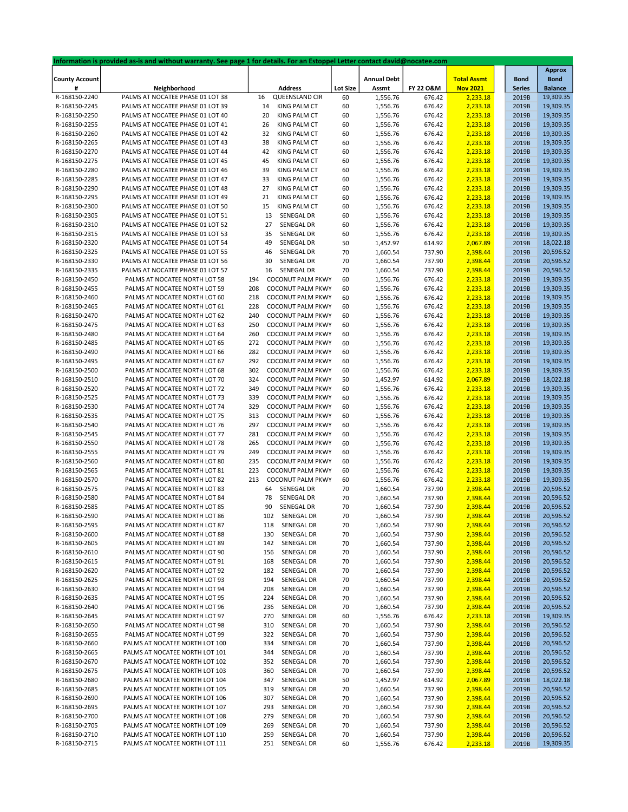|                       | Information is provided as-is and without warranty. See page 1 for details. For an Estoppel Letter contact david@nocatee.com |                                 |                 |                    |           |                    |               |                |
|-----------------------|------------------------------------------------------------------------------------------------------------------------------|---------------------------------|-----------------|--------------------|-----------|--------------------|---------------|----------------|
|                       |                                                                                                                              |                                 |                 |                    |           |                    |               | <b>Approx</b>  |
| <b>County Account</b> |                                                                                                                              |                                 |                 | <b>Annual Debt</b> |           | <b>Total Assmt</b> | <b>Bond</b>   | <b>Bond</b>    |
| #                     | Neighborhood                                                                                                                 | <b>Address</b>                  | <b>Lot Size</b> | Assmt              | FY 22 O&M | <b>Nov 2021</b>    | <b>Series</b> | <b>Balance</b> |
| R-168150-2240         | PALMS AT NOCATEE PHASE 01 LOT 38                                                                                             | 16<br>QUEENSLAND CIR            | 60              | 1,556.76           | 676.42    | 2,233.18           | 2019B         | 19,309.35      |
| R-168150-2245         | PALMS AT NOCATEE PHASE 01 LOT 39                                                                                             | <b>KING PALM CT</b><br>14       | 60              | 1,556.76           | 676.42    | 2,233.18           | 2019B         | 19,309.35      |
| R-168150-2250         | PALMS AT NOCATEE PHASE 01 LOT 40                                                                                             | 20<br><b>KING PALM CT</b>       | 60              | 1,556.76           | 676.42    | 2,233.18           | 2019B         | 19,309.35      |
| R-168150-2255         | PALMS AT NOCATEE PHASE 01 LOT 41                                                                                             | KING PALM CT<br>26              | 60              | 1,556.76           | 676.42    | 2,233.18           | 2019B         | 19,309.35      |
|                       |                                                                                                                              |                                 |                 |                    |           |                    |               |                |
| R-168150-2260         | PALMS AT NOCATEE PHASE 01 LOT 42                                                                                             | 32<br><b>KING PALM CT</b>       | 60              | 1,556.76           | 676.42    | 2,233.18           | 2019B         | 19,309.35      |
| R-168150-2265         | PALMS AT NOCATEE PHASE 01 LOT 43                                                                                             | 38<br><b>KING PALM CT</b>       | 60              | 1,556.76           | 676.42    | 2,233.18           | 2019B         | 19,309.35      |
| R-168150-2270         | PALMS AT NOCATEE PHASE 01 LOT 44                                                                                             | <b>KING PALM CT</b><br>42       | 60              | 1,556.76           | 676.42    | 2,233.18           | 2019B         | 19,309.35      |
| R-168150-2275         | PALMS AT NOCATEE PHASE 01 LOT 45                                                                                             | 45<br><b>KING PALM CT</b>       | 60              | 1,556.76           | 676.42    | 2,233.18           | 2019B         | 19,309.35      |
| R-168150-2280         | PALMS AT NOCATEE PHASE 01 LOT 46                                                                                             | 39<br>KING PALM CT              | 60              | 1,556.76           | 676.42    | 2,233.18           | 2019B         | 19,309.35      |
| R-168150-2285         | PALMS AT NOCATEE PHASE 01 LOT 47                                                                                             | 33<br>KING PALM CT              | 60              | 1,556.76           | 676.42    | 2,233.18           | 2019B         | 19,309.35      |
| R-168150-2290         | PALMS AT NOCATEE PHASE 01 LOT 48                                                                                             | 27<br><b>KING PALM CT</b>       | 60              | 1,556.76           | 676.42    | 2,233.18           | 2019B         | 19,309.35      |
| R-168150-2295         | PALMS AT NOCATEE PHASE 01 LOT 49                                                                                             | 21<br><b>KING PALM CT</b>       | 60              | 1,556.76           | 676.42    | 2,233.18           | 2019B         | 19,309.35      |
| R-168150-2300         | PALMS AT NOCATEE PHASE 01 LOT 50                                                                                             | KING PALM CT<br>15              | 60              | 1,556.76           | 676.42    | 2,233.18           | 2019B         | 19,309.35      |
| R-168150-2305         | PALMS AT NOCATEE PHASE 01 LOT 51                                                                                             | 13<br>SENEGAL DR                |                 | 1,556.76           | 676.42    | 2,233.18           | 2019B         | 19,309.35      |
|                       |                                                                                                                              |                                 | 60              |                    |           |                    |               |                |
| R-168150-2310         | PALMS AT NOCATEE PHASE 01 LOT 52                                                                                             | 27<br>SENEGAL DR                | 60              | 1,556.76           | 676.42    | 2,233.18           | 2019B         | 19,309.35      |
| R-168150-2315         | PALMS AT NOCATEE PHASE 01 LOT 53                                                                                             | SENEGAL DR<br>35                | 60              | 1,556.76           | 676.42    | 2,233.18           | 2019B         | 19,309.35      |
| R-168150-2320         | PALMS AT NOCATEE PHASE 01 LOT 54                                                                                             | 49<br>SENEGAL DR                | 50              | 1,452.97           | 614.92    | 2,067.89           | 2019B         | 18,022.18      |
| R-168150-2325         | PALMS AT NOCATEE PHASE 01 LOT 55                                                                                             | SENEGAL DR<br>46                | 70              | 1,660.54           | 737.90    | 2,398.44           | 2019B         | 20,596.52      |
| R-168150-2330         | PALMS AT NOCATEE PHASE 01 LOT 56                                                                                             | 30<br>SENEGAL DR                | 70              | 1,660.54           | 737.90    | 2,398.44           | 2019B         | 20,596.52      |
| R-168150-2335         | PALMS AT NOCATEE PHASE 01 LOT 57                                                                                             | SENEGAL DR<br>16                | 70              | 1,660.54           | 737.90    | 2,398.44           | 2019B         | 20,596.52      |
| R-168150-2450         | PALMS AT NOCATEE NORTH LOT 58                                                                                                | 194<br><b>COCONUT PALM PKWY</b> | 60              | 1,556.76           | 676.42    | 2,233.18           | 2019B         | 19,309.35      |
| R-168150-2455         | PALMS AT NOCATEE NORTH LOT 59                                                                                                | <b>COCONUT PALM PKWY</b><br>208 | 60              | 1,556.76           | 676.42    | 2,233.18           | 2019B         | 19,309.35      |
| R-168150-2460         | PALMS AT NOCATEE NORTH LOT 60                                                                                                | <b>COCONUT PALM PKWY</b><br>218 | 60              | 1,556.76           | 676.42    | 2,233.18           | 2019B         | 19,309.35      |
|                       |                                                                                                                              |                                 |                 |                    |           |                    |               |                |
| R-168150-2465         | PALMS AT NOCATEE NORTH LOT 61                                                                                                | 228<br><b>COCONUT PALM PKWY</b> | 60              | 1,556.76           | 676.42    | 2,233.18           | 2019B         | 19,309.35      |
| R-168150-2470         | PALMS AT NOCATEE NORTH LOT 62                                                                                                | 240<br><b>COCONUT PALM PKWY</b> | 60              | 1,556.76           | 676.42    | 2,233.18           | 2019B         | 19,309.35      |
| R-168150-2475         | PALMS AT NOCATEE NORTH LOT 63                                                                                                | 250<br><b>COCONUT PALM PKWY</b> | 60              | 1,556.76           | 676.42    | 2,233.18           | 2019B         | 19,309.35      |
| R-168150-2480         | PALMS AT NOCATEE NORTH LOT 64                                                                                                | 260<br><b>COCONUT PALM PKWY</b> | 60              | 1,556.76           | 676.42    | 2,233.18           | 2019B         | 19,309.35      |
| R-168150-2485         | PALMS AT NOCATEE NORTH LOT 65                                                                                                | 272<br><b>COCONUT PALM PKWY</b> | 60              | 1,556.76           | 676.42    | 2,233.18           | 2019B         | 19,309.35      |
| R-168150-2490         | PALMS AT NOCATEE NORTH LOT 66                                                                                                | 282<br><b>COCONUT PALM PKWY</b> | 60              | 1,556.76           | 676.42    | 2,233.18           | 2019B         | 19,309.35      |
| R-168150-2495         | PALMS AT NOCATEE NORTH LOT 67                                                                                                | 292<br><b>COCONUT PALM PKWY</b> | 60              | 1,556.76           | 676.42    | 2,233.18           | 2019B         | 19,309.35      |
| R-168150-2500         | PALMS AT NOCATEE NORTH LOT 68                                                                                                | 302<br>COCONUT PALM PKWY        | 60              | 1,556.76           | 676.42    | 2,233.18           | 2019B         | 19,309.35      |
| R-168150-2510         | PALMS AT NOCATEE NORTH LOT 70                                                                                                | 324<br><b>COCONUT PALM PKWY</b> | 50              | 1,452.97           | 614.92    | 2,067.89           | 2019B         | 18,022.18      |
|                       |                                                                                                                              |                                 |                 |                    |           |                    |               |                |
| R-168150-2520         | PALMS AT NOCATEE NORTH LOT 72                                                                                                | 349<br><b>COCONUT PALM PKWY</b> | 60              | 1,556.76           | 676.42    | 2,233.18           | 2019B         | 19,309.35      |
| R-168150-2525         | PALMS AT NOCATEE NORTH LOT 73                                                                                                | 339<br><b>COCONUT PALM PKWY</b> | 60              | 1,556.76           | 676.42    | 2,233.18           | 2019B         | 19,309.35      |
| R-168150-2530         | PALMS AT NOCATEE NORTH LOT 74                                                                                                | <b>COCONUT PALM PKWY</b><br>329 | 60              | 1,556.76           | 676.42    | 2,233.18           | 2019B         | 19,309.35      |
| R-168150-2535         | PALMS AT NOCATEE NORTH LOT 75                                                                                                | <b>COCONUT PALM PKWY</b><br>313 | 60              | 1,556.76           | 676.42    | 2,233.18           | 2019B         | 19,309.35      |
| R-168150-2540         | PALMS AT NOCATEE NORTH LOT 76                                                                                                | 297<br><b>COCONUT PALM PKWY</b> | 60              | 1,556.76           | 676.42    | 2,233.18           | 2019B         | 19,309.35      |
| R-168150-2545         | PALMS AT NOCATEE NORTH LOT 77                                                                                                | 281<br><b>COCONUT PALM PKWY</b> | 60              | 1,556.76           | 676.42    | 2,233.18           | 2019B         | 19,309.35      |
| R-168150-2550         | PALMS AT NOCATEE NORTH LOT 78                                                                                                | <b>COCONUT PALM PKWY</b><br>265 | 60              | 1,556.76           | 676.42    | 2,233.18           | 2019B         | 19,309.35      |
| R-168150-2555         | PALMS AT NOCATEE NORTH LOT 79                                                                                                | 249<br><b>COCONUT PALM PKWY</b> | 60              | 1,556.76           | 676.42    | 2,233.18           | 2019B         | 19,309.35      |
| R-168150-2560         | PALMS AT NOCATEE NORTH LOT 80                                                                                                | 235<br><b>COCONUT PALM PKWY</b> | 60              | 1,556.76           | 676.42    | 2,233.18           | 2019B         | 19,309.35      |
|                       | PALMS AT NOCATEE NORTH LOT 81                                                                                                | 223<br><b>COCONUT PALM PKWY</b> | 60              |                    | 676.42    |                    | 2019B         | 19,309.35      |
| R-168150-2565         |                                                                                                                              |                                 |                 | 1,556.76           |           | 2,233.18           |               |                |
| R-168150-2570         | PALMS AT NOCATEE NORTH LOT 82                                                                                                | 213<br><b>COCONUT PALM PKWY</b> | 60              | 1,556.76           | 676.42    | 2,233.18           | 2019B         | 19,309.35      |
| R-168150-2575         | PALMS AT NOCATEE NORTH LOT 83                                                                                                | SENEGAL DR<br>64                | 70              | 1,660.54           | 737.90    | 2,398.44           | 2019B         | 20,596.52      |
| R-168150-2580         | PALMS AT NOCATEE NORTH LOT 84                                                                                                | SENEGAL DR<br>78                | 70              | 1,660.54           | 737.90    | 2,398.44           | 2019B         | 20,596.52      |
| R-168150-2585         | PALMS AT NOCATEE NORTH LOT 85                                                                                                | SENEGAL DR<br>90                | 70              | 1,660.54           | 737.90    | 2,398.44           | 2019B         | 20,596.52      |
| R-168150-2590         | PALMS AT NOCATEE NORTH LOT 86                                                                                                | SENEGAL DR<br>102               | 70              | 1,660.54           | 737.90    | 2,398.44           | 2019B         | 20,596.52      |
| R-168150-2595         | PALMS AT NOCATEE NORTH LOT 87                                                                                                | SENEGAL DR<br>118               | 70              | 1,660.54           | 737.90    | 2,398.44           | 2019B         | 20,596.52      |
| R-168150-2600         | PALMS AT NOCATEE NORTH LOT 88                                                                                                | SENEGAL DR<br>130               | 70              | 1,660.54           | 737.90    | 2,398.44           | 2019B         | 20,596.52      |
| R-168150-2605         | PALMS AT NOCATEE NORTH LOT 89                                                                                                | 142<br>SENEGAL DR               | 70              | 1,660.54           | 737.90    | 2,398.44           | 2019B         | 20,596.52      |
| R-168150-2610         | PALMS AT NOCATEE NORTH LOT 90                                                                                                | SENEGAL DR<br>156               | 70              | 1,660.54           | 737.90    | 2,398.44           | 2019B         | 20,596.52      |
|                       |                                                                                                                              |                                 |                 |                    |           |                    |               |                |
| R-168150-2615         | PALMS AT NOCATEE NORTH LOT 91                                                                                                | 168<br>SENEGAL DR               | 70              | 1,660.54           | 737.90    | 2,398.44           | 2019B         | 20,596.52      |
| R-168150-2620         | PALMS AT NOCATEE NORTH LOT 92                                                                                                | SENEGAL DR<br>182               | 70              | 1,660.54           | 737.90    | 2,398.44           | 2019B         | 20,596.52      |
| R-168150-2625         | PALMS AT NOCATEE NORTH LOT 93                                                                                                | SENEGAL DR<br>194               | 70              | 1,660.54           | 737.90    | 2,398.44           | 2019B         | 20,596.52      |
| R-168150-2630         | PALMS AT NOCATEE NORTH LOT 94                                                                                                | 208<br>SENEGAL DR               | 70              | 1,660.54           | 737.90    | 2,398.44           | 2019B         | 20,596.52      |
| R-168150-2635         | PALMS AT NOCATEE NORTH LOT 95                                                                                                | SENEGAL DR<br>224               | 70              | 1,660.54           | 737.90    | 2,398.44           | 2019B         | 20,596.52      |
| R-168150-2640         | PALMS AT NOCATEE NORTH LOT 96                                                                                                | SENEGAL DR<br>236               | 70              | 1,660.54           | 737.90    | 2,398.44           | 2019B         | 20,596.52      |
| R-168150-2645         | PALMS AT NOCATEE NORTH LOT 97                                                                                                | SENEGAL DR<br>270               | 60              | 1,556.76           | 676.42    | 2,233.18           | 2019B         | 19,309.35      |
| R-168150-2650         | PALMS AT NOCATEE NORTH LOT 98                                                                                                | 310<br>SENEGAL DR               | 70              | 1,660.54           | 737.90    | 2,398.44           | 2019B         | 20,596.52      |
| R-168150-2655         | PALMS AT NOCATEE NORTH LOT 99                                                                                                | 322<br>SENEGAL DR               | 70              | 1,660.54           | 737.90    | 2,398.44           | 2019B         | 20,596.52      |
|                       |                                                                                                                              |                                 |                 | 1,660.54           |           |                    |               | 20,596.52      |
| R-168150-2660         | PALMS AT NOCATEE NORTH LOT 100                                                                                               | 334<br>SENEGAL DR               | 70              |                    | 737.90    | 2,398.44           | 2019B         |                |
| R-168150-2665         | PALMS AT NOCATEE NORTH LOT 101                                                                                               | 344<br>SENEGAL DR               | 70              | 1,660.54           | 737.90    | 2,398.44           | 2019B         | 20,596.52      |
| R-168150-2670         | PALMS AT NOCATEE NORTH LOT 102                                                                                               | SENEGAL DR<br>352               | 70              | 1,660.54           | 737.90    | 2,398.44           | 2019B         | 20,596.52      |
| R-168150-2675         | PALMS AT NOCATEE NORTH LOT 103                                                                                               | SENEGAL DR<br>360               | 70              | 1,660.54           | 737.90    | 2,398.44           | 2019B         | 20,596.52      |
| R-168150-2680         | PALMS AT NOCATEE NORTH LOT 104                                                                                               | SENEGAL DR<br>347               | 50              | 1,452.97           | 614.92    | 2,067.89           | 2019B         | 18,022.18      |
| R-168150-2685         | PALMS AT NOCATEE NORTH LOT 105                                                                                               | SENEGAL DR<br>319               | 70              | 1,660.54           | 737.90    | 2,398.44           | 2019B         | 20,596.52      |
| R-168150-2690         | PALMS AT NOCATEE NORTH LOT 106                                                                                               | 307<br>SENEGAL DR               | 70              | 1,660.54           | 737.90    | 2,398.44           | 2019B         | 20,596.52      |
| R-168150-2695         | PALMS AT NOCATEE NORTH LOT 107                                                                                               | SENEGAL DR<br>293               | 70              | 1,660.54           | 737.90    | 2,398.44           | 2019B         | 20,596.52      |
| R-168150-2700         | PALMS AT NOCATEE NORTH LOT 108                                                                                               | 279<br>SENEGAL DR               | 70              | 1,660.54           | 737.90    | 2,398.44           | 2019B         | 20,596.52      |
|                       |                                                                                                                              |                                 |                 |                    |           |                    |               |                |
| R-168150-2705         | PALMS AT NOCATEE NORTH LOT 109                                                                                               | SENEGAL DR<br>269               | 70              | 1,660.54           | 737.90    | 2,398.44           | 2019B         | 20,596.52      |
| R-168150-2710         | PALMS AT NOCATEE NORTH LOT 110                                                                                               | SENEGAL DR<br>259               | 70              | 1,660.54           | 737.90    | 2,398.44           | 2019B         | 20,596.52      |
| R-168150-2715         | PALMS AT NOCATEE NORTH LOT 111                                                                                               | SENEGAL DR<br>251               | 60              | 1,556.76           | 676.42    | 2,233.18           | 2019B         | 19,309.35      |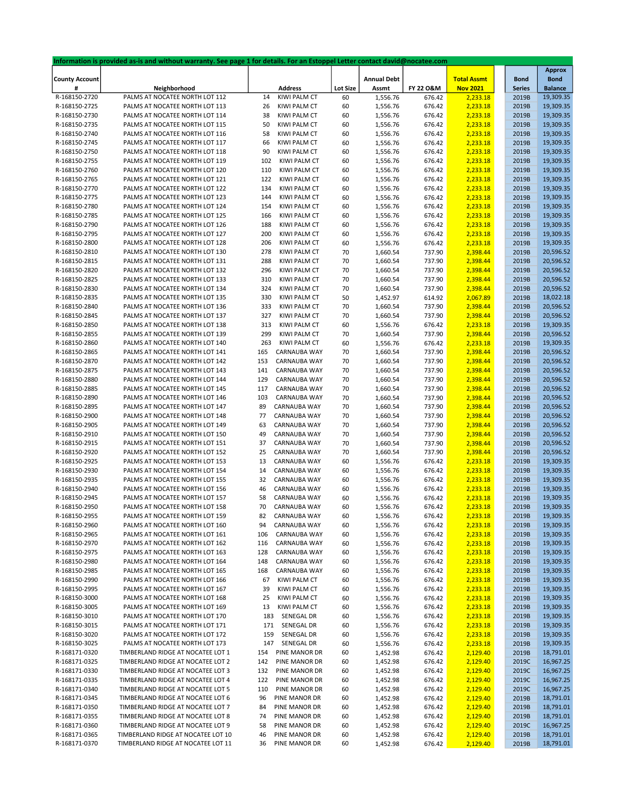|                       | Information is provided as-is and without warranty. See page 1 for details. For an Estoppel Letter contact david@nocatee.com |                |                           |                    |           |                    |               |                |
|-----------------------|------------------------------------------------------------------------------------------------------------------------------|----------------|---------------------------|--------------------|-----------|--------------------|---------------|----------------|
|                       |                                                                                                                              |                |                           |                    |           |                    |               | <b>Approx</b>  |
| <b>County Account</b> |                                                                                                                              |                |                           | <b>Annual Debt</b> |           | <b>Total Assmt</b> | <b>Bond</b>   | <b>Bond</b>    |
| #                     | Neighborhood                                                                                                                 | <b>Address</b> | <b>Lot Size</b>           | Assmt              | FY 22 O&M | <b>Nov 2021</b>    | <b>Series</b> | <b>Balance</b> |
| R-168150-2720         | PALMS AT NOCATEE NORTH LOT 112                                                                                               | 14             | KIWI PALM CT<br>60        | 1,556.76           | 676.42    | 2,233.18           | 2019B         | 19,309.35      |
| R-168150-2725         | PALMS AT NOCATEE NORTH LOT 113                                                                                               | 26             | KIWI PALM CT<br>60        | 1,556.76           | 676.42    | 2,233.18           | 2019B         | 19,309.35      |
| R-168150-2730         | PALMS AT NOCATEE NORTH LOT 114                                                                                               | 38             | KIWI PALM CT<br>60        | 1,556.76           | 676.42    | 2,233.18           | 2019B         | 19,309.35      |
| R-168150-2735         | PALMS AT NOCATEE NORTH LOT 115                                                                                               | 50             | <b>KIWI PALM CT</b><br>60 | 1,556.76           | 676.42    | 2,233.18           | 2019B         | 19,309.35      |
|                       |                                                                                                                              |                |                           |                    |           |                    |               |                |
| R-168150-2740         | PALMS AT NOCATEE NORTH LOT 116                                                                                               | 58             | KIWI PALM CT<br>60        | 1,556.76           | 676.42    | 2,233.18           | 2019B         | 19,309.35      |
| R-168150-2745         | PALMS AT NOCATEE NORTH LOT 117                                                                                               | 66             | KIWI PALM CT<br>60        | 1,556.76           | 676.42    | 2,233.18           | 2019B         | 19,309.35      |
| R-168150-2750         | PALMS AT NOCATEE NORTH LOT 118                                                                                               | 90             | KIWI PALM CT<br>60        | 1,556.76           | 676.42    | 2,233.18           | 2019B         | 19,309.35      |
| R-168150-2755         | PALMS AT NOCATEE NORTH LOT 119                                                                                               | 102            | KIWI PALM CT<br>60        | 1,556.76           | 676.42    | 2,233.18           | 2019B         | 19,309.35      |
| R-168150-2760         | PALMS AT NOCATEE NORTH LOT 120                                                                                               | 110            | KIWI PALM CT<br>60        | 1,556.76           | 676.42    | 2,233.18           | 2019B         | 19,309.35      |
| R-168150-2765         | PALMS AT NOCATEE NORTH LOT 121                                                                                               | 122            | KIWI PALM CT<br>60        | 1,556.76           | 676.42    | 2,233.18           | 2019B         | 19,309.35      |
| R-168150-2770         | PALMS AT NOCATEE NORTH LOT 122                                                                                               | 134            | KIWI PALM CT<br>60        | 1,556.76           | 676.42    | 2,233.18           | 2019B         | 19,309.35      |
| R-168150-2775         | PALMS AT NOCATEE NORTH LOT 123                                                                                               | 144            | KIWI PALM CT<br>60        | 1,556.76           | 676.42    | 2,233.18           | 2019B         | 19,309.35      |
|                       |                                                                                                                              |                |                           |                    |           |                    |               |                |
| R-168150-2780         | PALMS AT NOCATEE NORTH LOT 124                                                                                               | 154            | KIWI PALM CT<br>60        | 1,556.76           | 676.42    | 2,233.18           | 2019B         | 19,309.35      |
| R-168150-2785         | PALMS AT NOCATEE NORTH LOT 125                                                                                               | 166            | KIWI PALM CT<br>60        | 1,556.76           | 676.42    | 2,233.18           | 2019B         | 19,309.35      |
| R-168150-2790         | PALMS AT NOCATEE NORTH LOT 126                                                                                               | 188            | KIWI PALM CT<br>60        | 1,556.76           | 676.42    | 2,233.18           | 2019B         | 19,309.35      |
| R-168150-2795         | PALMS AT NOCATEE NORTH LOT 127                                                                                               | 200            | KIWI PALM CT<br>60        | 1,556.76           | 676.42    | 2,233.18           | 2019B         | 19,309.35      |
| R-168150-2800         | PALMS AT NOCATEE NORTH LOT 128                                                                                               | 206            | KIWI PALM CT<br>60        | 1,556.76           | 676.42    | 2,233.18           | 2019B         | 19,309.35      |
| R-168150-2810         | PALMS AT NOCATEE NORTH LOT 130                                                                                               | 278            | KIWI PALM CT<br>70        | 1,660.54           | 737.90    | 2,398.44           | 2019B         | 20,596.52      |
| R-168150-2815         | PALMS AT NOCATEE NORTH LOT 131                                                                                               | 288            | KIWI PALM CT<br>70        | 1,660.54           | 737.90    | 2,398.44           | 2019B         | 20,596.52      |
| R-168150-2820         | PALMS AT NOCATEE NORTH LOT 132                                                                                               | 296            | KIWI PALM CT<br>70        | 1,660.54           | 737.90    | 2,398.44           | 2019B         | 20,596.52      |
|                       |                                                                                                                              |                |                           |                    |           |                    |               |                |
| R-168150-2825         | PALMS AT NOCATEE NORTH LOT 133                                                                                               | 310            | KIWI PALM CT<br>70        | 1,660.54           | 737.90    | 2,398.44           | 2019B         | 20,596.52      |
| R-168150-2830         | PALMS AT NOCATEE NORTH LOT 134                                                                                               | 324            | KIWI PALM CT<br>70        | 1,660.54           | 737.90    | 2,398.44           | 2019B         | 20,596.52      |
| R-168150-2835         | PALMS AT NOCATEE NORTH LOT 135                                                                                               | 330            | KIWI PALM CT<br>50        | 1,452.97           | 614.92    | 2,067.89           | 2019B         | 18,022.18      |
| R-168150-2840         | PALMS AT NOCATEE NORTH LOT 136                                                                                               | 333            | KIWI PALM CT<br>70        | 1,660.54           | 737.90    | 2,398.44           | 2019B         | 20,596.52      |
| R-168150-2845         | PALMS AT NOCATEE NORTH LOT 137                                                                                               | 327            | KIWI PALM CT<br>70        | 1,660.54           | 737.90    | 2,398.44           | 2019B         | 20,596.52      |
| R-168150-2850         | PALMS AT NOCATEE NORTH LOT 138                                                                                               | 313            | KIWI PALM CT<br>60        | 1,556.76           | 676.42    | 2,233.18           | 2019B         | 19,309.35      |
| R-168150-2855         | PALMS AT NOCATEE NORTH LOT 139                                                                                               | 299            | KIWI PALM CT<br>70        | 1,660.54           | 737.90    | 2,398.44           | 2019B         | 20,596.52      |
| R-168150-2860         | PALMS AT NOCATEE NORTH LOT 140                                                                                               | 263            | KIWI PALM CT<br>60        | 1,556.76           | 676.42    | 2,233.18           | 2019B         | 19,309.35      |
|                       |                                                                                                                              |                | CARNAUBA WAY              |                    |           |                    |               |                |
| R-168150-2865         | PALMS AT NOCATEE NORTH LOT 141                                                                                               | 165            | 70                        | 1,660.54           | 737.90    | 2,398.44           | 2019B         | 20,596.52      |
| R-168150-2870         | PALMS AT NOCATEE NORTH LOT 142                                                                                               | 153            | CARNAUBA WAY<br>70        | 1,660.54           | 737.90    | 2,398.44           | 2019B         | 20,596.52      |
| R-168150-2875         | PALMS AT NOCATEE NORTH LOT 143                                                                                               | 141            | CARNAUBA WAY<br>70        | 1,660.54           | 737.90    | 2,398.44           | 2019B         | 20,596.52      |
| R-168150-2880         | PALMS AT NOCATEE NORTH LOT 144                                                                                               | 129            | CARNAUBA WAY<br>70        | 1,660.54           | 737.90    | 2,398.44           | 2019B         | 20,596.52      |
| R-168150-2885         | PALMS AT NOCATEE NORTH LOT 145                                                                                               | 117            | CARNAUBA WAY<br>70        | 1,660.54           | 737.90    | 2,398.44           | 2019B         | 20,596.52      |
| R-168150-2890         | PALMS AT NOCATEE NORTH LOT 146                                                                                               | 103            | CARNAUBA WAY<br>70        | 1,660.54           | 737.90    | 2,398.44           | 2019B         | 20,596.52      |
| R-168150-2895         | PALMS AT NOCATEE NORTH LOT 147                                                                                               | 89             | CARNAUBA WAY<br>70        | 1,660.54           | 737.90    | 2,398.44           | 2019B         | 20,596.52      |
| R-168150-2900         | PALMS AT NOCATEE NORTH LOT 148                                                                                               | 77             | CARNAUBA WAY<br>70        | 1,660.54           | 737.90    | 2,398.44           | 2019B         | 20,596.52      |
|                       |                                                                                                                              | 63             |                           |                    |           |                    |               |                |
| R-168150-2905         | PALMS AT NOCATEE NORTH LOT 149                                                                                               |                | CARNAUBA WAY<br>70        | 1,660.54           | 737.90    | 2,398.44           | 2019B         | 20,596.52      |
| R-168150-2910         | PALMS AT NOCATEE NORTH LOT 150                                                                                               | 49             | CARNAUBA WAY<br>70        | 1,660.54           | 737.90    | 2,398.44           | 2019B         | 20,596.52      |
| R-168150-2915         | PALMS AT NOCATEE NORTH LOT 151                                                                                               | 37             | CARNAUBA WAY<br>70        | 1,660.54           | 737.90    | 2,398.44           | 2019B         | 20,596.52      |
| R-168150-2920         | PALMS AT NOCATEE NORTH LOT 152                                                                                               | 25             | CARNAUBA WAY<br>70        | 1,660.54           | 737.90    | 2,398.44           | 2019B         | 20,596.52      |
| R-168150-2925         | PALMS AT NOCATEE NORTH LOT 153                                                                                               | 13             | CARNAUBA WAY<br>60        | 1,556.76           | 676.42    | 2,233.18           | 2019B         | 19,309.35      |
| R-168150-2930         | PALMS AT NOCATEE NORTH LOT 154                                                                                               | 14             | CARNAUBA WAY<br>60        | 1,556.76           | 676.42    | 2,233.18           | 2019B         | 19,309.35      |
| R-168150-2935         | PALMS AT NOCATEE NORTH LOT 155                                                                                               | 32             | CARNAUBA WAY<br>60        | 1,556.76           | 676.42    | 2,233.18           | 2019B         | 19,309.35      |
| R-168150-2940         | PALMS AT NOCATEE NORTH LOT 156                                                                                               | 46             | CARNAUBA WAY<br>60        | 1,556.76           | 676.42    | 2,233.18           | 2019B         | 19,309.35      |
| R-168150-2945         | PALMS AT NOCATEE NORTH LOT 157                                                                                               | 58             |                           |                    |           |                    |               |                |
|                       |                                                                                                                              |                | CARNAUBA WAY<br>60        | 1,556.76           | 676.42    | 2,233.18           | 2019B         | 19,309.35      |
| R-168150-2950         | PALMS AT NOCATEE NORTH LOT 158                                                                                               | 70             | CARNAUBA WAY<br>60        | 1,556.76           | 676.42    | 2,233.18           | 2019B         | 19,309.35      |
| R-168150-2955         | PALMS AT NOCATEE NORTH LOT 159                                                                                               | 82             | CARNAUBA WAY<br>60        | 1,556.76           | 676.42    | 2,233.18           | 2019B         | 19,309.35      |
| R-168150-2960         | PALMS AT NOCATEE NORTH LOT 160                                                                                               | 94             | CARNAUBA WAY<br>60        | 1,556.76           | 676.42    | 2,233.18           | 2019B         | 19,309.35      |
| R-168150-2965         | PALMS AT NOCATEE NORTH LOT 161                                                                                               | 106            | CARNAUBA WAY<br>60        | 1,556.76           | 676.42    | 2,233.18           | 2019B         | 19,309.35      |
| R-168150-2970         | PALMS AT NOCATEE NORTH LOT 162                                                                                               | 116            | CARNAUBA WAY<br>60        | 1,556.76           | 676.42    | 2,233.18           | 2019B         | 19,309.35      |
| R-168150-2975         | PALMS AT NOCATEE NORTH LOT 163                                                                                               | 128            | CARNAUBA WAY<br>60        | 1,556.76           | 676.42    | 2,233.18           | 2019B         | 19,309.35      |
| R-168150-2980         | PALMS AT NOCATEE NORTH LOT 164                                                                                               | 148            | CARNAUBA WAY<br>60        | 1,556.76           | 676.42    | 2,233.18           | 2019B         | 19,309.35      |
|                       |                                                                                                                              |                |                           |                    |           |                    |               |                |
| R-168150-2985         | PALMS AT NOCATEE NORTH LOT 165                                                                                               | 168            | CARNAUBA WAY<br>60        | 1,556.76           | 676.42    | 2,233.18           | 2019B         | 19,309.35      |
| R-168150-2990         | PALMS AT NOCATEE NORTH LOT 166                                                                                               | 67             | KIWI PALM CT<br>60        | 1,556.76           | 676.42    | 2,233.18           | 2019B         | 19,309.35      |
| R-168150-2995         | PALMS AT NOCATEE NORTH LOT 167                                                                                               | 39             | KIWI PALM CT<br>60        | 1,556.76           | 676.42    | 2,233.18           | 2019B         | 19,309.35      |
| R-168150-3000         | PALMS AT NOCATEE NORTH LOT 168                                                                                               | 25             | KIWI PALM CT<br>60        | 1,556.76           | 676.42    | 2,233.18           | 2019B         | 19,309.35      |
| R-168150-3005         | PALMS AT NOCATEE NORTH LOT 169                                                                                               | 13             | KIWI PALM CT<br>60        | 1,556.76           | 676.42    | 2,233.18           | 2019B         | 19,309.35      |
| R-168150-3010         | PALMS AT NOCATEE NORTH LOT 170                                                                                               | 183            | SENEGAL DR<br>60          | 1,556.76           | 676.42    | 2,233.18           | 2019B         | 19,309.35      |
| R-168150-3015         | PALMS AT NOCATEE NORTH LOT 171                                                                                               | 171            | SENEGAL DR<br>60          | 1,556.76           | 676.42    | 2,233.18           | 2019B         | 19,309.35      |
| R-168150-3020         | PALMS AT NOCATEE NORTH LOT 172                                                                                               | 159            | SENEGAL DR<br>60          | 1,556.76           | 676.42    | 2,233.18           | 2019B         | 19,309.35      |
| R-168150-3025         |                                                                                                                              | 147            |                           |                    |           |                    |               |                |
|                       | PALMS AT NOCATEE NORTH LOT 173                                                                                               |                | SENEGAL DR<br>60          | 1,556.76           | 676.42    | 2,233.18           | 2019B         | 19,309.35      |
| R-168171-0320         | TIMBERLAND RIDGE AT NOCATEE LOT 1                                                                                            | 154            | PINE MANOR DR<br>60       | 1,452.98           | 676.42    | 2,129.40           | 2019B         | 18,791.01      |
| R-168171-0325         | TIMBERLAND RIDGE AT NOCATEE LOT 2                                                                                            | 142            | PINE MANOR DR<br>60       | 1,452.98           | 676.42    | 2,129.40           | 2019C         | 16,967.25      |
| R-168171-0330         | TIMBERLAND RIDGE AT NOCATEE LOT 3                                                                                            | 132            | PINE MANOR DR<br>60       | 1,452.98           | 676.42    | 2,129.40           | 2019C         | 16,967.25      |
| R-168171-0335         | TIMBERLAND RIDGE AT NOCATEE LOT 4                                                                                            | 122            | PINE MANOR DR<br>60       | 1,452.98           | 676.42    | 2,129.40           | 2019C         | 16,967.25      |
| R-168171-0340         | TIMBERLAND RIDGE AT NOCATEE LOT 5                                                                                            | 110            | PINE MANOR DR<br>60       | 1,452.98           | 676.42    | 2,129.40           | 2019C         | 16,967.25      |
| R-168171-0345         | TIMBERLAND RIDGE AT NOCATEE LOT 6                                                                                            | 96             | PINE MANOR DR<br>60       | 1,452.98           | 676.42    | 2,129.40           | 2019B         | 18,791.01      |
| R-168171-0350         | TIMBERLAND RIDGE AT NOCATEE LOT 7                                                                                            | 84             | PINE MANOR DR<br>60       | 1,452.98           | 676.42    | 2,129.40           | 2019B         | 18,791.01      |
| R-168171-0355         | TIMBERLAND RIDGE AT NOCATEE LOT 8                                                                                            | 74             | PINE MANOR DR             | 1,452.98           |           |                    | 2019B         | 18,791.01      |
|                       |                                                                                                                              |                | 60                        |                    | 676.42    | 2,129.40           |               |                |
| R-168171-0360         | TIMBERLAND RIDGE AT NOCATEE LOT 9                                                                                            | 58             | PINE MANOR DR<br>60       | 1,452.98           | 676.42    | 2,129.40           | 2019C         | 16,967.25      |
| R-168171-0365         | TIMBERLAND RIDGE AT NOCATEE LOT 10                                                                                           | 46             | PINE MANOR DR<br>60       | 1,452.98           | 676.42    | 2,129.40           | 2019B         | 18,791.01      |
| R-168171-0370         | TIMBERLAND RIDGE AT NOCATEE LOT 11                                                                                           | 36             | PINE MANOR DR<br>60       | 1,452.98           | 676.42    | 2,129.40           | 2019B         | 18,791.01      |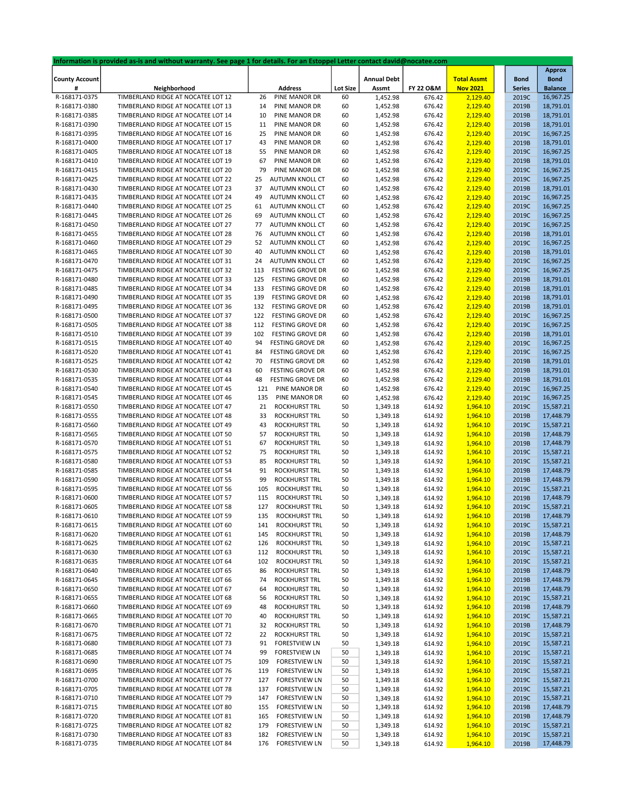|                       | Information is provided as-is and without warranty. See page 1 for details. For an Estoppel Letter contact david@nocatee.com |                                |                 |                    |           |                    |               |                |
|-----------------------|------------------------------------------------------------------------------------------------------------------------------|--------------------------------|-----------------|--------------------|-----------|--------------------|---------------|----------------|
|                       |                                                                                                                              |                                |                 |                    |           |                    |               | <b>Approx</b>  |
| <b>County Account</b> |                                                                                                                              |                                |                 | <b>Annual Debt</b> |           | <b>Total Assmt</b> | <b>Bond</b>   | <b>Bond</b>    |
| #                     | Neighborhood                                                                                                                 | <b>Address</b>                 | <b>Lot Size</b> | Assmt              | FY 22 O&M | <b>Nov 2021</b>    | <b>Series</b> | <b>Balance</b> |
| R-168171-0375         | TIMBERLAND RIDGE AT NOCATEE LOT 12                                                                                           | 26<br>PINE MANOR DR            | 60              | 1,452.98           | 676.42    | 2,129.40           | 2019C         | 16,967.25      |
| R-168171-0380         | TIMBERLAND RIDGE AT NOCATEE LOT 13                                                                                           | PINE MANOR DR<br>14            | 60              | 1,452.98           | 676.42    | 2,129.40           | 2019B         | 18,791.01      |
| R-168171-0385         | TIMBERLAND RIDGE AT NOCATEE LOT 14                                                                                           | 10<br>PINE MANOR DR            | 60              | 1,452.98           | 676.42    | 2,129.40           | 2019B         | 18,791.01      |
| R-168171-0390         | TIMBERLAND RIDGE AT NOCATEE LOT 15                                                                                           | 11<br>PINE MANOR DR            | 60              | 1,452.98           | 676.42    | 2,129.40           | 2019B         | 18,791.01      |
| R-168171-0395         | TIMBERLAND RIDGE AT NOCATEE LOT 16                                                                                           | 25<br>PINE MANOR DR            | 60              | 1,452.98           | 676.42    | 2,129.40           | 2019C         | 16,967.25      |
| R-168171-0400         | TIMBERLAND RIDGE AT NOCATEE LOT 17                                                                                           | 43<br>PINE MANOR DR            | 60              | 1,452.98           | 676.42    | 2,129.40           | 2019B         | 18,791.01      |
| R-168171-0405         | TIMBERLAND RIDGE AT NOCATEE LOT 18                                                                                           | 55<br>PINE MANOR DR            | 60              | 1,452.98           | 676.42    | 2,129.40           | 2019C         | 16,967.25      |
| R-168171-0410         | TIMBERLAND RIDGE AT NOCATEE LOT 19                                                                                           | 67<br>PINE MANOR DR            | 60              | 1,452.98           | 676.42    | 2,129.40           | 2019B         | 18,791.01      |
| R-168171-0415         | TIMBERLAND RIDGE AT NOCATEE LOT 20                                                                                           | 79<br>PINE MANOR DR            | 60              | 1,452.98           | 676.42    | 2,129.40           | 2019C         | 16,967.25      |
| R-168171-0425         | TIMBERLAND RIDGE AT NOCATEE LOT 22                                                                                           | 25<br>AUTUMN KNOLL CT          | 60              | 1,452.98           | 676.42    | 2,129.40           | 2019C         | 16,967.25      |
|                       | TIMBERLAND RIDGE AT NOCATEE LOT 23                                                                                           |                                |                 |                    |           |                    |               |                |
| R-168171-0430         |                                                                                                                              | 37<br>AUTUMN KNOLL CT          | 60              | 1,452.98           | 676.42    | 2,129.40           | 2019B         | 18,791.01      |
| R-168171-0435         | TIMBERLAND RIDGE AT NOCATEE LOT 24                                                                                           | 49<br>AUTUMN KNOLL CT          | 60              | 1,452.98           | 676.42    | 2,129.40           | 2019C         | 16,967.25      |
| R-168171-0440         | TIMBERLAND RIDGE AT NOCATEE LOT 25                                                                                           | 61<br>AUTUMN KNOLL CT          | 60              | 1,452.98           | 676.42    | 2,129.40           | 2019C         | 16,967.25      |
| R-168171-0445         | TIMBERLAND RIDGE AT NOCATEE LOT 26                                                                                           | 69<br>AUTUMN KNOLL CT          | 60              | 1,452.98           | 676.42    | 2,129.40           | 2019C         | 16,967.25      |
| R-168171-0450         | TIMBERLAND RIDGE AT NOCATEE LOT 27                                                                                           | AUTUMN KNOLL CT<br>77          | 60              | 1,452.98           | 676.42    | 2,129.40           | 2019C         | 16,967.25      |
| R-168171-0455         | TIMBERLAND RIDGE AT NOCATEE LOT 28                                                                                           | 76<br>AUTUMN KNOLL CT          | 60              | 1,452.98           | 676.42    | 2,129.40           | 2019B         | 18,791.01      |
| R-168171-0460         | TIMBERLAND RIDGE AT NOCATEE LOT 29                                                                                           | 52<br>AUTUMN KNOLL CT          | 60              | 1,452.98           | 676.42    | 2,129.40           | 2019C         | 16,967.25      |
| R-168171-0465         | TIMBERLAND RIDGE AT NOCATEE LOT 30                                                                                           | 40<br>AUTUMN KNOLL CT          | 60              | 1,452.98           | 676.42    | 2,129.40           | 2019B         | 18,791.01      |
| R-168171-0470         | TIMBERLAND RIDGE AT NOCATEE LOT 31                                                                                           | AUTUMN KNOLL CT<br>24          | 60              | 1,452.98           | 676.42    | 2,129.40           | 2019C         | 16,967.25      |
| R-168171-0475         | TIMBERLAND RIDGE AT NOCATEE LOT 32                                                                                           | 113<br><b>FESTING GROVE DR</b> | 60              | 1,452.98           | 676.42    | 2,129.40           | 2019C         | 16,967.25      |
| R-168171-0480         | TIMBERLAND RIDGE AT NOCATEE LOT 33                                                                                           | FESTING GROVE DR<br>125        | 60              | 1,452.98           | 676.42    | 2,129.40           | 2019B         | 18,791.01      |
| R-168171-0485         | TIMBERLAND RIDGE AT NOCATEE LOT 34                                                                                           | 133<br><b>FESTING GROVE DR</b> | 60              | 1,452.98           | 676.42    | 2,129.40           | 2019B         | 18,791.01      |
| R-168171-0490         | TIMBERLAND RIDGE AT NOCATEE LOT 35                                                                                           | 139<br><b>FESTING GROVE DR</b> | 60              | 1,452.98           | 676.42    | 2,129.40           | 2019B         | 18,791.01      |
| R-168171-0495         | TIMBERLAND RIDGE AT NOCATEE LOT 36                                                                                           | 132<br><b>FESTING GROVE DR</b> | 60              | 1,452.98           | 676.42    | 2,129.40           | 2019B         | 18,791.01      |
| R-168171-0500         | TIMBERLAND RIDGE AT NOCATEE LOT 37                                                                                           | 122<br>FESTING GROVE DR        | 60              |                    |           |                    | 2019C         | 16,967.25      |
|                       |                                                                                                                              |                                |                 | 1,452.98           | 676.42    | 2,129.40           |               |                |
| R-168171-0505         | TIMBERLAND RIDGE AT NOCATEE LOT 38                                                                                           | 112<br><b>FESTING GROVE DR</b> | 60              | 1,452.98           | 676.42    | 2,129.40           | 2019C         | 16,967.25      |
| R-168171-0510         | TIMBERLAND RIDGE AT NOCATEE LOT 39                                                                                           | 102<br><b>FESTING GROVE DR</b> | 60              | 1,452.98           | 676.42    | 2,129.40           | 2019B         | 18,791.01      |
| R-168171-0515         | TIMBERLAND RIDGE AT NOCATEE LOT 40                                                                                           | 94<br><b>FESTING GROVE DR</b>  | 60              | 1,452.98           | 676.42    | 2,129.40           | 2019C         | 16,967.25      |
| R-168171-0520         | TIMBERLAND RIDGE AT NOCATEE LOT 41                                                                                           | <b>FESTING GROVE DR</b><br>84  | 60              | 1,452.98           | 676.42    | 2,129.40           | 2019C         | 16,967.25      |
| R-168171-0525         | TIMBERLAND RIDGE AT NOCATEE LOT 42                                                                                           | 70<br><b>FESTING GROVE DR</b>  | 60              | 1,452.98           | 676.42    | 2,129.40           | 2019B         | 18,791.01      |
| R-168171-0530         | TIMBERLAND RIDGE AT NOCATEE LOT 43                                                                                           | 60<br><b>FESTING GROVE DR</b>  | 60              | 1,452.98           | 676.42    | 2,129.40           | 2019B         | 18,791.01      |
| R-168171-0535         | TIMBERLAND RIDGE AT NOCATEE LOT 44                                                                                           | <b>FESTING GROVE DR</b><br>48  | 60              | 1,452.98           | 676.42    | 2,129.40           | 2019B         | 18,791.01      |
| R-168171-0540         | TIMBERLAND RIDGE AT NOCATEE LOT 45                                                                                           | 121<br>PINE MANOR DR           | 60              | 1,452.98           | 676.42    | 2,129.40           | 2019C         | 16,967.25      |
| R-168171-0545         | TIMBERLAND RIDGE AT NOCATEE LOT 46                                                                                           | 135<br>PINE MANOR DR           | 60              | 1,452.98           | 676.42    | 2,129.40           | 2019C         | 16,967.25      |
| R-168171-0550         | TIMBERLAND RIDGE AT NOCATEE LOT 47                                                                                           | 21<br>ROCKHURST TRL            | 50              | 1,349.18           | 614.92    | 1,964.10           | 2019C         | 15,587.21      |
| R-168171-0555         | TIMBERLAND RIDGE AT NOCATEE LOT 48                                                                                           | ROCKHURST TRL<br>33            | 50              | 1,349.18           | 614.92    | 1,964.10           | 2019B         | 17,448.79      |
| R-168171-0560         | TIMBERLAND RIDGE AT NOCATEE LOT 49                                                                                           | 43<br><b>ROCKHURST TRL</b>     | 50              | 1,349.18           | 614.92    | 1,964.10           | 2019C         | 15,587.21      |
| R-168171-0565         | TIMBERLAND RIDGE AT NOCATEE LOT 50                                                                                           | 57<br>ROCKHURST TRL            | 50              | 1,349.18           | 614.92    | 1,964.10           | 2019B         | 17,448.79      |
| R-168171-0570         | TIMBERLAND RIDGE AT NOCATEE LOT 51                                                                                           | ROCKHURST TRL<br>67            | 50              | 1,349.18           | 614.92    | 1,964.10           | 2019B         | 17,448.79      |
| R-168171-0575         | TIMBERLAND RIDGE AT NOCATEE LOT 52                                                                                           | 75<br><b>ROCKHURST TRL</b>     | 50              | 1,349.18           | 614.92    | 1,964.10           | 2019C         | 15,587.21      |
| R-168171-0580         | TIMBERLAND RIDGE AT NOCATEE LOT 53                                                                                           | 85<br><b>ROCKHURST TRL</b>     | 50              | 1,349.18           | 614.92    | 1,964.10           | 2019C         | 15,587.21      |
|                       | TIMBERLAND RIDGE AT NOCATEE LOT 54                                                                                           | 91<br><b>ROCKHURST TRL</b>     |                 |                    |           |                    | 2019B         | 17,448.79      |
| R-168171-0585         |                                                                                                                              | 99                             | 50              | 1,349.18           | 614.92    | 1,964.10           |               |                |
| R-168171-0590         | TIMBERLAND RIDGE AT NOCATEE LOT 55                                                                                           | ROCKHURST TRL                  | 50              | 1,349.18           | 614.92    | 1,964.10           | 2019B         | 17,448.79      |
| R-168171-0595         | TIMBERLAND RIDGE AT NOCATEE LOT 56                                                                                           | 105<br>ROCKHURST TRL           | 50              | 1,349.18           | 614.92    | 1,964.10           | 2019C         | 15,587.21      |
| R-168171-0600         | TIMBERLAND RIDGE AT NOCATEE LOT 57                                                                                           | 115<br>ROCKHURST TRL           | 50              | 1,349.18           | 614.92    | 1,964.10           | 2019B         | 17,448.79      |
| R-168171-0605         | TIMBERLAND RIDGE AT NOCATEE LOT 58                                                                                           | 127<br>ROCKHURST TRL           | 50              | 1,349.18           | 614.92    | 1,964.10           | 2019C         | 15,587.21      |
| R-168171-0610         | TIMBERLAND RIDGE AT NOCATEE LOT 59                                                                                           | 135<br>ROCKHURST TRL           | 50              | 1,349.18           | 614.92    | 1,964.10           | 2019B         | 17,448.79      |
| R-168171-0615         | TIMBERLAND RIDGE AT NOCATEE LOT 60                                                                                           | ROCKHURST TRL<br>141           | 50              | 1,349.18           | 614.92    | 1,964.10           | 2019C         | 15,587.21      |
| R-168171-0620         | TIMBERLAND RIDGE AT NOCATEE LOT 61                                                                                           | 145<br>ROCKHURST TRL           | 50              | 1,349.18           | 614.92    | 1,964.10           | 2019B         | 17,448.79      |
| R-168171-0625         | TIMBERLAND RIDGE AT NOCATEE LOT 62                                                                                           | ROCKHURST TRL<br>126           | 50              | 1,349.18           | 614.92    | 1,964.10           | 2019C         | 15,587.21      |
| R-168171-0630         | TIMBERLAND RIDGE AT NOCATEE LOT 63                                                                                           | ROCKHURST TRL<br>112           | 50              | 1,349.18           | 614.92    | 1,964.10           | 2019C         | 15,587.21      |
| R-168171-0635         | TIMBERLAND RIDGE AT NOCATEE LOT 64                                                                                           | 102<br>ROCKHURST TRL           | 50              | 1,349.18           | 614.92    | 1,964.10           | 2019C         | 15,587.21      |
| R-168171-0640         | TIMBERLAND RIDGE AT NOCATEE LOT 65                                                                                           | ROCKHURST TRL<br>86            | 50              | 1,349.18           | 614.92    | 1,964.10           | 2019B         | 17,448.79      |
| R-168171-0645         | TIMBERLAND RIDGE AT NOCATEE LOT 66                                                                                           | ROCKHURST TRL<br>74            | 50              | 1,349.18           | 614.92    | 1,964.10           | 2019B         | 17,448.79      |
| R-168171-0650         | TIMBERLAND RIDGE AT NOCATEE LOT 67                                                                                           | ROCKHURST TRL<br>64            | 50              | 1,349.18           | 614.92    | 1,964.10           | 2019B         | 17,448.79      |
| R-168171-0655         | TIMBERLAND RIDGE AT NOCATEE LOT 68                                                                                           | ROCKHURST TRL<br>56            | 50              | 1,349.18           | 614.92    | 1,964.10           | 2019C         | 15,587.21      |
| R-168171-0660         | TIMBERLAND RIDGE AT NOCATEE LOT 69                                                                                           | ROCKHURST TRL<br>48            | 50              | 1,349.18           | 614.92    | 1,964.10           | 2019B         | 17,448.79      |
| R-168171-0665         | TIMBERLAND RIDGE AT NOCATEE LOT 70                                                                                           | <b>ROCKHURST TRL</b><br>40     | 50              | 1,349.18           | 614.92    | 1,964.10           | 2019C         | 15,587.21      |
|                       | TIMBERLAND RIDGE AT NOCATEE LOT 71                                                                                           | 32                             |                 |                    |           |                    |               |                |
| R-168171-0670         |                                                                                                                              | ROCKHURST TRL                  | 50              | 1,349.18           | 614.92    | 1,964.10           | 2019B         | 17,448.79      |
| R-168171-0675         | TIMBERLAND RIDGE AT NOCATEE LOT 72                                                                                           | ROCKHURST TRL<br>22            | 50              | 1,349.18           | 614.92    | 1,964.10           | 2019C         | 15,587.21      |
| R-168171-0680         | TIMBERLAND RIDGE AT NOCATEE LOT 73                                                                                           | 91<br><b>FORESTVIEW LN</b>     | 50              | 1,349.18           | 614.92    | 1,964.10           | 2019C         | 15,587.21      |
| R-168171-0685         | TIMBERLAND RIDGE AT NOCATEE LOT 74                                                                                           | 99<br><b>FORESTVIEW LN</b>     | 50              | 1,349.18           | 614.92    | 1,964.10           | 2019C         | 15,587.21      |
| R-168171-0690         | TIMBERLAND RIDGE AT NOCATEE LOT 75                                                                                           | <b>FORESTVIEW LN</b><br>109    | 50              | 1,349.18           | 614.92    | 1,964.10           | 2019C         | 15,587.21      |
| R-168171-0695         | TIMBERLAND RIDGE AT NOCATEE LOT 76                                                                                           | <b>FORESTVIEW LN</b><br>119    | 50              | 1,349.18           | 614.92    | 1,964.10           | 2019C         | 15,587.21      |
| R-168171-0700         | TIMBERLAND RIDGE AT NOCATEE LOT 77                                                                                           | <b>FORESTVIEW LN</b><br>127    | 50              | 1,349.18           | 614.92    | 1,964.10           | 2019C         | 15,587.21      |
| R-168171-0705         | TIMBERLAND RIDGE AT NOCATEE LOT 78                                                                                           | <b>FORESTVIEW LN</b><br>137    | 50              | 1,349.18           | 614.92    | 1,964.10           | 2019C         | 15,587.21      |
| R-168171-0710         | TIMBERLAND RIDGE AT NOCATEE LOT 79                                                                                           | 147<br><b>FORESTVIEW LN</b>    | 50              | 1,349.18           | 614.92    | 1,964.10           | 2019C         | 15,587.21      |
| R-168171-0715         | TIMBERLAND RIDGE AT NOCATEE LOT 80                                                                                           | 155<br><b>FORESTVIEW LN</b>    | 50              | 1,349.18           | 614.92    | 1,964.10           | 2019B         | 17,448.79      |
| R-168171-0720         | TIMBERLAND RIDGE AT NOCATEE LOT 81                                                                                           | <b>FORESTVIEW LN</b><br>165    | 50              | 1,349.18           | 614.92    | 1,964.10           | 2019B         | 17,448.79      |
| R-168171-0725         | TIMBERLAND RIDGE AT NOCATEE LOT 82                                                                                           | <b>FORESTVIEW LN</b><br>179    | 50              | 1,349.18           | 614.92    | 1,964.10           | 2019C         | 15,587.21      |
| R-168171-0730         | TIMBERLAND RIDGE AT NOCATEE LOT 83                                                                                           | <b>FORESTVIEW LN</b><br>182    | 50              | 1,349.18           | 614.92    | 1,964.10           | 2019C         | 15,587.21      |
| R-168171-0735         | TIMBERLAND RIDGE AT NOCATEE LOT 84                                                                                           | <b>FORESTVIEW LN</b><br>176    | 50              | 1,349.18           | 614.92    | 1,964.10           | 2019B         | 17,448.79      |
|                       |                                                                                                                              |                                |                 |                    |           |                    |               |                |